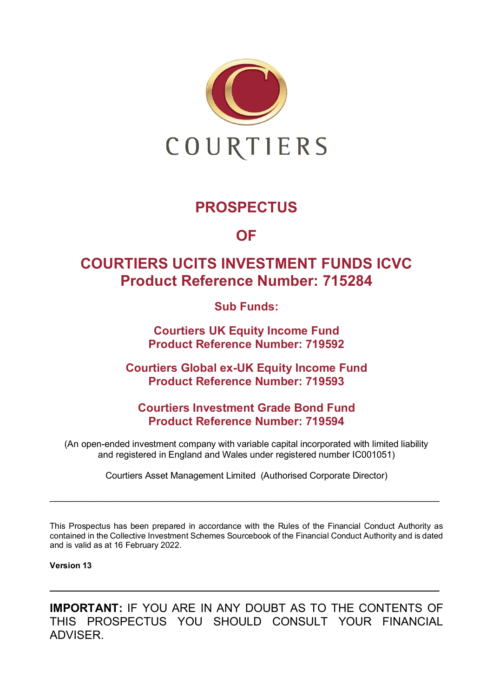

## **PROSPECTUS**

**OF**

## **COURTIERS UCITS INVESTMENT FUNDS ICVC Product Reference Number: 715284**

**Sub Funds:**

**Courtiers UK Equity Income Fund Product Reference Number: 719592**

**Courtiers Global ex-UK Equity Income Fund Product Reference Number: 719593**

**Courtiers Investment Grade Bond Fund Product Reference Number: 719594**

(An open-ended investment company with variable capital incorporated with limited liability and registered in England and Wales under registered number IC001051)

Courtiers Asset Management Limited (Authorised Corporate Director)

\_\_\_\_\_\_\_\_\_\_\_\_\_\_\_\_\_\_\_\_\_\_\_\_\_\_\_\_\_\_\_\_\_\_\_\_\_\_\_\_\_\_\_\_\_\_\_\_\_\_\_\_\_\_\_\_\_\_\_\_\_\_\_\_\_\_\_\_\_\_\_\_\_\_\_\_\_

This Prospectus has been prepared in accordance with the Rules of the Financial Conduct Authority as contained in the Collective Investment Schemes Sourcebook of the Financial Conduct Authority and is dated and is valid as at 16 February 2022.

#### **Version 13**

**IMPORTANT:** IF YOU ARE IN ANY DOUBT AS TO THE CONTENTS OF THIS PROSPECTUS YOU SHOULD CONSULT YOUR FINANCIAL ADVISER.

\_\_\_\_\_\_\_\_\_\_\_\_\_\_\_\_\_\_\_\_\_\_\_\_\_\_\_\_\_\_\_\_\_\_\_\_\_\_\_\_\_\_\_\_\_\_\_\_\_\_\_\_\_\_\_\_\_\_\_\_\_\_\_\_\_\_\_\_\_\_\_\_\_\_\_\_\_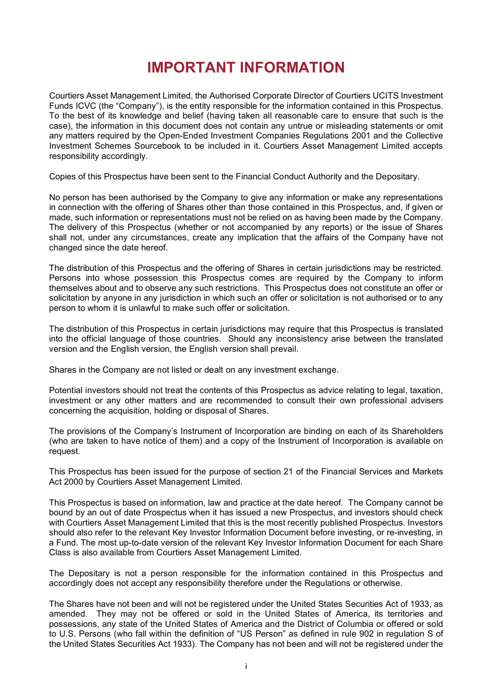## **IMPORTANT INFORMATION**

Courtiers Asset Management Limited, the Authorised Corporate Director of Courtiers UCITS Investment Funds ICVC (the "Company"), is the entity responsible for the information contained in this Prospectus. To the best of its knowledge and belief (having taken all reasonable care to ensure that such is the case), the information in this document does not contain any untrue or misleading statements or omit any matters required by the Open-Ended Investment Companies Regulations 2001 and the Collective Investment Schemes Sourcebook to be included in it. Courtiers Asset Management Limited accepts responsibility accordingly.

Copies of this Prospectus have been sent to the Financial Conduct Authority and the Depositary.

No person has been authorised by the Company to give any information or make any representations in connection with the offering of Shares other than those contained in this Prospectus, and, if given or made, such information or representations must not be relied on as having been made by the Company. The delivery of this Prospectus (whether or not accompanied by any reports) or the issue of Shares shall not, under any circumstances, create any implication that the affairs of the Company have not changed since the date hereof.

The distribution of this Prospectus and the offering of Shares in certain jurisdictions may be restricted. Persons into whose possession this Prospectus comes are required by the Company to inform themselves about and to observe any such restrictions. This Prospectus does not constitute an offer or solicitation by anyone in any jurisdiction in which such an offer or solicitation is not authorised or to any person to whom it is unlawful to make such offer or solicitation.

The distribution of this Prospectus in certain jurisdictions may require that this Prospectus is translated into the official language of those countries. Should any inconsistency arise between the translated version and the English version, the English version shall prevail.

Shares in the Company are not listed or dealt on any investment exchange.

Potential investors should not treat the contents of this Prospectus as advice relating to legal, taxation, investment or any other matters and are recommended to consult their own professional advisers concerning the acquisition, holding or disposal of Shares.

The provisions of the Company's Instrument of Incorporation are binding on each of its Shareholders (who are taken to have notice of them) and a copy of the Instrument of Incorporation is available on request.

This Prospectus has been issued for the purpose of section 21 of the Financial Services and Markets Act 2000 by Courtiers Asset Management Limited.

This Prospectus is based on information, law and practice at the date hereof. The Company cannot be bound by an out of date Prospectus when it has issued a new Prospectus, and investors should check with Courtiers Asset Management Limited that this is the most recently published Prospectus. Investors should also refer to the relevant Key Investor Information Document before investing, or re-investing, in a Fund. The most up-to-date version of the relevant Key Investor Information Document for each Share Class is also available from Courtiers Asset Management Limited.

The Depositary is not a person responsible for the information contained in this Prospectus and accordingly does not accept any responsibility therefore under the Regulations or otherwise.

The Shares have not been and will not be registered under the United States Securities Act of 1933, as amended. They may not be offered or sold in the United States of America, its territories and possessions, any state of the United States of America and the District of Columbia or offered or sold to U.S. Persons (who fall within the definition of "US Person" as defined in rule 902 in regulation S of the United States Securities Act 1933). The Company has not been and will not be registered under the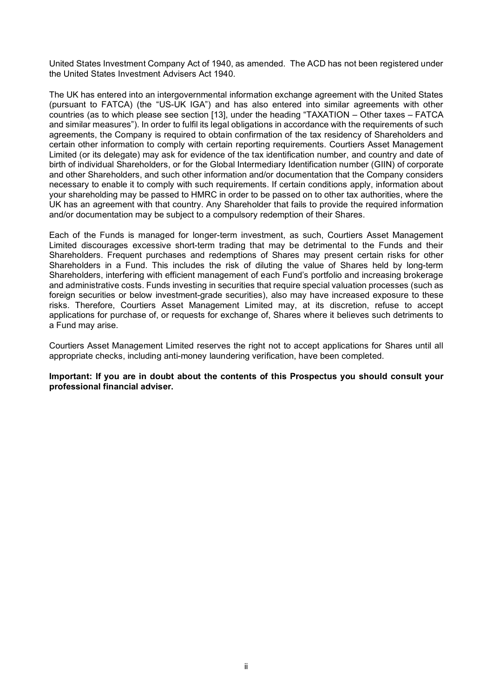United States Investment Company Act of 1940, as amended. The ACD has not been registered under the United States Investment Advisers Act 1940.

The UK has entered into an intergovernmental information exchange agreement with the United States (pursuant to FATCA) (the "US-UK IGA") and has also entered into similar agreements with other countries (as to which please see section [13], under the heading "TAXATION – Other taxes – FATCA and similar measures"). In order to fulfil its legal obligations in accordance with the requirements of such agreements, the Company is required to obtain confirmation of the tax residency of Shareholders and certain other information to comply with certain reporting requirements. Courtiers Asset Management Limited (or its delegate) may ask for evidence of the tax identification number, and country and date of birth of individual Shareholders, or for the Global Intermediary Identification number (GIIN) of corporate and other Shareholders, and such other information and/or documentation that the Company considers necessary to enable it to comply with such requirements. If certain conditions apply, information about your shareholding may be passed to HMRC in order to be passed on to other tax authorities, where the UK has an agreement with that country. Any Shareholder that fails to provide the required information and/or documentation may be subject to a compulsory redemption of their Shares.

Each of the Funds is managed for longer-term investment, as such, Courtiers Asset Management Limited discourages excessive short-term trading that may be detrimental to the Funds and their Shareholders. Frequent purchases and redemptions of Shares may present certain risks for other Shareholders in a Fund. This includes the risk of diluting the value of Shares held by long-term Shareholders, interfering with efficient management of each Fund's portfolio and increasing brokerage and administrative costs. Funds investing in securities that require special valuation processes (such as foreign securities or below investment-grade securities), also may have increased exposure to these risks. Therefore, Courtiers Asset Management Limited may, at its discretion, refuse to accept applications for purchase of, or requests for exchange of, Shares where it believes such detriments to a Fund may arise.

Courtiers Asset Management Limited reserves the right not to accept applications for Shares until all appropriate checks, including anti-money laundering verification, have been completed.

**Important: If you are in doubt about the contents of this Prospectus you should consult your professional financial adviser.**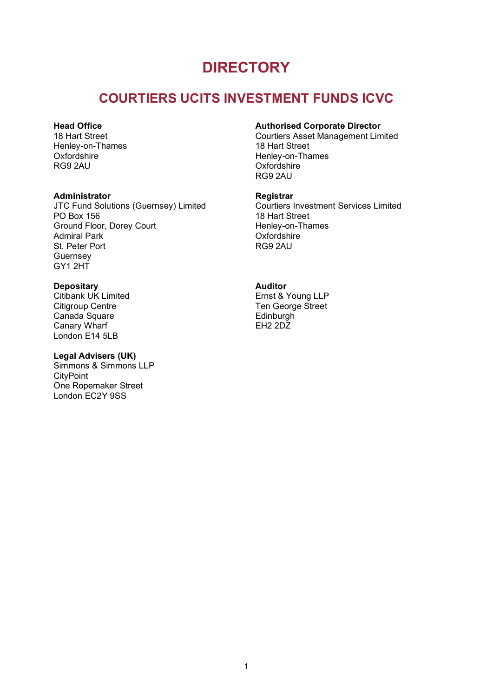## **DIRECTORY**

## **COURTIERS UCITS INVESTMENT FUNDS ICVC**

#### **Head Office**

18 Hart Street Henley-on-Thames **Oxfordshire** RG9 2AU

#### **Administrator**

JTC Fund Solutions (Guernsey) Limited PO Box 156 Ground Floor, Dorey Court Admiral Park St. Peter Port Guernsey GY1 2HT

#### **Depositary**

Citibank UK Limited Citigroup Centre Canada Square Canary Wharf London E14 5LB

#### **Legal Advisers (UK)**

Simmons & Simmons LLP **CityPoint** One Ropemaker Street London EC2Y 9SS

#### **Authorised Corporate Director**

Courtiers Asset Management Limited 18 Hart Street Henley-on-Thames **Oxfordshire** RG9 2AU

#### **Registrar**

Courtiers Investment Services Limited 18 Hart Street Henley-on-Thames **Oxfordshire** RG9 2AU

#### **Auditor**

Ernst & Young LLP Ten George Street **Edinburgh** EH2 2DZ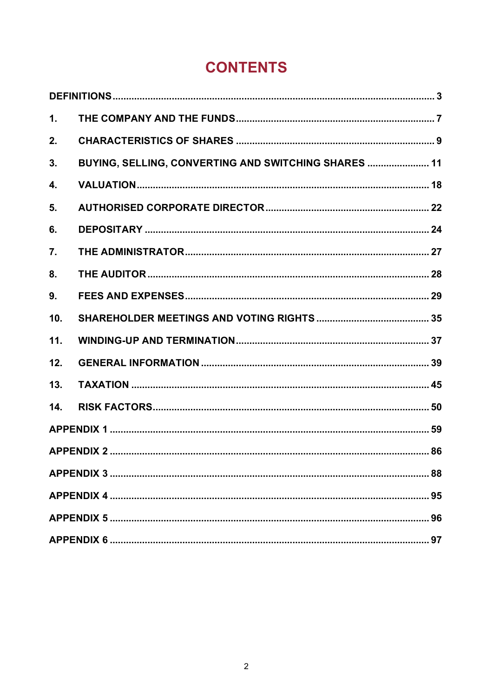# **CONTENTS**

| 1.  |                                                      |  |  |  |
|-----|------------------------------------------------------|--|--|--|
| 2.  |                                                      |  |  |  |
| 3.  | BUYING, SELLING, CONVERTING AND SWITCHING SHARES  11 |  |  |  |
| 4.  |                                                      |  |  |  |
| 5.  |                                                      |  |  |  |
| 6.  |                                                      |  |  |  |
| 7.  |                                                      |  |  |  |
| 8.  |                                                      |  |  |  |
| 9.  |                                                      |  |  |  |
| 10. |                                                      |  |  |  |
| 11. |                                                      |  |  |  |
| 12. |                                                      |  |  |  |
| 13. |                                                      |  |  |  |
| 14. |                                                      |  |  |  |
|     |                                                      |  |  |  |
|     |                                                      |  |  |  |
|     |                                                      |  |  |  |
|     |                                                      |  |  |  |
|     |                                                      |  |  |  |
|     |                                                      |  |  |  |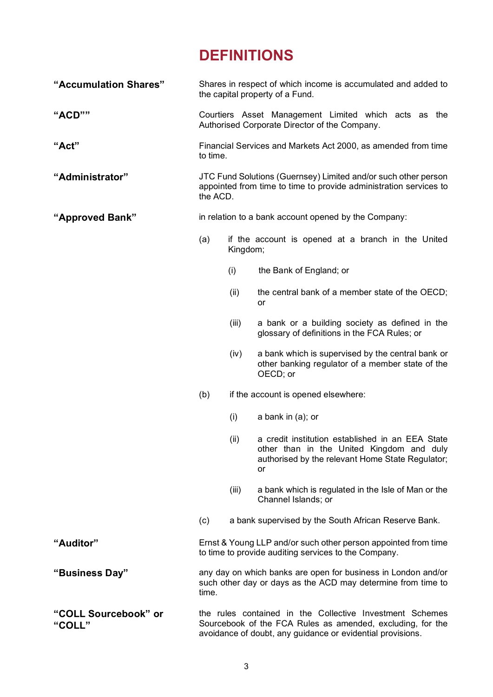# **DEFINITIONS**

<span id="page-5-0"></span>

| "Accumulation Shares"          | Shares in respect of which income is accumulated and added to<br>the capital property of a Fund.                                                                                     |          |                                                                                                                                                         |  |
|--------------------------------|--------------------------------------------------------------------------------------------------------------------------------------------------------------------------------------|----------|---------------------------------------------------------------------------------------------------------------------------------------------------------|--|
| "ACD""                         |                                                                                                                                                                                      |          | Courtiers Asset Management Limited which acts as the<br>Authorised Corporate Director of the Company.                                                   |  |
| "Act"                          | to time.                                                                                                                                                                             |          | Financial Services and Markets Act 2000, as amended from time                                                                                           |  |
| "Administrator"                | JTC Fund Solutions (Guernsey) Limited and/or such other person<br>appointed from time to time to provide administration services to<br>the ACD.                                      |          |                                                                                                                                                         |  |
| "Approved Bank"                | in relation to a bank account opened by the Company:                                                                                                                                 |          |                                                                                                                                                         |  |
|                                | (a)                                                                                                                                                                                  | Kingdom; | if the account is opened at a branch in the United                                                                                                      |  |
|                                |                                                                                                                                                                                      | (i)      | the Bank of England; or                                                                                                                                 |  |
|                                |                                                                                                                                                                                      | (ii)     | the central bank of a member state of the OECD;<br>or                                                                                                   |  |
|                                |                                                                                                                                                                                      | (iii)    | a bank or a building society as defined in the<br>glossary of definitions in the FCA Rules; or                                                          |  |
|                                |                                                                                                                                                                                      | (iv)     | a bank which is supervised by the central bank or<br>other banking regulator of a member state of the<br>OECD; or                                       |  |
|                                | (b)                                                                                                                                                                                  |          | if the account is opened elsewhere:                                                                                                                     |  |
|                                |                                                                                                                                                                                      | (i)      | a bank in $(a)$ ; or                                                                                                                                    |  |
|                                |                                                                                                                                                                                      | (ii)     | a credit institution established in an EEA State<br>other than in the United Kingdom and duly<br>authorised by the relevant Home State Regulator;<br>or |  |
|                                |                                                                                                                                                                                      | (iii)    | a bank which is regulated in the Isle of Man or the<br>Channel Islands; or                                                                              |  |
|                                | (c)                                                                                                                                                                                  |          | a bank supervised by the South African Reserve Bank.                                                                                                    |  |
| "Auditor"                      | Ernst & Young LLP and/or such other person appointed from time<br>to time to provide auditing services to the Company.                                                               |          |                                                                                                                                                         |  |
| "Business Day"                 | any day on which banks are open for business in London and/or<br>such other day or days as the ACD may determine from time to<br>time.                                               |          |                                                                                                                                                         |  |
| "COLL Sourcebook" or<br>"COLL" | the rules contained in the Collective Investment Schemes<br>Sourcebook of the FCA Rules as amended, excluding, for the<br>avoidance of doubt, any guidance or evidential provisions. |          |                                                                                                                                                         |  |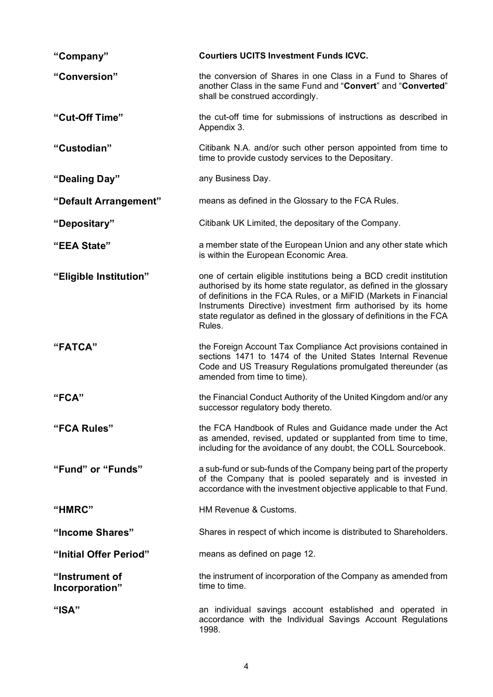| "Company"                        | <b>Courtiers UCITS Investment Funds ICVC.</b>                                                                                                                                                                                                                                                                                                                     |  |  |
|----------------------------------|-------------------------------------------------------------------------------------------------------------------------------------------------------------------------------------------------------------------------------------------------------------------------------------------------------------------------------------------------------------------|--|--|
| "Conversion"                     | the conversion of Shares in one Class in a Fund to Shares of<br>another Class in the same Fund and "Convert" and "Converted"<br>shall be construed accordingly.                                                                                                                                                                                                   |  |  |
| "Cut-Off Time"                   | the cut-off time for submissions of instructions as described in<br>Appendix 3.                                                                                                                                                                                                                                                                                   |  |  |
| "Custodian"                      | Citibank N.A. and/or such other person appointed from time to<br>time to provide custody services to the Depositary.                                                                                                                                                                                                                                              |  |  |
| "Dealing Day"                    | any Business Day.                                                                                                                                                                                                                                                                                                                                                 |  |  |
| "Default Arrangement"            | means as defined in the Glossary to the FCA Rules.                                                                                                                                                                                                                                                                                                                |  |  |
| "Depositary"                     | Citibank UK Limited, the depositary of the Company.                                                                                                                                                                                                                                                                                                               |  |  |
| "EEA State"                      | a member state of the European Union and any other state which<br>is within the European Economic Area.                                                                                                                                                                                                                                                           |  |  |
| "Eligible Institution"           | one of certain eligible institutions being a BCD credit institution<br>authorised by its home state regulator, as defined in the glossary<br>of definitions in the FCA Rules, or a MiFID (Markets in Financial<br>Instruments Directive) investment firm authorised by its home<br>state regulator as defined in the glossary of definitions in the FCA<br>Rules. |  |  |
| "FATCA"                          | the Foreign Account Tax Compliance Act provisions contained in<br>sections 1471 to 1474 of the United States Internal Revenue<br>Code and US Treasury Regulations promulgated thereunder (as<br>amended from time to time).                                                                                                                                       |  |  |
| "FCA"                            | the Financial Conduct Authority of the United Kingdom and/or any<br>successor regulatory body thereto.                                                                                                                                                                                                                                                            |  |  |
| "FCA Rules"                      | the FCA Handbook of Rules and Guidance made under the Act<br>as amended, revised, updated or supplanted from time to time,<br>including for the avoidance of any doubt, the COLL Sourcebook.                                                                                                                                                                      |  |  |
| "Fund" or "Funds"                | a sub-fund or sub-funds of the Company being part of the property<br>of the Company that is pooled separately and is invested in<br>accordance with the investment objective applicable to that Fund.                                                                                                                                                             |  |  |
| "HMRC"                           | HM Revenue & Customs.                                                                                                                                                                                                                                                                                                                                             |  |  |
| "Income Shares"                  | Shares in respect of which income is distributed to Shareholders.                                                                                                                                                                                                                                                                                                 |  |  |
| "Initial Offer Period"           | means as defined on page 12.                                                                                                                                                                                                                                                                                                                                      |  |  |
| "Instrument of<br>Incorporation" | the instrument of incorporation of the Company as amended from<br>time to time.                                                                                                                                                                                                                                                                                   |  |  |
| " $ISA"$                         | an individual savings account established and operated in<br>accordance with the Individual Savings Account Regulations<br>1998.                                                                                                                                                                                                                                  |  |  |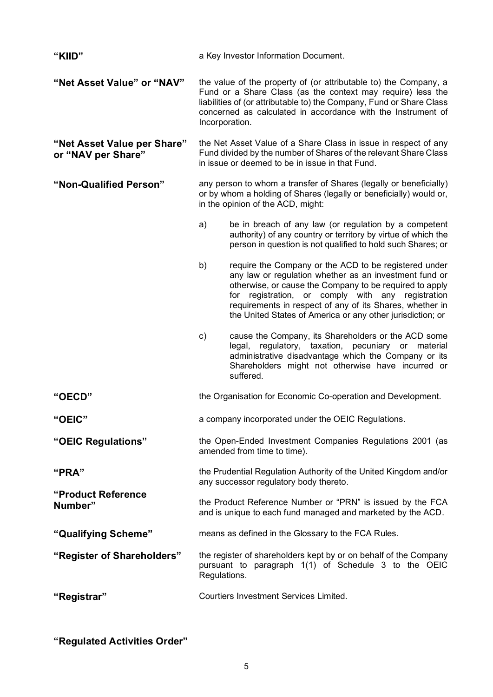| "KIID"                                            | a Key Investor Information Document.                                                                                                                                                                                                                                                                                                                            |  |  |  |
|---------------------------------------------------|-----------------------------------------------------------------------------------------------------------------------------------------------------------------------------------------------------------------------------------------------------------------------------------------------------------------------------------------------------------------|--|--|--|
| "Net Asset Value" or "NAV"                        | the value of the property of (or attributable to) the Company, a<br>Fund or a Share Class (as the context may require) less the<br>liabilities of (or attributable to) the Company, Fund or Share Class<br>concerned as calculated in accordance with the Instrument of<br>Incorporation.                                                                       |  |  |  |
| "Net Asset Value per Share"<br>or "NAV per Share" | the Net Asset Value of a Share Class in issue in respect of any<br>Fund divided by the number of Shares of the relevant Share Class<br>in issue or deemed to be in issue in that Fund.                                                                                                                                                                          |  |  |  |
| "Non-Qualified Person"                            | any person to whom a transfer of Shares (legally or beneficially)<br>or by whom a holding of Shares (legally or beneficially) would or,<br>in the opinion of the ACD, might:                                                                                                                                                                                    |  |  |  |
|                                                   | a)<br>be in breach of any law (or regulation by a competent<br>authority) of any country or territory by virtue of which the<br>person in question is not qualified to hold such Shares; or                                                                                                                                                                     |  |  |  |
|                                                   | require the Company or the ACD to be registered under<br>b)<br>any law or regulation whether as an investment fund or<br>otherwise, or cause the Company to be required to apply<br>for registration, or comply with any registration<br>requirements in respect of any of its Shares, whether in<br>the United States of America or any other jurisdiction; or |  |  |  |
|                                                   | cause the Company, its Shareholders or the ACD some<br>c)<br>regulatory, taxation, pecuniary or material<br>legal,<br>administrative disadvantage which the Company or its<br>Shareholders might not otherwise have incurred or<br>suffered.                                                                                                                    |  |  |  |
| "OECD"                                            | the Organisation for Economic Co-operation and Development.                                                                                                                                                                                                                                                                                                     |  |  |  |
| "OEIC"                                            | a company incorporated under the OEIC Regulations.                                                                                                                                                                                                                                                                                                              |  |  |  |
| "OEIC Regulations"                                | the Open-Ended Investment Companies Regulations 2001 (as<br>amended from time to time).                                                                                                                                                                                                                                                                         |  |  |  |
| "PRA"                                             | the Prudential Regulation Authority of the United Kingdom and/or<br>any successor regulatory body thereto.                                                                                                                                                                                                                                                      |  |  |  |
| "Product Reference<br>Number"                     | the Product Reference Number or "PRN" is issued by the FCA<br>and is unique to each fund managed and marketed by the ACD.                                                                                                                                                                                                                                       |  |  |  |
| "Qualifying Scheme"                               | means as defined in the Glossary to the FCA Rules.                                                                                                                                                                                                                                                                                                              |  |  |  |
| "Register of Shareholders"                        | the register of shareholders kept by or on behalf of the Company<br>pursuant to paragraph 1(1) of Schedule 3 to the OEIC<br>Regulations.                                                                                                                                                                                                                        |  |  |  |
| "Registrar"                                       | <b>Courtiers Investment Services Limited.</b>                                                                                                                                                                                                                                                                                                                   |  |  |  |

**"Regulated Activities Order"**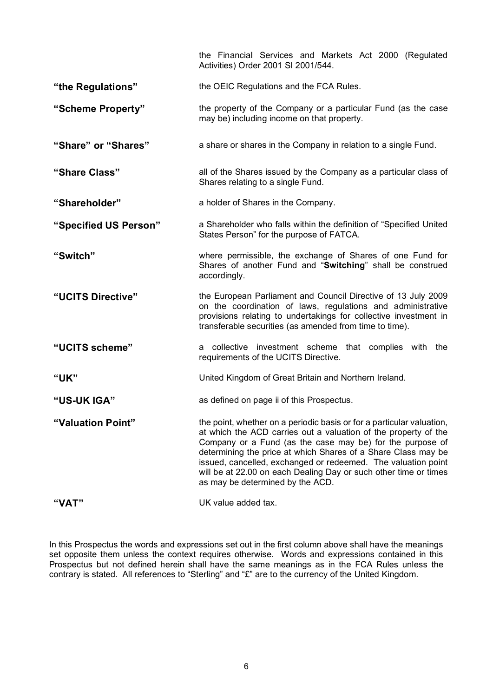|                       | the Financial Services and Markets Act 2000 (Regulated<br>Activities) Order 2001 SI 2001/544.                                                                                                                                                                                                                                                                                                                                                   |
|-----------------------|-------------------------------------------------------------------------------------------------------------------------------------------------------------------------------------------------------------------------------------------------------------------------------------------------------------------------------------------------------------------------------------------------------------------------------------------------|
| "the Regulations"     | the OEIC Regulations and the FCA Rules.                                                                                                                                                                                                                                                                                                                                                                                                         |
| "Scheme Property"     | the property of the Company or a particular Fund (as the case<br>may be) including income on that property.                                                                                                                                                                                                                                                                                                                                     |
| "Share" or "Shares"   | a share or shares in the Company in relation to a single Fund.                                                                                                                                                                                                                                                                                                                                                                                  |
| "Share Class"         | all of the Shares issued by the Company as a particular class of<br>Shares relating to a single Fund.                                                                                                                                                                                                                                                                                                                                           |
| "Shareholder"         | a holder of Shares in the Company.                                                                                                                                                                                                                                                                                                                                                                                                              |
| "Specified US Person" | a Shareholder who falls within the definition of "Specified United<br>States Person" for the purpose of FATCA.                                                                                                                                                                                                                                                                                                                                  |
| "Switch"              | where permissible, the exchange of Shares of one Fund for<br>Shares of another Fund and "Switching" shall be construed<br>accordingly.                                                                                                                                                                                                                                                                                                          |
| "UCITS Directive"     | the European Parliament and Council Directive of 13 July 2009<br>on the coordination of laws, regulations and administrative<br>provisions relating to undertakings for collective investment in<br>transferable securities (as amended from time to time).                                                                                                                                                                                     |
| "UCITS scheme"        | a collective investment scheme that complies with the<br>requirements of the UCITS Directive.                                                                                                                                                                                                                                                                                                                                                   |
| "UK"                  | United Kingdom of Great Britain and Northern Ireland.                                                                                                                                                                                                                                                                                                                                                                                           |
| "US-UK IGA"           | as defined on page ii of this Prospectus.                                                                                                                                                                                                                                                                                                                                                                                                       |
| "Valuation Point"     | the point, whether on a periodic basis or for a particular valuation,<br>at which the ACD carries out a valuation of the property of the<br>Company or a Fund (as the case may be) for the purpose of<br>determining the price at which Shares of a Share Class may be<br>issued, cancelled, exchanged or redeemed. The valuation point<br>will be at 22.00 on each Dealing Day or such other time or times<br>as may be determined by the ACD. |
| "VAT"                 | UK value added tax.                                                                                                                                                                                                                                                                                                                                                                                                                             |

In this Prospectus the words and expressions set out in the first column above shall have the meanings set opposite them unless the context requires otherwise. Words and expressions contained in this Prospectus but not defined herein shall have the same meanings as in the FCA Rules unless the contrary is stated. All references to "Sterling" and "£" are to the currency of the United Kingdom.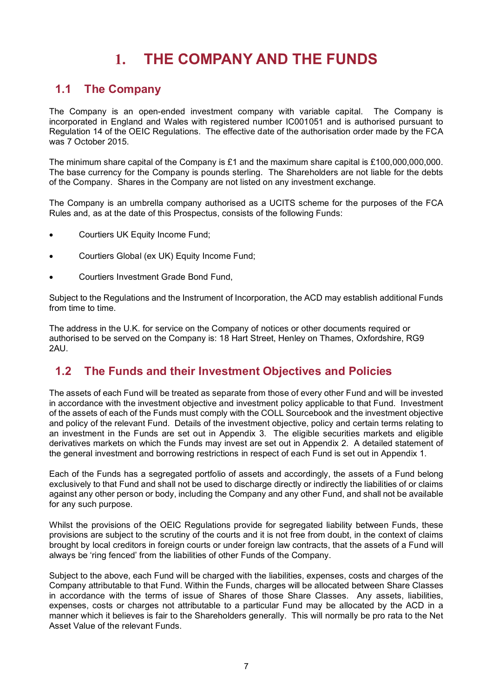# **1. THE COMPANY AND THE FUNDS**

### <span id="page-9-0"></span>**1.1 The Company**

The Company is an open-ended investment company with variable capital. The Company is incorporated in England and Wales with registered number IC001051 and is authorised pursuant to Regulation 14 of the OEIC Regulations. The effective date of the authorisation order made by the FCA was 7 October 2015.

The minimum share capital of the Company is  $£1$  and the maximum share capital is £100,000,000,000. The base currency for the Company is pounds sterling. The Shareholders are not liable for the debts of the Company. Shares in the Company are not listed on any investment exchange.

The Company is an umbrella company authorised as a UCITS scheme for the purposes of the FCA Rules and, as at the date of this Prospectus, consists of the following Funds:

- Courtiers UK Equity Income Fund;
- Courtiers Global (ex UK) Equity Income Fund;
- Courtiers Investment Grade Bond Fund,

Subject to the Regulations and the Instrument of Incorporation, the ACD may establish additional Funds from time to time.

The address in the U.K. for service on the Company of notices or other documents required or authorised to be served on the Company is: 18 Hart Street, Henley on Thames, Oxfordshire, RG9 2AU.

## **1.2 The Funds and their Investment Objectives and Policies**

The assets of each Fund will be treated as separate from those of every other Fund and will be invested in accordance with the investment objective and investment policy applicable to that Fund. Investment of the assets of each of the Funds must comply with the COLL Sourcebook and the investment objective and policy of the relevant Fund. Details of the investment objective, policy and certain terms relating to an investment in the Funds are set out in Appendix 3. The eligible securities markets and eligible derivatives markets on which the Funds may invest are set out in Appendix 2. A detailed statement of the general investment and borrowing restrictions in respect of each Fund is set out in Appendix 1.

Each of the Funds has a segregated portfolio of assets and accordingly, the assets of a Fund belong exclusively to that Fund and shall not be used to discharge directly or indirectly the liabilities of or claims against any other person or body, including the Company and any other Fund, and shall not be available for any such purpose.

Whilst the provisions of the OEIC Regulations provide for segregated liability between Funds, these provisions are subject to the scrutiny of the courts and it is not free from doubt, in the context of claims brought by local creditors in foreign courts or under foreign law contracts, that the assets of a Fund will always be 'ring fenced' from the liabilities of other Funds of the Company.

Subject to the above, each Fund will be charged with the liabilities, expenses, costs and charges of the Company attributable to that Fund. Within the Funds, charges will be allocated between Share Classes in accordance with the terms of issue of Shares of those Share Classes. Any assets, liabilities, expenses, costs or charges not attributable to a particular Fund may be allocated by the ACD in a manner which it believes is fair to the Shareholders generally. This will normally be pro rata to the Net Asset Value of the relevant Funds.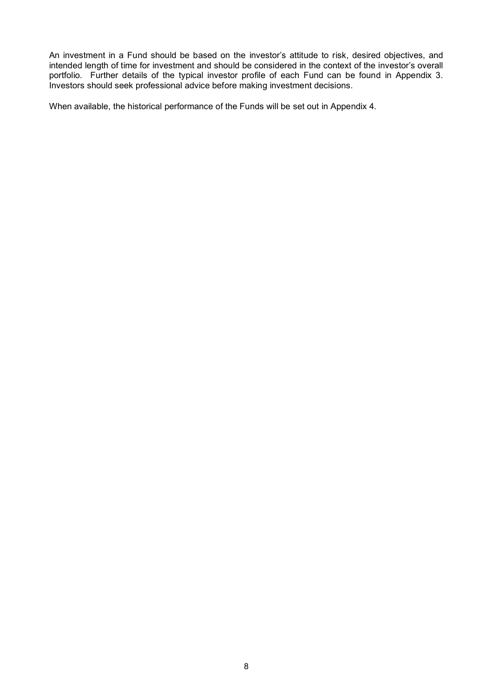An investment in a Fund should be based on the investor's attitude to risk, desired objectives, and intended length of time for investment and should be considered in the context of the investor's overall portfolio. Further details of the typical investor profile of each Fund can be found in Appendix 3. Investors should seek professional advice before making investment decisions.

When available, the historical performance of the Funds will be set out in Appendix 4.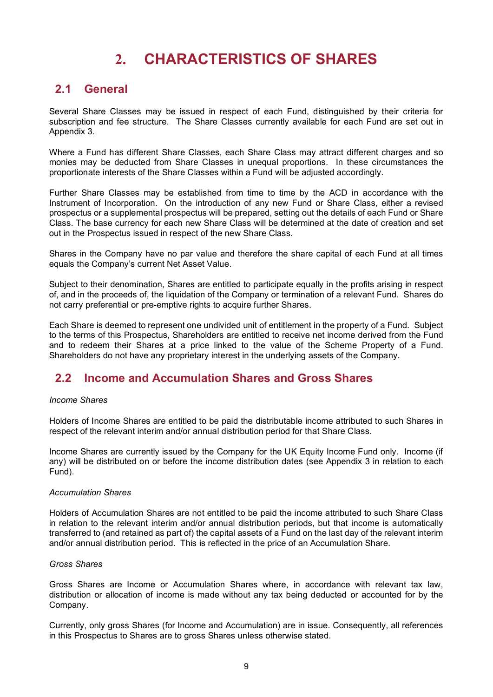# **2. CHARACTERISTICS OF SHARES**

#### <span id="page-11-0"></span>**2.1 General**

Several Share Classes may be issued in respect of each Fund, distinguished by their criteria for subscription and fee structure. The Share Classes currently available for each Fund are set out in Appendix 3.

Where a Fund has different Share Classes, each Share Class may attract different charges and so monies may be deducted from Share Classes in unequal proportions. In these circumstances the proportionate interests of the Share Classes within a Fund will be adjusted accordingly.

Further Share Classes may be established from time to time by the ACD in accordance with the Instrument of Incorporation. On the introduction of any new Fund or Share Class, either a revised prospectus or a supplemental prospectus will be prepared, setting out the details of each Fund or Share Class. The base currency for each new Share Class will be determined at the date of creation and set out in the Prospectus issued in respect of the new Share Class.

Shares in the Company have no par value and therefore the share capital of each Fund at all times equals the Company's current Net Asset Value.

Subject to their denomination, Shares are entitled to participate equally in the profits arising in respect of, and in the proceeds of, the liquidation of the Company or termination of a relevant Fund. Shares do not carry preferential or pre-emptive rights to acquire further Shares.

Each Share is deemed to represent one undivided unit of entitlement in the property of a Fund. Subject to the terms of this Prospectus, Shareholders are entitled to receive net income derived from the Fund and to redeem their Shares at a price linked to the value of the Scheme Property of a Fund. Shareholders do not have any proprietary interest in the underlying assets of the Company.

#### **2.2 Income and Accumulation Shares and Gross Shares**

#### *Income Shares*

Holders of Income Shares are entitled to be paid the distributable income attributed to such Shares in respect of the relevant interim and/or annual distribution period for that Share Class.

Income Shares are currently issued by the Company for the UK Equity Income Fund only. Income (if any) will be distributed on or before the income distribution dates (see Appendix 3 in relation to each Fund).

#### *Accumulation Shares*

Holders of Accumulation Shares are not entitled to be paid the income attributed to such Share Class in relation to the relevant interim and/or annual distribution periods, but that income is automatically transferred to (and retained as part of) the capital assets of a Fund on the last day of the relevant interim and/or annual distribution period. This is reflected in the price of an Accumulation Share.

#### *Gross Shares*

Gross Shares are Income or Accumulation Shares where, in accordance with relevant tax law, distribution or allocation of income is made without any tax being deducted or accounted for by the Company.

Currently, only gross Shares (for Income and Accumulation) are in issue. Consequently, all references in this Prospectus to Shares are to gross Shares unless otherwise stated.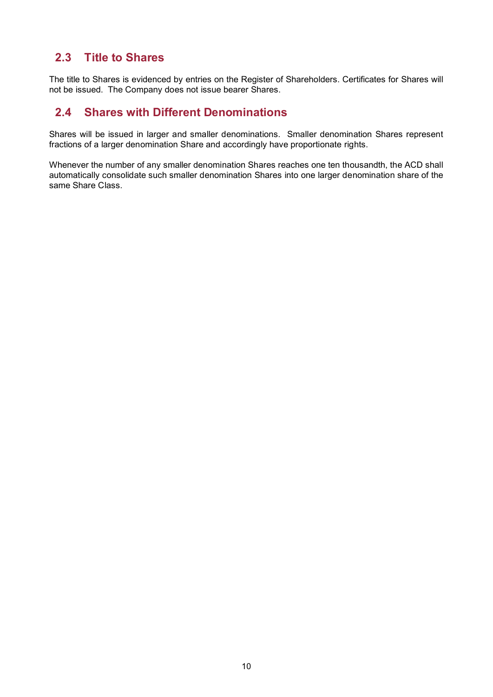## **2.3 Title to Shares**

The title to Shares is evidenced by entries on the Register of Shareholders. Certificates for Shares will not be issued. The Company does not issue bearer Shares.

## **2.4 Shares with Different Denominations**

Shares will be issued in larger and smaller denominations. Smaller denomination Shares represent fractions of a larger denomination Share and accordingly have proportionate rights.

Whenever the number of any smaller denomination Shares reaches one ten thousandth, the ACD shall automatically consolidate such smaller denomination Shares into one larger denomination share of the same Share Class.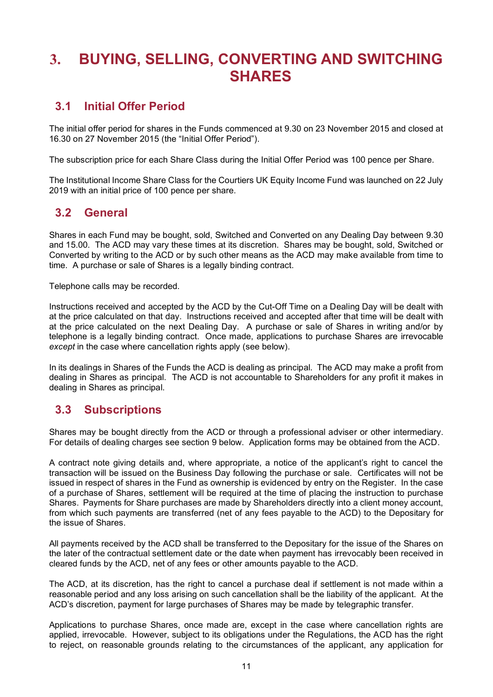# <span id="page-13-0"></span>**3. BUYING, SELLING, CONVERTING AND SWITCHING SHARES**

## **3.1 Initial Offer Period**

The initial offer period for shares in the Funds commenced at 9.30 on 23 November 2015 and closed at 16.30 on 27 November 2015 (the "Initial Offer Period").

The subscription price for each Share Class during the Initial Offer Period was 100 pence per Share.

The Institutional Income Share Class for the Courtiers UK Equity Income Fund was launched on 22 July 2019 with an initial price of 100 pence per share.

### **3.2 General**

Shares in each Fund may be bought, sold, Switched and Converted on any Dealing Day between 9.30 and 15.00. The ACD may vary these times at its discretion. Shares may be bought, sold, Switched or Converted by writing to the ACD or by such other means as the ACD may make available from time to time. A purchase or sale of Shares is a legally binding contract.

Telephone calls may be recorded.

Instructions received and accepted by the ACD by the Cut-Off Time on a Dealing Day will be dealt with at the price calculated on that day. Instructions received and accepted after that time will be dealt with at the price calculated on the next Dealing Day. A purchase or sale of Shares in writing and/or by telephone is a legally binding contract. Once made, applications to purchase Shares are irrevocable *except* in the case where cancellation rights apply (see below).

In its dealings in Shares of the Funds the ACD is dealing as principal. The ACD may make a profit from dealing in Shares as principal. The ACD is not accountable to Shareholders for any profit it makes in dealing in Shares as principal.

## **3.3 Subscriptions**

Shares may be bought directly from the ACD or through a professional adviser or other intermediary. For details of dealing charges see section 9 below. Application forms may be obtained from the ACD.

A contract note giving details and, where appropriate, a notice of the applicant's right to cancel the transaction will be issued on the Business Day following the purchase or sale. Certificates will not be issued in respect of shares in the Fund as ownership is evidenced by entry on the Register. In the case of a purchase of Shares, settlement will be required at the time of placing the instruction to purchase Shares. Payments for Share purchases are made by Shareholders directly into a client money account, from which such payments are transferred (net of any fees payable to the ACD) to the Depositary for the issue of Shares.

All payments received by the ACD shall be transferred to the Depositary for the issue of the Shares on the later of the contractual settlement date or the date when payment has irrevocably been received in cleared funds by the ACD, net of any fees or other amounts payable to the ACD.

The ACD, at its discretion, has the right to cancel a purchase deal if settlement is not made within a reasonable period and any loss arising on such cancellation shall be the liability of the applicant. At the ACD's discretion, payment for large purchases of Shares may be made by telegraphic transfer.

Applications to purchase Shares, once made are, except in the case where cancellation rights are applied, irrevocable. However, subject to its obligations under the Regulations, the ACD has the right to reject, on reasonable grounds relating to the circumstances of the applicant, any application for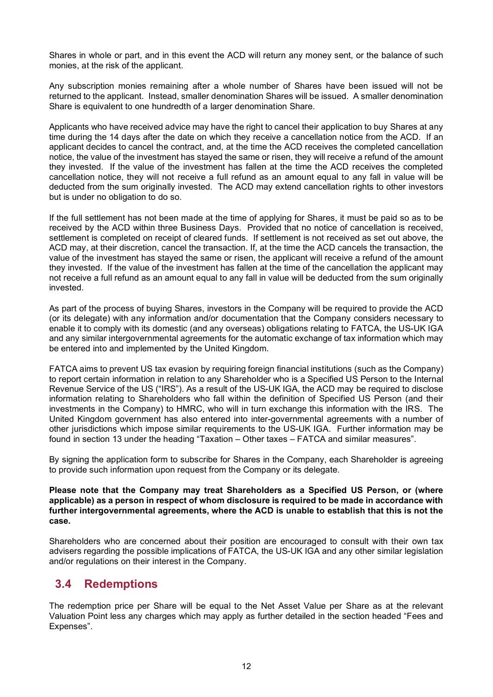Shares in whole or part, and in this event the ACD will return any money sent, or the balance of such monies, at the risk of the applicant.

Any subscription monies remaining after a whole number of Shares have been issued will not be returned to the applicant. Instead, smaller denomination Shares will be issued. A smaller denomination Share is equivalent to one hundredth of a larger denomination Share.

Applicants who have received advice may have the right to cancel their application to buy Shares at any time during the 14 days after the date on which they receive a cancellation notice from the ACD. If an applicant decides to cancel the contract, and, at the time the ACD receives the completed cancellation notice, the value of the investment has stayed the same or risen, they will receive a refund of the amount they invested. If the value of the investment has fallen at the time the ACD receives the completed cancellation notice, they will not receive a full refund as an amount equal to any fall in value will be deducted from the sum originally invested. The ACD may extend cancellation rights to other investors but is under no obligation to do so.

If the full settlement has not been made at the time of applying for Shares, it must be paid so as to be received by the ACD within three Business Days. Provided that no notice of cancellation is received, settlement is completed on receipt of cleared funds. If settlement is not received as set out above, the ACD may, at their discretion, cancel the transaction. If, at the time the ACD cancels the transaction, the value of the investment has stayed the same or risen, the applicant will receive a refund of the amount they invested. If the value of the investment has fallen at the time of the cancellation the applicant may not receive a full refund as an amount equal to any fall in value will be deducted from the sum originally invested.

As part of the process of buying Shares, investors in the Company will be required to provide the ACD (or its delegate) with any information and/or documentation that the Company considers necessary to enable it to comply with its domestic (and any overseas) obligations relating to FATCA, the US-UK IGA and any similar intergovernmental agreements for the automatic exchange of tax information which may be entered into and implemented by the United Kingdom.

FATCA aims to prevent US tax evasion by requiring foreign financial institutions (such as the Company) to report certain information in relation to any Shareholder who is a Specified US Person to the Internal Revenue Service of the US ("IRS"). As a result of the US-UK IGA, the ACD may be required to disclose information relating to Shareholders who fall within the definition of Specified US Person (and their investments in the Company) to HMRC, who will in turn exchange this information with the IRS. The United Kingdom government has also entered into inter-governmental agreements with a number of other jurisdictions which impose similar requirements to the US-UK IGA. Further information may be found in section 13 under the heading "Taxation – Other taxes – FATCA and similar measures".

By signing the application form to subscribe for Shares in the Company, each Shareholder is agreeing to provide such information upon request from the Company or its delegate.

#### **Please note that the Company may treat Shareholders as a Specified US Person, or (where applicable) as a person in respect of whom disclosure is required to be made in accordance with further intergovernmental agreements, where the ACD is unable to establish that this is not the case.**

Shareholders who are concerned about their position are encouraged to consult with their own tax advisers regarding the possible implications of FATCA, the US-UK IGA and any other similar legislation and/or regulations on their interest in the Company.

## **3.4 Redemptions**

The redemption price per Share will be equal to the Net Asset Value per Share as at the relevant Valuation Point less any charges which may apply as further detailed in the section headed "Fees and Expenses".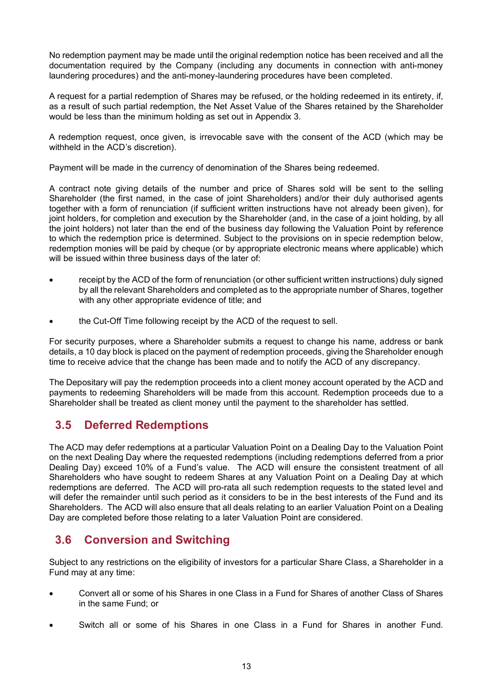No redemption payment may be made until the original redemption notice has been received and all the documentation required by the Company (including any documents in connection with anti-money laundering procedures) and the anti-money-laundering procedures have been completed.

A request for a partial redemption of Shares may be refused, or the holding redeemed in its entirety, if, as a result of such partial redemption, the Net Asset Value of the Shares retained by the Shareholder would be less than the minimum holding as set out in Appendix 3.

A redemption request, once given, is irrevocable save with the consent of the ACD (which may be withheld in the ACD's discretion).

Payment will be made in the currency of denomination of the Shares being redeemed.

A contract note giving details of the number and price of Shares sold will be sent to the selling Shareholder (the first named, in the case of joint Shareholders) and/or their duly authorised agents together with a form of renunciation (if sufficient written instructions have not already been given), for joint holders, for completion and execution by the Shareholder (and, in the case of a joint holding, by all the joint holders) not later than the end of the business day following the Valuation Point by reference to which the redemption price is determined. Subject to the provisions on in specie redemption below, redemption monies will be paid by cheque (or by appropriate electronic means where applicable) which will be issued within three business days of the later of:

- receipt by the ACD of the form of renunciation (or other sufficient written instructions) duly signed by all the relevant Shareholders and completed as to the appropriate number of Shares, together with any other appropriate evidence of title; and
- the Cut-Off Time following receipt by the ACD of the request to sell.

For security purposes, where a Shareholder submits a request to change his name, address or bank details, a 10 day block is placed on the payment of redemption proceeds, giving the Shareholder enough time to receive advice that the change has been made and to notify the ACD of any discrepancy.

The Depositary will pay the redemption proceeds into a client money account operated by the ACD and payments to redeeming Shareholders will be made from this account. Redemption proceeds due to a Shareholder shall be treated as client money until the payment to the shareholder has settled.

## **3.5 Deferred Redemptions**

The ACD may defer redemptions at a particular Valuation Point on a Dealing Day to the Valuation Point on the next Dealing Day where the requested redemptions (including redemptions deferred from a prior Dealing Day) exceed 10% of a Fund's value. The ACD will ensure the consistent treatment of all Shareholders who have sought to redeem Shares at any Valuation Point on a Dealing Day at which redemptions are deferred. The ACD will pro-rata all such redemption requests to the stated level and will defer the remainder until such period as it considers to be in the best interests of the Fund and its Shareholders. The ACD will also ensure that all deals relating to an earlier Valuation Point on a Dealing Day are completed before those relating to a later Valuation Point are considered.

## **3.6 Conversion and Switching**

Subject to any restrictions on the eligibility of investors for a particular Share Class, a Shareholder in a Fund may at any time:

- Convert all or some of his Shares in one Class in a Fund for Shares of another Class of Shares in the same Fund; or
- Switch all or some of his Shares in one Class in a Fund for Shares in another Fund.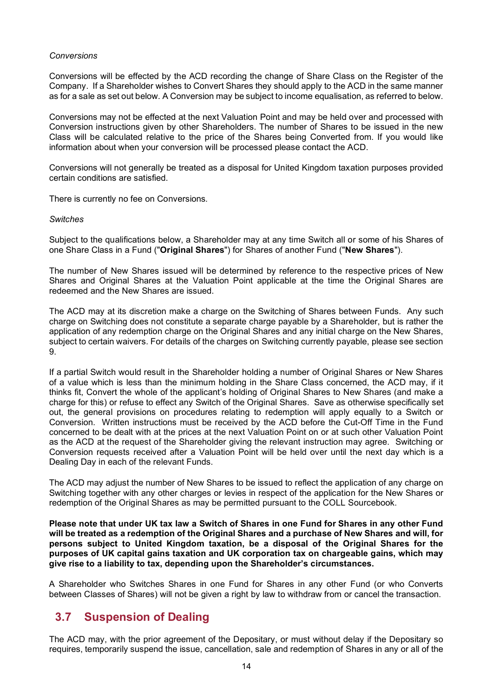#### *Conversions*

Conversions will be effected by the ACD recording the change of Share Class on the Register of the Company. If a Shareholder wishes to Convert Shares they should apply to the ACD in the same manner as for a sale as set out below. A Conversion may be subject to income equalisation, as referred to below.

Conversions may not be effected at the next Valuation Point and may be held over and processed with Conversion instructions given by other Shareholders. The number of Shares to be issued in the new Class will be calculated relative to the price of the Shares being Converted from. If you would like information about when your conversion will be processed please contact the ACD.

Conversions will not generally be treated as a disposal for United Kingdom taxation purposes provided certain conditions are satisfied.

There is currently no fee on Conversions*.*

#### *Switches*

Subject to the qualifications below, a Shareholder may at any time Switch all or some of his Shares of one Share Class in a Fund ("**Original Shares**") for Shares of another Fund ("**New Shares**").

The number of New Shares issued will be determined by reference to the respective prices of New Shares and Original Shares at the Valuation Point applicable at the time the Original Shares are redeemed and the New Shares are issued.

The ACD may at its discretion make a charge on the Switching of Shares between Funds. Any such charge on Switching does not constitute a separate charge payable by a Shareholder, but is rather the application of any redemption charge on the Original Shares and any initial charge on the New Shares, subject to certain waivers. For details of the charges on Switching currently payable, please see section 9.

If a partial Switch would result in the Shareholder holding a number of Original Shares or New Shares of a value which is less than the minimum holding in the Share Class concerned, the ACD may, if it thinks fit, Convert the whole of the applicant's holding of Original Shares to New Shares (and make a charge for this) or refuse to effect any Switch of the Original Shares. Save as otherwise specifically set out, the general provisions on procedures relating to redemption will apply equally to a Switch or Conversion. Written instructions must be received by the ACD before the Cut-Off Time in the Fund concerned to be dealt with at the prices at the next Valuation Point on or at such other Valuation Point as the ACD at the request of the Shareholder giving the relevant instruction may agree. Switching or Conversion requests received after a Valuation Point will be held over until the next day which is a Dealing Day in each of the relevant Funds.

The ACD may adjust the number of New Shares to be issued to reflect the application of any charge on Switching together with any other charges or levies in respect of the application for the New Shares or redemption of the Original Shares as may be permitted pursuant to the COLL Sourcebook.

**Please note that under UK tax law a Switch of Shares in one Fund for Shares in any other Fund will be treated as a redemption of the Original Shares and a purchase of New Shares and will, for persons subject to United Kingdom taxation, be a disposal of the Original Shares for the purposes of UK capital gains taxation and UK corporation tax on chargeable gains, which may give rise to a liability to tax, depending upon the Shareholder's circumstances.** 

A Shareholder who Switches Shares in one Fund for Shares in any other Fund (or who Converts between Classes of Shares) will not be given a right by law to withdraw from or cancel the transaction.

#### **3.7 Suspension of Dealing**

The ACD may, with the prior agreement of the Depositary, or must without delay if the Depositary so requires, temporarily suspend the issue, cancellation, sale and redemption of Shares in any or all of the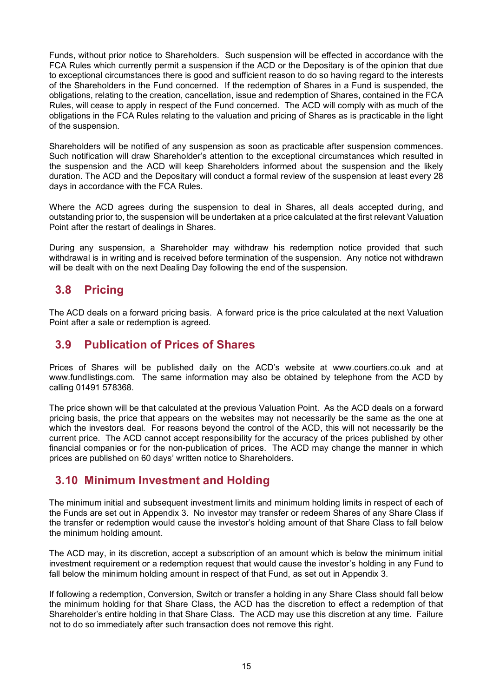Funds, without prior notice to Shareholders. Such suspension will be effected in accordance with the FCA Rules which currently permit a suspension if the ACD or the Depositary is of the opinion that due to exceptional circumstances there is good and sufficient reason to do so having regard to the interests of the Shareholders in the Fund concerned. If the redemption of Shares in a Fund is suspended, the obligations, relating to the creation, cancellation, issue and redemption of Shares, contained in the FCA Rules, will cease to apply in respect of the Fund concerned. The ACD will comply with as much of the obligations in the FCA Rules relating to the valuation and pricing of Shares as is practicable in the light of the suspension.

Shareholders will be notified of any suspension as soon as practicable after suspension commences. Such notification will draw Shareholder's attention to the exceptional circumstances which resulted in the suspension and the ACD will keep Shareholders informed about the suspension and the likely duration. The ACD and the Depositary will conduct a formal review of the suspension at least every 28 days in accordance with the FCA Rules.

Where the ACD agrees during the suspension to deal in Shares, all deals accepted during, and outstanding prior to, the suspension will be undertaken at a price calculated at the first relevant Valuation Point after the restart of dealings in Shares.

During any suspension, a Shareholder may withdraw his redemption notice provided that such withdrawal is in writing and is received before termination of the suspension. Any notice not withdrawn will be dealt with on the next Dealing Day following the end of the suspension.

### **3.8 Pricing**

The ACD deals on a forward pricing basis. A forward price is the price calculated at the next Valuation Point after a sale or redemption is agreed.

#### **3.9 Publication of Prices of Shares**

Prices of Shares will be published daily on the ACD's website at www.courtiers.co.uk and at www.fundlistings.com. The same information may also be obtained by telephone from the ACD by calling 01491 578368.

The price shown will be that calculated at the previous Valuation Point. As the ACD deals on a forward pricing basis, the price that appears on the websites may not necessarily be the same as the one at which the investors deal. For reasons beyond the control of the ACD, this will not necessarily be the current price. The ACD cannot accept responsibility for the accuracy of the prices published by other financial companies or for the non-publication of prices. The ACD may change the manner in which prices are published on 60 days' written notice to Shareholders.

#### **3.10 Minimum Investment and Holding**

The minimum initial and subsequent investment limits and minimum holding limits in respect of each of the Funds are set out in Appendix 3. No investor may transfer or redeem Shares of any Share Class if the transfer or redemption would cause the investor's holding amount of that Share Class to fall below the minimum holding amount.

The ACD may, in its discretion, accept a subscription of an amount which is below the minimum initial investment requirement or a redemption request that would cause the investor's holding in any Fund to fall below the minimum holding amount in respect of that Fund, as set out in Appendix 3.

If following a redemption, Conversion, Switch or transfer a holding in any Share Class should fall below the minimum holding for that Share Class, the ACD has the discretion to effect a redemption of that Shareholder's entire holding in that Share Class. The ACD may use this discretion at any time. Failure not to do so immediately after such transaction does not remove this right.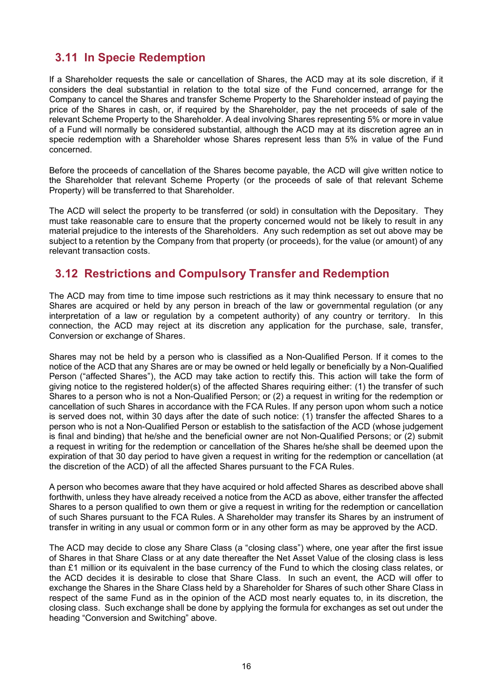## **3.11 In Specie Redemption**

If a Shareholder requests the sale or cancellation of Shares, the ACD may at its sole discretion, if it considers the deal substantial in relation to the total size of the Fund concerned, arrange for the Company to cancel the Shares and transfer Scheme Property to the Shareholder instead of paying the price of the Shares in cash, or, if required by the Shareholder, pay the net proceeds of sale of the relevant Scheme Property to the Shareholder. A deal involving Shares representing 5% or more in value of a Fund will normally be considered substantial, although the ACD may at its discretion agree an in specie redemption with a Shareholder whose Shares represent less than 5% in value of the Fund concerned.

Before the proceeds of cancellation of the Shares become payable, the ACD will give written notice to the Shareholder that relevant Scheme Property (or the proceeds of sale of that relevant Scheme Property) will be transferred to that Shareholder.

The ACD will select the property to be transferred (or sold) in consultation with the Depositary. They must take reasonable care to ensure that the property concerned would not be likely to result in any material prejudice to the interests of the Shareholders. Any such redemption as set out above may be subject to a retention by the Company from that property (or proceeds), for the value (or amount) of any relevant transaction costs.

#### **3.12 Restrictions and Compulsory Transfer and Redemption**

The ACD may from time to time impose such restrictions as it may think necessary to ensure that no Shares are acquired or held by any person in breach of the law or governmental regulation (or any interpretation of a law or regulation by a competent authority) of any country or territory. In this connection, the ACD may reject at its discretion any application for the purchase, sale, transfer, Conversion or exchange of Shares.

Shares may not be held by a person who is classified as a Non-Qualified Person. If it comes to the notice of the ACD that any Shares are or may be owned or held legally or beneficially by a Non-Qualified Person ("affected Shares"), the ACD may take action to rectify this. This action will take the form of giving notice to the registered holder(s) of the affected Shares requiring either: (1) the transfer of such Shares to a person who is not a Non-Qualified Person; or (2) a request in writing for the redemption or cancellation of such Shares in accordance with the FCA Rules. If any person upon whom such a notice is served does not, within 30 days after the date of such notice: (1) transfer the affected Shares to a person who is not a Non-Qualified Person or establish to the satisfaction of the ACD (whose judgement is final and binding) that he/she and the beneficial owner are not Non-Qualified Persons; or (2) submit a request in writing for the redemption or cancellation of the Shares he/she shall be deemed upon the expiration of that 30 day period to have given a request in writing for the redemption or cancellation (at the discretion of the ACD) of all the affected Shares pursuant to the FCA Rules.

A person who becomes aware that they have acquired or hold affected Shares as described above shall forthwith, unless they have already received a notice from the ACD as above, either transfer the affected Shares to a person qualified to own them or give a request in writing for the redemption or cancellation of such Shares pursuant to the FCA Rules. A Shareholder may transfer its Shares by an instrument of transfer in writing in any usual or common form or in any other form as may be approved by the ACD.

The ACD may decide to close any Share Class (a "closing class") where, one year after the first issue of Shares in that Share Class or at any date thereafter the Net Asset Value of the closing class is less than £1 million or its equivalent in the base currency of the Fund to which the closing class relates, or the ACD decides it is desirable to close that Share Class. In such an event, the ACD will offer to exchange the Shares in the Share Class held by a Shareholder for Shares of such other Share Class in respect of the same Fund as in the opinion of the ACD most nearly equates to, in its discretion, the closing class. Such exchange shall be done by applying the formula for exchanges as set out under the heading "Conversion and Switching" above.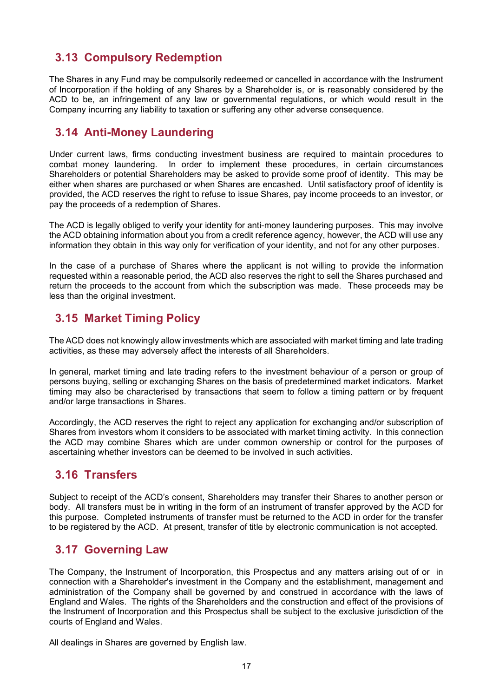## **3.13 Compulsory Redemption**

The Shares in any Fund may be compulsorily redeemed or cancelled in accordance with the Instrument of Incorporation if the holding of any Shares by a Shareholder is, or is reasonably considered by the ACD to be, an infringement of any law or governmental regulations, or which would result in the Company incurring any liability to taxation or suffering any other adverse consequence.

## **3.14 Anti-Money Laundering**

Under current laws, firms conducting investment business are required to maintain procedures to combat money laundering. In order to implement these procedures, in certain circumstances Shareholders or potential Shareholders may be asked to provide some proof of identity. This may be either when shares are purchased or when Shares are encashed. Until satisfactory proof of identity is provided, the ACD reserves the right to refuse to issue Shares, pay income proceeds to an investor, or pay the proceeds of a redemption of Shares.

The ACD is legally obliged to verify your identity for anti-money laundering purposes. This may involve the ACD obtaining information about you from a credit reference agency, however, the ACD will use any information they obtain in this way only for verification of your identity, and not for any other purposes.

In the case of a purchase of Shares where the applicant is not willing to provide the information requested within a reasonable period, the ACD also reserves the right to sell the Shares purchased and return the proceeds to the account from which the subscription was made. These proceeds may be less than the original investment.

## **3.15 Market Timing Policy**

The ACD does not knowingly allow investments which are associated with market timing and late trading activities, as these may adversely affect the interests of all Shareholders.

In general, market timing and late trading refers to the investment behaviour of a person or group of persons buying, selling or exchanging Shares on the basis of predetermined market indicators. Market timing may also be characterised by transactions that seem to follow a timing pattern or by frequent and/or large transactions in Shares.

Accordingly, the ACD reserves the right to reject any application for exchanging and/or subscription of Shares from investors whom it considers to be associated with market timing activity. In this connection the ACD may combine Shares which are under common ownership or control for the purposes of ascertaining whether investors can be deemed to be involved in such activities.

## **3.16 Transfers**

Subject to receipt of the ACD's consent, Shareholders may transfer their Shares to another person or body. All transfers must be in writing in the form of an instrument of transfer approved by the ACD for this purpose. Completed instruments of transfer must be returned to the ACD in order for the transfer to be registered by the ACD. At present, transfer of title by electronic communication is not accepted.

## **3.17 Governing Law**

The Company, the Instrument of Incorporation, this Prospectus and any matters arising out of or in connection with a Shareholder's investment in the Company and the establishment, management and administration of the Company shall be governed by and construed in accordance with the laws of England and Wales. The rights of the Shareholders and the construction and effect of the provisions of the Instrument of Incorporation and this Prospectus shall be subject to the exclusive jurisdiction of the courts of England and Wales.

All dealings in Shares are governed by English law.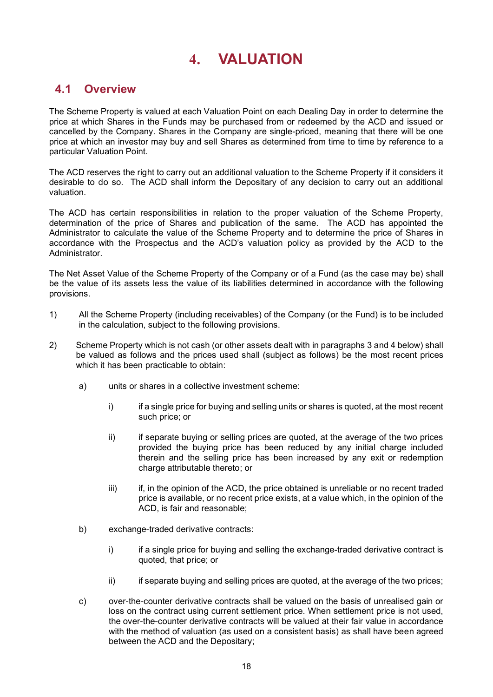## **4. VALUATION**

### <span id="page-20-0"></span>**4.1 Overview**

The Scheme Property is valued at each Valuation Point on each Dealing Day in order to determine the price at which Shares in the Funds may be purchased from or redeemed by the ACD and issued or cancelled by the Company. Shares in the Company are single-priced, meaning that there will be one price at which an investor may buy and sell Shares as determined from time to time by reference to a particular Valuation Point.

The ACD reserves the right to carry out an additional valuation to the Scheme Property if it considers it desirable to do so. The ACD shall inform the Depositary of any decision to carry out an additional valuation.

The ACD has certain responsibilities in relation to the proper valuation of the Scheme Property, determination of the price of Shares and publication of the same. The ACD has appointed the Administrator to calculate the value of the Scheme Property and to determine the price of Shares in accordance with the Prospectus and the ACD's valuation policy as provided by the ACD to the Administrator.

The Net Asset Value of the Scheme Property of the Company or of a Fund (as the case may be) shall be the value of its assets less the value of its liabilities determined in accordance with the following provisions.

- 1) All the Scheme Property (including receivables) of the Company (or the Fund) is to be included in the calculation, subject to the following provisions.
- 2) Scheme Property which is not cash (or other assets dealt with in paragraphs 3 and 4 below) shall be valued as follows and the prices used shall (subject as follows) be the most recent prices which it has been practicable to obtain:
	- a) units or shares in a collective investment scheme:
		- i) if a single price for buying and selling units or shares is quoted, at the most recent such price; or
		- ii) if separate buying or selling prices are quoted, at the average of the two prices provided the buying price has been reduced by any initial charge included therein and the selling price has been increased by any exit or redemption charge attributable thereto; or
		- iii) if, in the opinion of the ACD, the price obtained is unreliable or no recent traded price is available, or no recent price exists, at a value which, in the opinion of the ACD, is fair and reasonable;
	- b) exchange-traded derivative contracts:
		- i) if a single price for buying and selling the exchange-traded derivative contract is quoted, that price; or
		- ii) if separate buying and selling prices are quoted, at the average of the two prices;
	- c) over-the-counter derivative contracts shall be valued on the basis of unrealised gain or loss on the contract using current settlement price. When settlement price is not used, the over-the-counter derivative contracts will be valued at their fair value in accordance with the method of valuation (as used on a consistent basis) as shall have been agreed between the ACD and the Depositary;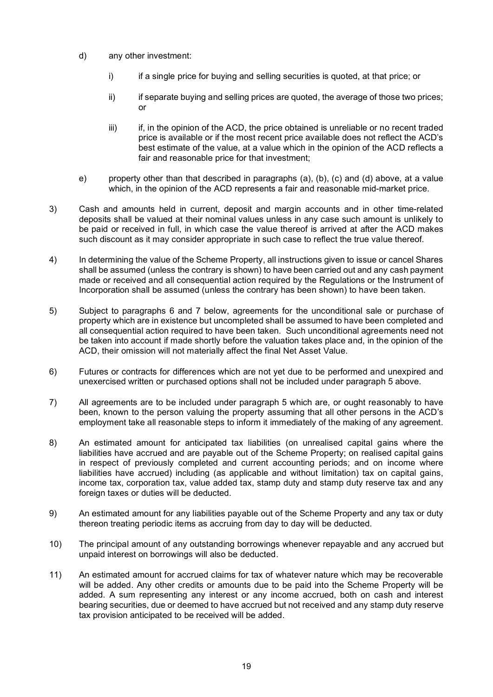- d) any other investment:
	- i) if a single price for buying and selling securities is quoted, at that price; or
	- ii) if separate buying and selling prices are quoted, the average of those two prices; or
	- iii) if, in the opinion of the ACD, the price obtained is unreliable or no recent traded price is available or if the most recent price available does not reflect the ACD's best estimate of the value, at a value which in the opinion of the ACD reflects a fair and reasonable price for that investment;
- e) property other than that described in paragraphs (a), (b), (c) and (d) above, at a value which, in the opinion of the ACD represents a fair and reasonable mid-market price.
- 3) Cash and amounts held in current, deposit and margin accounts and in other time-related deposits shall be valued at their nominal values unless in any case such amount is unlikely to be paid or received in full, in which case the value thereof is arrived at after the ACD makes such discount as it may consider appropriate in such case to reflect the true value thereof.
- 4) In determining the value of the Scheme Property, all instructions given to issue or cancel Shares shall be assumed (unless the contrary is shown) to have been carried out and any cash payment made or received and all consequential action required by the Regulations or the Instrument of Incorporation shall be assumed (unless the contrary has been shown) to have been taken.
- 5) Subject to paragraphs 6 and 7 below, agreements for the unconditional sale or purchase of property which are in existence but uncompleted shall be assumed to have been completed and all consequential action required to have been taken. Such unconditional agreements need not be taken into account if made shortly before the valuation takes place and, in the opinion of the ACD, their omission will not materially affect the final Net Asset Value.
- 6) Futures or contracts for differences which are not yet due to be performed and unexpired and unexercised written or purchased options shall not be included under paragraph 5 above.
- 7) All agreements are to be included under paragraph 5 which are, or ought reasonably to have been, known to the person valuing the property assuming that all other persons in the ACD's employment take all reasonable steps to inform it immediately of the making of any agreement.
- 8) An estimated amount for anticipated tax liabilities (on unrealised capital gains where the liabilities have accrued and are payable out of the Scheme Property; on realised capital gains in respect of previously completed and current accounting periods; and on income where liabilities have accrued) including (as applicable and without limitation) tax on capital gains, income tax, corporation tax, value added tax, stamp duty and stamp duty reserve tax and any foreign taxes or duties will be deducted.
- 9) An estimated amount for any liabilities payable out of the Scheme Property and any tax or duty thereon treating periodic items as accruing from day to day will be deducted.
- 10) The principal amount of any outstanding borrowings whenever repayable and any accrued but unpaid interest on borrowings will also be deducted.
- 11) An estimated amount for accrued claims for tax of whatever nature which may be recoverable will be added. Any other credits or amounts due to be paid into the Scheme Property will be added. A sum representing any interest or any income accrued, both on cash and interest bearing securities, due or deemed to have accrued but not received and any stamp duty reserve tax provision anticipated to be received will be added.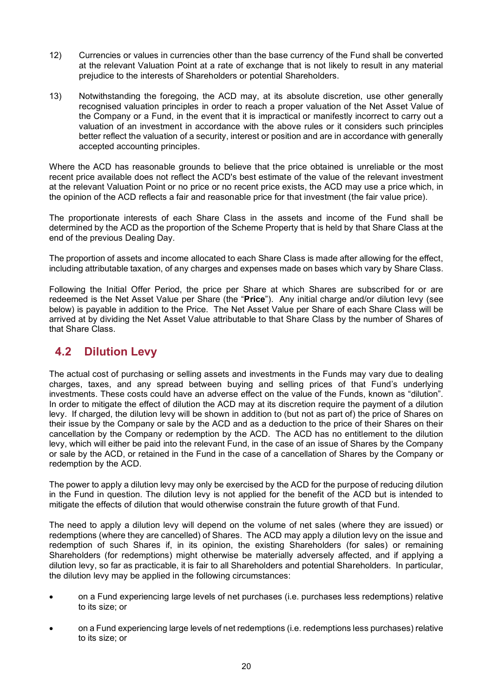- 12) Currencies or values in currencies other than the base currency of the Fund shall be converted at the relevant Valuation Point at a rate of exchange that is not likely to result in any material prejudice to the interests of Shareholders or potential Shareholders.
- 13) Notwithstanding the foregoing, the ACD may, at its absolute discretion, use other generally recognised valuation principles in order to reach a proper valuation of the Net Asset Value of the Company or a Fund, in the event that it is impractical or manifestly incorrect to carry out a valuation of an investment in accordance with the above rules or it considers such principles better reflect the valuation of a security, interest or position and are in accordance with generally accepted accounting principles.

Where the ACD has reasonable grounds to believe that the price obtained is unreliable or the most recent price available does not reflect the ACD's best estimate of the value of the relevant investment at the relevant Valuation Point or no price or no recent price exists, the ACD may use a price which, in the opinion of the ACD reflects a fair and reasonable price for that investment (the fair value price).

The proportionate interests of each Share Class in the assets and income of the Fund shall be determined by the ACD as the proportion of the Scheme Property that is held by that Share Class at the end of the previous Dealing Day.

The proportion of assets and income allocated to each Share Class is made after allowing for the effect, including attributable taxation, of any charges and expenses made on bases which vary by Share Class.

Following the Initial Offer Period, the price per Share at which Shares are subscribed for or are redeemed is the Net Asset Value per Share (the "**Price**"). Any initial charge and/or dilution levy (see below) is payable in addition to the Price. The Net Asset Value per Share of each Share Class will be arrived at by dividing the Net Asset Value attributable to that Share Class by the number of Shares of that Share Class.

## **4.2 Dilution Levy**

The actual cost of purchasing or selling assets and investments in the Funds may vary due to dealing charges, taxes, and any spread between buying and selling prices of that Fund's underlying investments. These costs could have an adverse effect on the value of the Funds, known as "dilution". In order to mitigate the effect of dilution the ACD may at its discretion require the payment of a dilution levy. If charged, the dilution levy will be shown in addition to (but not as part of) the price of Shares on their issue by the Company or sale by the ACD and as a deduction to the price of their Shares on their cancellation by the Company or redemption by the ACD. The ACD has no entitlement to the dilution levy, which will either be paid into the relevant Fund, in the case of an issue of Shares by the Company or sale by the ACD, or retained in the Fund in the case of a cancellation of Shares by the Company or redemption by the ACD.

The power to apply a dilution levy may only be exercised by the ACD for the purpose of reducing dilution in the Fund in question. The dilution levy is not applied for the benefit of the ACD but is intended to mitigate the effects of dilution that would otherwise constrain the future growth of that Fund.

The need to apply a dilution levy will depend on the volume of net sales (where they are issued) or redemptions (where they are cancelled) of Shares. The ACD may apply a dilution levy on the issue and redemption of such Shares if, in its opinion, the existing Shareholders (for sales) or remaining Shareholders (for redemptions) might otherwise be materially adversely affected, and if applying a dilution levy, so far as practicable, it is fair to all Shareholders and potential Shareholders. In particular, the dilution levy may be applied in the following circumstances:

- on a Fund experiencing large levels of net purchases (i.e. purchases less redemptions) relative to its size; or
- on a Fund experiencing large levels of net redemptions (i.e. redemptions less purchases) relative to its size; or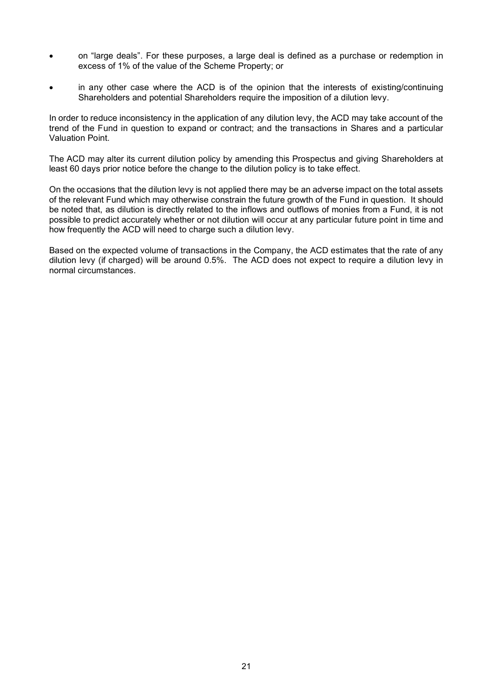- on "large deals". For these purposes, a large deal is defined as a purchase or redemption in excess of 1% of the value of the Scheme Property; or
- in any other case where the ACD is of the opinion that the interests of existing/continuing Shareholders and potential Shareholders require the imposition of a dilution levy.

In order to reduce inconsistency in the application of any dilution levy, the ACD may take account of the trend of the Fund in question to expand or contract; and the transactions in Shares and a particular Valuation Point.

The ACD may alter its current dilution policy by amending this Prospectus and giving Shareholders at least 60 days prior notice before the change to the dilution policy is to take effect.

On the occasions that the dilution levy is not applied there may be an adverse impact on the total assets of the relevant Fund which may otherwise constrain the future growth of the Fund in question. It should be noted that, as dilution is directly related to the inflows and outflows of monies from a Fund, it is not possible to predict accurately whether or not dilution will occur at any particular future point in time and how frequently the ACD will need to charge such a dilution levy.

Based on the expected volume of transactions in the Company, the ACD estimates that the rate of any dilution levy (if charged) will be around 0.5%. The ACD does not expect to require a dilution levy in normal circumstances.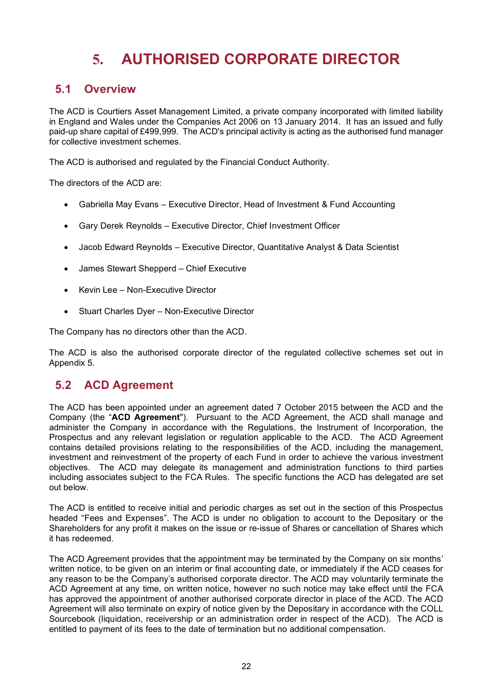# **5. AUTHORISED CORPORATE DIRECTOR**

#### <span id="page-24-0"></span>**5.1 Overview**

The ACD is Courtiers Asset Management Limited, a private company incorporated with limited liability in England and Wales under the Companies Act 2006 on 13 January 2014. It has an issued and fully paid-up share capital of £499,999. The ACD's principal activity is acting as the authorised fund manager for collective investment schemes.

The ACD is authorised and regulated by the Financial Conduct Authority.

The directors of the ACD are:

- Gabriella May Evans Executive Director, Head of Investment & Fund Accounting
- Gary Derek Reynolds Executive Director, Chief Investment Officer
- Jacob Edward Reynolds Executive Director, Quantitative Analyst & Data Scientist
- James Stewart Shepperd Chief Executive
- Kevin Lee Non-Executive Director
- Stuart Charles Dyer Non-Executive Director

The Company has no directors other than the ACD.

The ACD is also the authorised corporate director of the regulated collective schemes set out in Appendix 5.

#### **5.2 ACD Agreement**

The ACD has been appointed under an agreement dated 7 October 2015 between the ACD and the Company (the "**ACD Agreement**"). Pursuant to the ACD Agreement, the ACD shall manage and administer the Company in accordance with the Regulations, the Instrument of Incorporation, the Prospectus and any relevant legislation or regulation applicable to the ACD. The ACD Agreement contains detailed provisions relating to the responsibilities of the ACD, including the management, investment and reinvestment of the property of each Fund in order to achieve the various investment objectives. The ACD may delegate its management and administration functions to third parties including associates subject to the FCA Rules. The specific functions the ACD has delegated are set out below.

The ACD is entitled to receive initial and periodic charges as set out in the section of this Prospectus headed "Fees and Expenses". The ACD is under no obligation to account to the Depositary or the Shareholders for any profit it makes on the issue or re-issue of Shares or cancellation of Shares which it has redeemed.

The ACD Agreement provides that the appointment may be terminated by the Company on six months' written notice, to be given on an interim or final accounting date, or immediately if the ACD ceases for any reason to be the Company's authorised corporate director. The ACD may voluntarily terminate the ACD Agreement at any time, on written notice, however no such notice may take effect until the FCA has approved the appointment of another authorised corporate director in place of the ACD. The ACD Agreement will also terminate on expiry of notice given by the Depositary in accordance with the COLL Sourcebook (liquidation, receivership or an administration order in respect of the ACD). The ACD is entitled to payment of its fees to the date of termination but no additional compensation.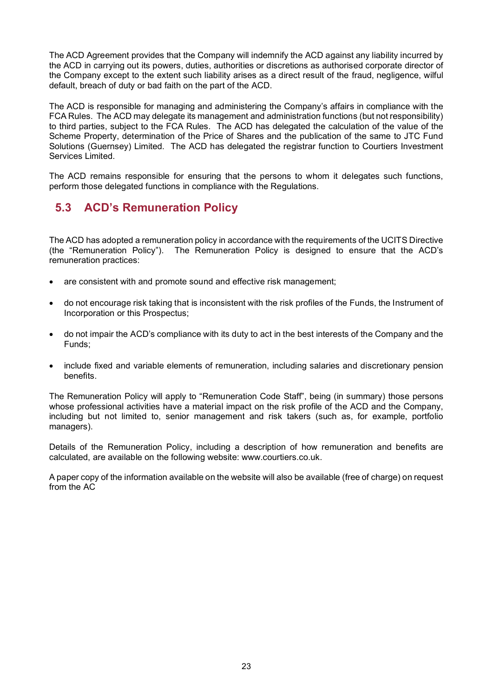The ACD Agreement provides that the Company will indemnify the ACD against any liability incurred by the ACD in carrying out its powers, duties, authorities or discretions as authorised corporate director of the Company except to the extent such liability arises as a direct result of the fraud, negligence, wilful default, breach of duty or bad faith on the part of the ACD.

The ACD is responsible for managing and administering the Company's affairs in compliance with the FCA Rules. The ACD may delegate its management and administration functions (but not responsibility) to third parties, subject to the FCA Rules. The ACD has delegated the calculation of the value of the Scheme Property, determination of the Price of Shares and the publication of the same to JTC Fund Solutions (Guernsey) Limited. The ACD has delegated the registrar function to Courtiers Investment Services Limited.

The ACD remains responsible for ensuring that the persons to whom it delegates such functions, perform those delegated functions in compliance with the Regulations.

## **5.3 ACD's Remuneration Policy**

The ACD has adopted a remuneration policy in accordance with the requirements of the UCITS Directive (the "Remuneration Policy"). The Remuneration Policy is designed to ensure that the ACD's remuneration practices:

- are consistent with and promote sound and effective risk management;
- do not encourage risk taking that is inconsistent with the risk profiles of the Funds, the Instrument of Incorporation or this Prospectus;
- do not impair the ACD's compliance with its duty to act in the best interests of the Company and the Funds;
- include fixed and variable elements of remuneration, including salaries and discretionary pension benefits.

The Remuneration Policy will apply to "Remuneration Code Staff", being (in summary) those persons whose professional activities have a material impact on the risk profile of the ACD and the Company, including but not limited to, senior management and risk takers (such as, for example, portfolio managers).

Details of the Remuneration Policy, including a description of how remuneration and benefits are calculated, are available on the following website: www.courtiers.co.uk.

A paper copy of the information available on the website will also be available (free of charge) on request from the AC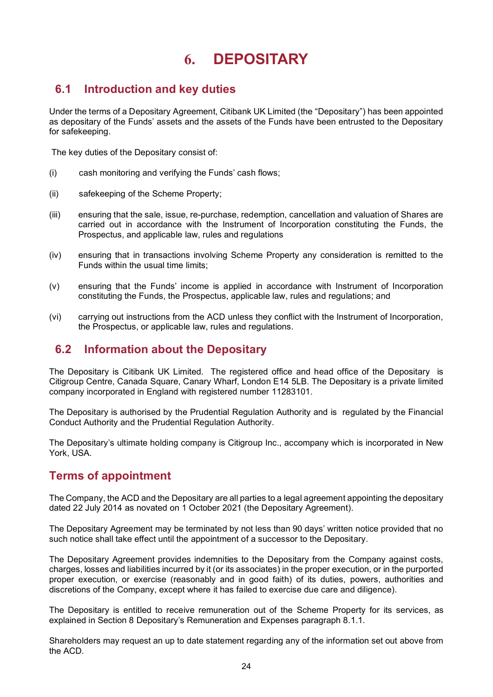# **6. DEPOSITARY**

## <span id="page-26-0"></span>**6.1 Introduction and key duties**

Under the terms of a Depositary Agreement, Citibank UK Limited (the "Depositary") has been appointed as depositary of the Funds' assets and the assets of the Funds have been entrusted to the Depositary for safekeeping.

The key duties of the Depositary consist of:

- (i) cash monitoring and verifying the Funds' cash flows;
- (ii) safekeeping of the Scheme Property;
- (iii) ensuring that the sale, issue, re-purchase, redemption, cancellation and valuation of Shares are carried out in accordance with the Instrument of Incorporation constituting the Funds, the Prospectus, and applicable law, rules and regulations
- (iv) ensuring that in transactions involving Scheme Property any consideration is remitted to the Funds within the usual time limits;
- (v) ensuring that the Funds' income is applied in accordance with Instrument of Incorporation constituting the Funds, the Prospectus, applicable law, rules and regulations; and
- (vi) carrying out instructions from the ACD unless they conflict with the Instrument of Incorporation, the Prospectus, or applicable law, rules and regulations.

#### **6.2 Information about the Depositary**

The Depositary is Citibank UK Limited. The registered office and head office of the Depositary is Citigroup Centre, Canada Square, Canary Wharf, London E14 5LB. The Depositary is a private limited company incorporated in England with registered number 11283101.

The Depositary is authorised by the Prudential Regulation Authority and is regulated by the Financial Conduct Authority and the Prudential Regulation Authority.

The Depositary's ultimate holding company is Citigroup Inc., accompany which is incorporated in New York, USA.

## **Terms of appointment**

The Company, the ACD and the Depositary are all parties to a legal agreement appointing the depositary dated 22 July 2014 as novated on 1 October 2021 (the Depositary Agreement).

The Depositary Agreement may be terminated by not less than 90 days' written notice provided that no such notice shall take effect until the appointment of a successor to the Depositary.

The Depositary Agreement provides indemnities to the Depositary from the Company against costs, charges, losses and liabilities incurred by it (or its associates) in the proper execution, or in the purported proper execution, or exercise (reasonably and in good faith) of its duties, powers, authorities and discretions of the Company, except where it has failed to exercise due care and diligence).

The Depositary is entitled to receive remuneration out of the Scheme Property for its services, as explained in Section 8 Depositary's Remuneration and Expenses paragraph 8.1.1.

Shareholders may request an up to date statement regarding any of the information set out above from the ACD.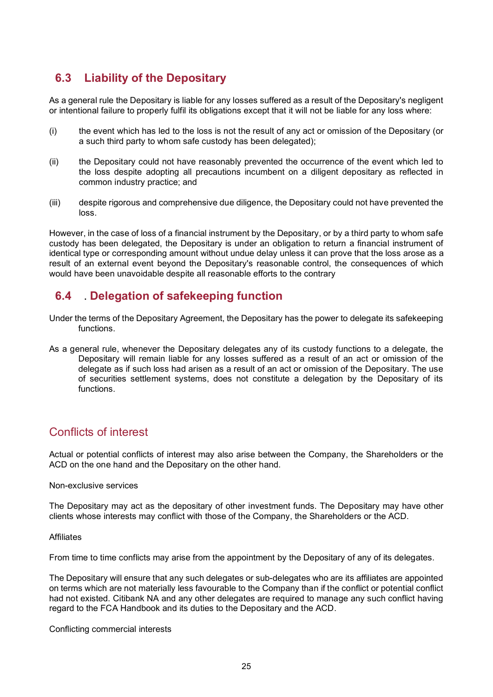## **6.3 Liability of the Depositary**

As a general rule the Depositary is liable for any losses suffered as a result of the Depositary's negligent or intentional failure to properly fulfil its obligations except that it will not be liable for any loss where:

- (i) the event which has led to the loss is not the result of any act or omission of the Depositary (or a such third party to whom safe custody has been delegated);
- (ii) the Depositary could not have reasonably prevented the occurrence of the event which led to the loss despite adopting all precautions incumbent on a diligent depositary as reflected in common industry practice; and
- (iii) despite rigorous and comprehensive due diligence, the Depositary could not have prevented the loss.

However, in the case of loss of a financial instrument by the Depositary, or by a third party to whom safe custody has been delegated, the Depositary is under an obligation to return a financial instrument of identical type or corresponding amount without undue delay unless it can prove that the loss arose as a result of an external event beyond the Depositary's reasonable control, the consequences of which would have been unavoidable despite all reasonable efforts to the contrary

### **6.4 . Delegation of safekeeping function**

- Under the terms of the Depositary Agreement, the Depositary has the power to delegate its safekeeping functions.
- As a general rule, whenever the Depositary delegates any of its custody functions to a delegate, the Depositary will remain liable for any losses suffered as a result of an act or omission of the delegate as if such loss had arisen as a result of an act or omission of the Depositary. The use of securities settlement systems, does not constitute a delegation by the Depositary of its functions.

## Conflicts of interest

Actual or potential conflicts of interest may also arise between the Company, the Shareholders or the ACD on the one hand and the Depositary on the other hand.

#### Non-exclusive services

The Depositary may act as the depositary of other investment funds. The Depositary may have other clients whose interests may conflict with those of the Company, the Shareholders or the ACD.

#### Affiliates

From time to time conflicts may arise from the appointment by the Depositary of any of its delegates.

The Depositary will ensure that any such delegates or sub-delegates who are its affiliates are appointed on terms which are not materially less favourable to the Company than if the conflict or potential conflict had not existed. Citibank NA and any other delegates are required to manage any such conflict having regard to the FCA Handbook and its duties to the Depositary and the ACD.

Conflicting commercial interests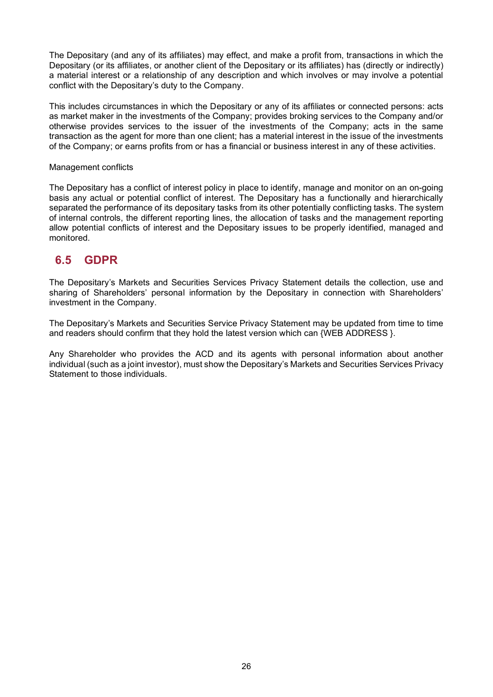The Depositary (and any of its affiliates) may effect, and make a profit from, transactions in which the Depositary (or its affiliates, or another client of the Depositary or its affiliates) has (directly or indirectly) a material interest or a relationship of any description and which involves or may involve a potential conflict with the Depositary's duty to the Company.

This includes circumstances in which the Depositary or any of its affiliates or connected persons: acts as market maker in the investments of the Company; provides broking services to the Company and/or otherwise provides services to the issuer of the investments of the Company; acts in the same transaction as the agent for more than one client; has a material interest in the issue of the investments of the Company; or earns profits from or has a financial or business interest in any of these activities.

#### Management conflicts

The Depositary has a conflict of interest policy in place to identify, manage and monitor on an on-going basis any actual or potential conflict of interest. The Depositary has a functionally and hierarchically separated the performance of its depositary tasks from its other potentially conflicting tasks. The system of internal controls, the different reporting lines, the allocation of tasks and the management reporting allow potential conflicts of interest and the Depositary issues to be properly identified, managed and monitored.

#### **6.5 GDPR**

The Depositary's Markets and Securities Services Privacy Statement details the collection, use and sharing of Shareholders' personal information by the Depositary in connection with Shareholders' investment in the Company.

The Depositary's Markets and Securities Service Privacy Statement may be updated from time to time and readers should confirm that they hold the latest version which can {WEB ADDRESS }.

<span id="page-28-0"></span>Any Shareholder who provides the ACD and its agents with personal information about another individual (such as a joint investor), must show the Depositary's Markets and Securities Services Privacy Statement to those individuals.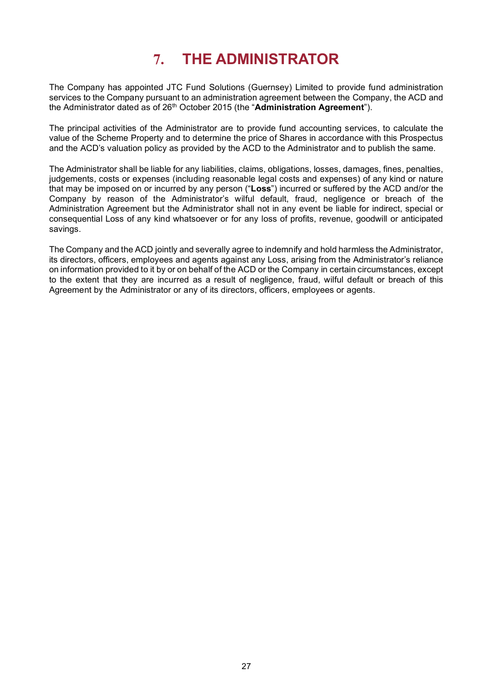# **7. THE ADMINISTRATOR**

The Company has appointed JTC Fund Solutions (Guernsey) Limited to provide fund administration services to the Company pursuant to an administration agreement between the Company, the ACD and the Administrator dated as of 26th October 2015 (the "**Administration Agreement**").

The principal activities of the Administrator are to provide fund accounting services, to calculate the value of the Scheme Property and to determine the price of Shares in accordance with this Prospectus and the ACD's valuation policy as provided by the ACD to the Administrator and to publish the same.

The Administrator shall be liable for any liabilities, claims, obligations, losses, damages, fines, penalties, judgements, costs or expenses (including reasonable legal costs and expenses) of any kind or nature that may be imposed on or incurred by any person ("**Loss**") incurred or suffered by the ACD and/or the Company by reason of the Administrator's wilful default, fraud, negligence or breach of the Administration Agreement but the Administrator shall not in any event be liable for indirect, special or consequential Loss of any kind whatsoever or for any loss of profits, revenue, goodwill or anticipated savings.

<span id="page-29-0"></span>The Company and the ACD jointly and severally agree to indemnify and hold harmless the Administrator, its directors, officers, employees and agents against any Loss, arising from the Administrator's reliance on information provided to it by or on behalf of the ACD or the Company in certain circumstances, except to the extent that they are incurred as a result of negligence, fraud, wilful default or breach of this Agreement by the Administrator or any of its directors, officers, employees or agents.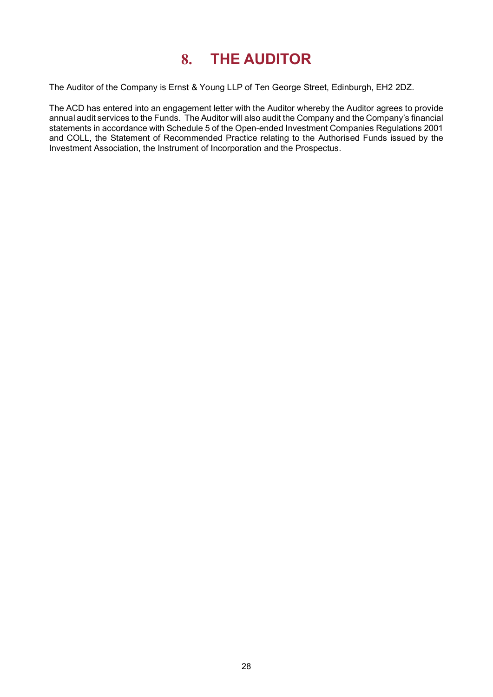# **8. THE AUDITOR**

The Auditor of the Company is Ernst & Young LLP of Ten George Street, Edinburgh, EH2 2DZ.

The ACD has entered into an engagement letter with the Auditor whereby the Auditor agrees to provide annual audit services to the Funds. The Auditor will also audit the Company and the Company's financial statements in accordance with Schedule 5 of the Open-ended Investment Companies Regulations 2001 and COLL, the Statement of Recommended Practice relating to the Authorised Funds issued by the Investment Association, the Instrument of Incorporation and the Prospectus.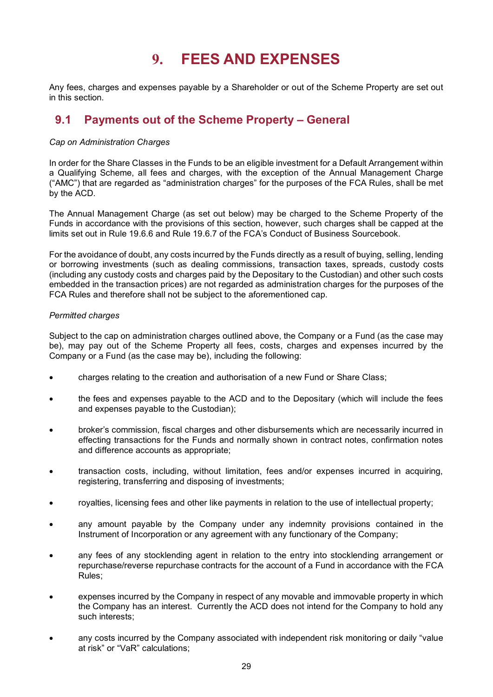## **9. FEES AND EXPENSES**

<span id="page-31-0"></span>Any fees, charges and expenses payable by a Shareholder or out of the Scheme Property are set out in this section.

## **9.1 Payments out of the Scheme Property – General**

#### *Cap on Administration Charges*

In order for the Share Classes in the Funds to be an eligible investment for a Default Arrangement within a Qualifying Scheme, all fees and charges, with the exception of the Annual Management Charge ("AMC") that are regarded as "administration charges" for the purposes of the FCA Rules, shall be met by the ACD.

The Annual Management Charge (as set out below) may be charged to the Scheme Property of the Funds in accordance with the provisions of this section, however, such charges shall be capped at the limits set out in Rule 19.6.6 and Rule 19.6.7 of the FCA's Conduct of Business Sourcebook.

For the avoidance of doubt, any costs incurred by the Funds directly as a result of buying, selling, lending or borrowing investments (such as dealing commissions, transaction taxes, spreads, custody costs (including any custody costs and charges paid by the Depositary to the Custodian) and other such costs embedded in the transaction prices) are not regarded as administration charges for the purposes of the FCA Rules and therefore shall not be subject to the aforementioned cap.

#### *Permitted charges*

Subject to the cap on administration charges outlined above, the Company or a Fund (as the case may be), may pay out of the Scheme Property all fees, costs, charges and expenses incurred by the Company or a Fund (as the case may be), including the following:

- charges relating to the creation and authorisation of a new Fund or Share Class;
- the fees and expenses payable to the ACD and to the Depositary (which will include the fees and expenses payable to the Custodian);
- broker's commission, fiscal charges and other disbursements which are necessarily incurred in effecting transactions for the Funds and normally shown in contract notes, confirmation notes and difference accounts as appropriate;
- transaction costs, including, without limitation, fees and/or expenses incurred in acquiring, registering, transferring and disposing of investments;
- royalties, licensing fees and other like payments in relation to the use of intellectual property;
- any amount payable by the Company under any indemnity provisions contained in the Instrument of Incorporation or any agreement with any functionary of the Company;
- any fees of any stocklending agent in relation to the entry into stocklending arrangement or repurchase/reverse repurchase contracts for the account of a Fund in accordance with the FCA Rules;
- expenses incurred by the Company in respect of any movable and immovable property in which the Company has an interest. Currently the ACD does not intend for the Company to hold any such interests;
- any costs incurred by the Company associated with independent risk monitoring or daily "value at risk" or "VaR" calculations;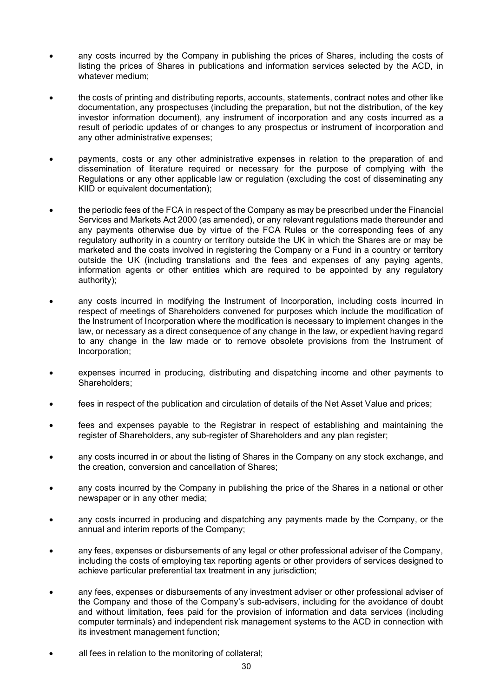- any costs incurred by the Company in publishing the prices of Shares, including the costs of listing the prices of Shares in publications and information services selected by the ACD, in whatever medium;
- the costs of printing and distributing reports, accounts, statements, contract notes and other like documentation, any prospectuses (including the preparation, but not the distribution, of the key investor information document), any instrument of incorporation and any costs incurred as a result of periodic updates of or changes to any prospectus or instrument of incorporation and any other administrative expenses;
- payments, costs or any other administrative expenses in relation to the preparation of and dissemination of literature required or necessary for the purpose of complying with the Regulations or any other applicable law or regulation (excluding the cost of disseminating any KIID or equivalent documentation);
- the periodic fees of the FCA in respect of the Company as may be prescribed under the Financial Services and Markets Act 2000 (as amended), or any relevant regulations made thereunder and any payments otherwise due by virtue of the FCA Rules or the corresponding fees of any regulatory authority in a country or territory outside the UK in which the Shares are or may be marketed and the costs involved in registering the Company or a Fund in a country or territory outside the UK (including translations and the fees and expenses of any paying agents, information agents or other entities which are required to be appointed by any regulatory authority);
- any costs incurred in modifying the Instrument of Incorporation, including costs incurred in respect of meetings of Shareholders convened for purposes which include the modification of the Instrument of Incorporation where the modification is necessary to implement changes in the law, or necessary as a direct consequence of any change in the law, or expedient having regard to any change in the law made or to remove obsolete provisions from the Instrument of Incorporation;
- expenses incurred in producing, distributing and dispatching income and other payments to Shareholders;
- fees in respect of the publication and circulation of details of the Net Asset Value and prices;
- fees and expenses payable to the Registrar in respect of establishing and maintaining the register of Shareholders, any sub-register of Shareholders and any plan register;
- any costs incurred in or about the listing of Shares in the Company on any stock exchange, and the creation, conversion and cancellation of Shares;
- any costs incurred by the Company in publishing the price of the Shares in a national or other newspaper or in any other media;
- any costs incurred in producing and dispatching any payments made by the Company, or the annual and interim reports of the Company;
- any fees, expenses or disbursements of any legal or other professional adviser of the Company, including the costs of employing tax reporting agents or other providers of services designed to achieve particular preferential tax treatment in any jurisdiction;
- any fees, expenses or disbursements of any investment adviser or other professional adviser of the Company and those of the Company's sub-advisers, including for the avoidance of doubt and without limitation, fees paid for the provision of information and data services (including computer terminals) and independent risk management systems to the ACD in connection with its investment management function;
- all fees in relation to the monitoring of collateral;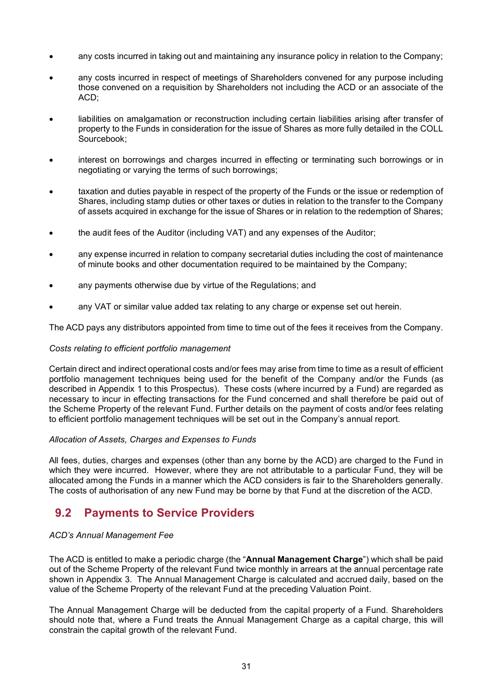- any costs incurred in taking out and maintaining any insurance policy in relation to the Company;
- any costs incurred in respect of meetings of Shareholders convened for any purpose including those convened on a requisition by Shareholders not including the ACD or an associate of the ACD;
- liabilities on amalgamation or reconstruction including certain liabilities arising after transfer of property to the Funds in consideration for the issue of Shares as more fully detailed in the COLL Sourcebook;
- interest on borrowings and charges incurred in effecting or terminating such borrowings or in negotiating or varying the terms of such borrowings;
- taxation and duties payable in respect of the property of the Funds or the issue or redemption of Shares, including stamp duties or other taxes or duties in relation to the transfer to the Company of assets acquired in exchange for the issue of Shares or in relation to the redemption of Shares;
- the audit fees of the Auditor (including VAT) and any expenses of the Auditor;
- any expense incurred in relation to company secretarial duties including the cost of maintenance of minute books and other documentation required to be maintained by the Company;
- any payments otherwise due by virtue of the Regulations; and
- any VAT or similar value added tax relating to any charge or expense set out herein.

The ACD pays any distributors appointed from time to time out of the fees it receives from the Company.

#### *Costs relating to efficient portfolio management*

Certain direct and indirect operational costs and/or fees may arise from time to time as a result of efficient portfolio management techniques being used for the benefit of the Company and/or the Funds (as described in Appendix 1 to this Prospectus). These costs (where incurred by a Fund) are regarded as necessary to incur in effecting transactions for the Fund concerned and shall therefore be paid out of the Scheme Property of the relevant Fund. Further details on the payment of costs and/or fees relating to efficient portfolio management techniques will be set out in the Company's annual report.

#### *Allocation of Assets, Charges and Expenses to Funds*

All fees, duties, charges and expenses (other than any borne by the ACD) are charged to the Fund in which they were incurred. However, where they are not attributable to a particular Fund, they will be allocated among the Funds in a manner which the ACD considers is fair to the Shareholders generally. The costs of authorisation of any new Fund may be borne by that Fund at the discretion of the ACD.

## **9.2 Payments to Service Providers**

#### *ACD's Annual Management Fee*

The ACD is entitled to make a periodic charge (the "**Annual Management Charge**") which shall be paid out of the Scheme Property of the relevant Fund twice monthly in arrears at the annual percentage rate shown in Appendix 3. The Annual Management Charge is calculated and accrued daily, based on the value of the Scheme Property of the relevant Fund at the preceding Valuation Point.

The Annual Management Charge will be deducted from the capital property of a Fund. Shareholders should note that, where a Fund treats the Annual Management Charge as a capital charge, this will constrain the capital growth of the relevant Fund.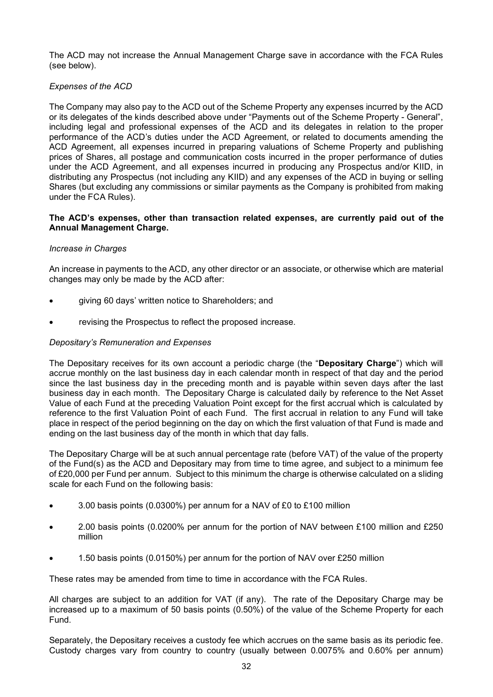The ACD may not increase the Annual Management Charge save in accordance with the FCA Rules (see below).

#### *Expenses of the ACD*

The Company may also pay to the ACD out of the Scheme Property any expenses incurred by the ACD or its delegates of the kinds described above under "Payments out of the Scheme Property - General", including legal and professional expenses of the ACD and its delegates in relation to the proper performance of the ACD's duties under the ACD Agreement, or related to documents amending the ACD Agreement, all expenses incurred in preparing valuations of Scheme Property and publishing prices of Shares, all postage and communication costs incurred in the proper performance of duties under the ACD Agreement, and all expenses incurred in producing any Prospectus and/or KIID, in distributing any Prospectus (not including any KIID) and any expenses of the ACD in buying or selling Shares (but excluding any commissions or similar payments as the Company is prohibited from making under the FCA Rules).

#### **The ACD's expenses, other than transaction related expenses, are currently paid out of the Annual Management Charge.**

#### *Increase in Charges*

An increase in payments to the ACD, any other director or an associate, or otherwise which are material changes may only be made by the ACD after:

- giving 60 days' written notice to Shareholders; and
- revising the Prospectus to reflect the proposed increase.

#### *Depositary's Remuneration and Expenses*

The Depositary receives for its own account a periodic charge (the "**Depositary Charge**") which will accrue monthly on the last business day in each calendar month in respect of that day and the period since the last business day in the preceding month and is payable within seven days after the last business day in each month. The Depositary Charge is calculated daily by reference to the Net Asset Value of each Fund at the preceding Valuation Point except for the first accrual which is calculated by reference to the first Valuation Point of each Fund. The first accrual in relation to any Fund will take place in respect of the period beginning on the day on which the first valuation of that Fund is made and ending on the last business day of the month in which that day falls.

The Depositary Charge will be at such annual percentage rate (before VAT) of the value of the property of the Fund(s) as the ACD and Depositary may from time to time agree, and subject to a minimum fee of £20,000 per Fund per annum. Subject to this minimum the charge is otherwise calculated on a sliding scale for each Fund on the following basis:

- 3.00 basis points (0.0300%) per annum for a NAV of £0 to £100 million
- 2.00 basis points (0.0200% per annum for the portion of NAV between £100 million and £250 million
- 1.50 basis points (0.0150%) per annum for the portion of NAV over £250 million

These rates may be amended from time to time in accordance with the FCA Rules.

All charges are subject to an addition for VAT (if any). The rate of the Depositary Charge may be increased up to a maximum of 50 basis points (0.50%) of the value of the Scheme Property for each Fund.

Separately, the Depositary receives a custody fee which accrues on the same basis as its periodic fee. Custody charges vary from country to country (usually between 0.0075% and 0.60% per annum)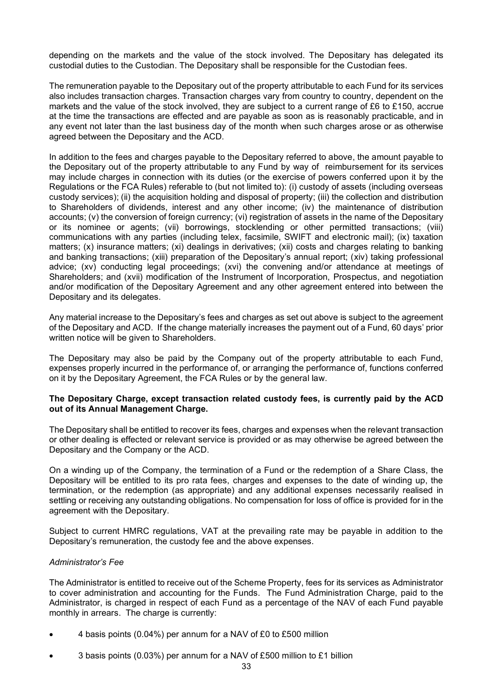depending on the markets and the value of the stock involved. The Depositary has delegated its custodial duties to the Custodian. The Depositary shall be responsible for the Custodian fees.

The remuneration payable to the Depositary out of the property attributable to each Fund for its services also includes transaction charges. Transaction charges vary from country to country, dependent on the markets and the value of the stock involved, they are subject to a current range of £6 to £150, accrue at the time the transactions are effected and are payable as soon as is reasonably practicable, and in any event not later than the last business day of the month when such charges arose or as otherwise agreed between the Depositary and the ACD.

In addition to the fees and charges payable to the Depositary referred to above, the amount payable to the Depositary out of the property attributable to any Fund by way of reimbursement for its services may include charges in connection with its duties (or the exercise of powers conferred upon it by the Regulations or the FCA Rules) referable to (but not limited to): (i) custody of assets (including overseas custody services); (ii) the acquisition holding and disposal of property; (iii) the collection and distribution to Shareholders of dividends, interest and any other income; (iv) the maintenance of distribution accounts; (v) the conversion of foreign currency; (vi) registration of assets in the name of the Depositary or its nominee or agents; (vii) borrowings, stocklending or other permitted transactions; (viii) communications with any parties (including telex, facsimile, SWIFT and electronic mail); (ix) taxation matters; (x) insurance matters; (xi) dealings in derivatives; (xii) costs and charges relating to banking and banking transactions; (xiii) preparation of the Depositary's annual report; (xiv) taking professional advice; (xv) conducting legal proceedings; (xvi) the convening and/or attendance at meetings of Shareholders; and (xvii) modification of the Instrument of Incorporation, Prospectus, and negotiation and/or modification of the Depositary Agreement and any other agreement entered into between the Depositary and its delegates.

Any material increase to the Depositary's fees and charges as set out above is subject to the agreement of the Depositary and ACD. If the change materially increases the payment out of a Fund, 60 days' prior written notice will be given to Shareholders.

The Depositary may also be paid by the Company out of the property attributable to each Fund, expenses properly incurred in the performance of, or arranging the performance of, functions conferred on it by the Depositary Agreement, the FCA Rules or by the general law.

#### **The Depositary Charge, except transaction related custody fees, is currently paid by the ACD out of its Annual Management Charge.**

The Depositary shall be entitled to recover its fees, charges and expenses when the relevant transaction or other dealing is effected or relevant service is provided or as may otherwise be agreed between the Depositary and the Company or the ACD.

On a winding up of the Company, the termination of a Fund or the redemption of a Share Class, the Depositary will be entitled to its pro rata fees, charges and expenses to the date of winding up, the termination, or the redemption (as appropriate) and any additional expenses necessarily realised in settling or receiving any outstanding obligations. No compensation for loss of office is provided for in the agreement with the Depositary.

Subject to current HMRC regulations, VAT at the prevailing rate may be payable in addition to the Depositary's remuneration, the custody fee and the above expenses.

#### *Administrator's Fee*

The Administrator is entitled to receive out of the Scheme Property, fees for its services as Administrator to cover administration and accounting for the Funds. The Fund Administration Charge, paid to the Administrator, is charged in respect of each Fund as a percentage of the NAV of each Fund payable monthly in arrears. The charge is currently:

- 4 basis points (0.04%) per annum for a NAV of £0 to £500 million
- 3 basis points (0.03%) per annum for a NAV of £500 million to £1 billion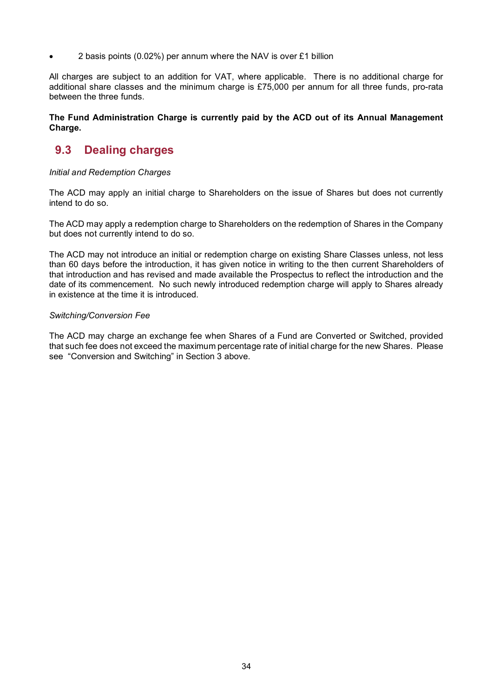• 2 basis points (0.02%) per annum where the NAV is over £1 billion

All charges are subject to an addition for VAT, where applicable. There is no additional charge for additional share classes and the minimum charge is £75,000 per annum for all three funds, pro-rata between the three funds.

#### **The Fund Administration Charge is currently paid by the ACD out of its Annual Management Charge.**

# **9.3 Dealing charges**

#### *Initial and Redemption Charges*

The ACD may apply an initial charge to Shareholders on the issue of Shares but does not currently intend to do so.

The ACD may apply a redemption charge to Shareholders on the redemption of Shares in the Company but does not currently intend to do so.

The ACD may not introduce an initial or redemption charge on existing Share Classes unless, not less than 60 days before the introduction, it has given notice in writing to the then current Shareholders of that introduction and has revised and made available the Prospectus to reflect the introduction and the date of its commencement. No such newly introduced redemption charge will apply to Shares already in existence at the time it is introduced.

#### *Switching/Conversion Fee*

The ACD may charge an exchange fee when Shares of a Fund are Converted or Switched, provided that such fee does not exceed the maximum percentage rate of initial charge for the new Shares. Please see "Conversion and Switching" in Section 3 above.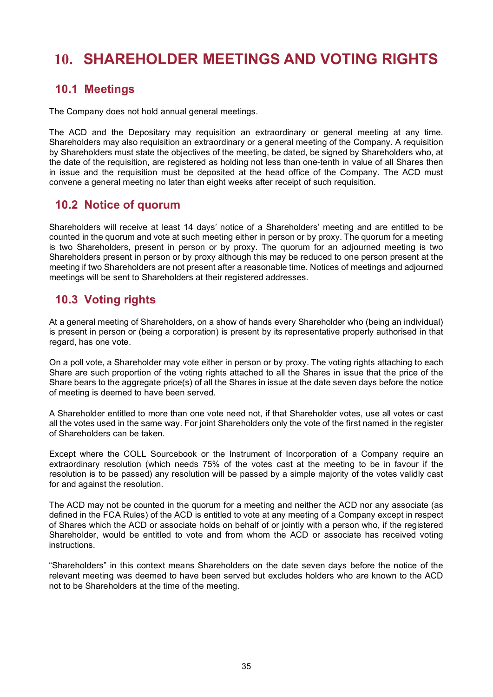# **10. SHAREHOLDER MEETINGS AND VOTING RIGHTS**

# **10.1 Meetings**

The Company does not hold annual general meetings.

The ACD and the Depositary may requisition an extraordinary or general meeting at any time. Shareholders may also requisition an extraordinary or a general meeting of the Company. A requisition by Shareholders must state the objectives of the meeting, be dated, be signed by Shareholders who, at the date of the requisition, are registered as holding not less than one-tenth in value of all Shares then in issue and the requisition must be deposited at the head office of the Company. The ACD must convene a general meeting no later than eight weeks after receipt of such requisition.

# **10.2 Notice of quorum**

Shareholders will receive at least 14 days' notice of a Shareholders' meeting and are entitled to be counted in the quorum and vote at such meeting either in person or by proxy. The quorum for a meeting is two Shareholders, present in person or by proxy. The quorum for an adjourned meeting is two Shareholders present in person or by proxy although this may be reduced to one person present at the meeting if two Shareholders are not present after a reasonable time. Notices of meetings and adjourned meetings will be sent to Shareholders at their registered addresses.

# **10.3 Voting rights**

At a general meeting of Shareholders, on a show of hands every Shareholder who (being an individual) is present in person or (being a corporation) is present by its representative properly authorised in that regard, has one vote.

On a poll vote, a Shareholder may vote either in person or by proxy. The voting rights attaching to each Share are such proportion of the voting rights attached to all the Shares in issue that the price of the Share bears to the aggregate price(s) of all the Shares in issue at the date seven days before the notice of meeting is deemed to have been served.

A Shareholder entitled to more than one vote need not, if that Shareholder votes, use all votes or cast all the votes used in the same way. For joint Shareholders only the vote of the first named in the register of Shareholders can be taken.

Except where the COLL Sourcebook or the Instrument of Incorporation of a Company require an extraordinary resolution (which needs 75% of the votes cast at the meeting to be in favour if the resolution is to be passed) any resolution will be passed by a simple majority of the votes validly cast for and against the resolution.

The ACD may not be counted in the quorum for a meeting and neither the ACD nor any associate (as defined in the FCA Rules) of the ACD is entitled to vote at any meeting of a Company except in respect of Shares which the ACD or associate holds on behalf of or jointly with a person who, if the registered Shareholder, would be entitled to vote and from whom the ACD or associate has received voting instructions.

"Shareholders" in this context means Shareholders on the date seven days before the notice of the relevant meeting was deemed to have been served but excludes holders who are known to the ACD not to be Shareholders at the time of the meeting.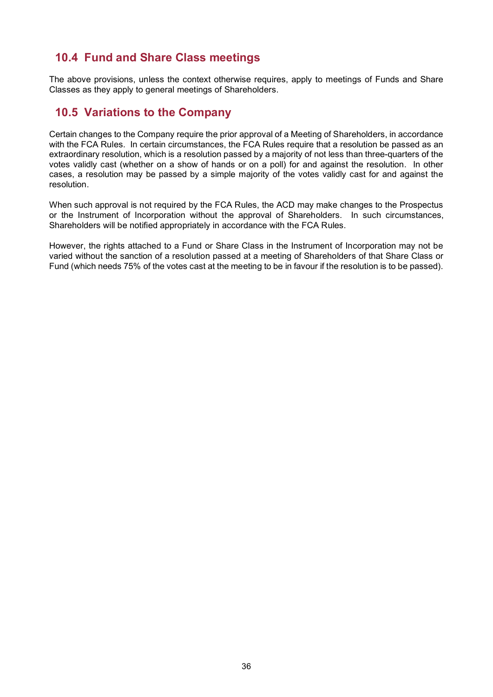# **10.4 Fund and Share Class meetings**

The above provisions, unless the context otherwise requires, apply to meetings of Funds and Share Classes as they apply to general meetings of Shareholders.

# **10.5 Variations to the Company**

Certain changes to the Company require the prior approval of a Meeting of Shareholders, in accordance with the FCA Rules. In certain circumstances, the FCA Rules require that a resolution be passed as an extraordinary resolution, which is a resolution passed by a majority of not less than three-quarters of the votes validly cast (whether on a show of hands or on a poll) for and against the resolution. In other cases, a resolution may be passed by a simple majority of the votes validly cast for and against the resolution.

When such approval is not required by the FCA Rules, the ACD may make changes to the Prospectus or the Instrument of Incorporation without the approval of Shareholders. In such circumstances, Shareholders will be notified appropriately in accordance with the FCA Rules.

However, the rights attached to a Fund or Share Class in the Instrument of Incorporation may not be varied without the sanction of a resolution passed at a meeting of Shareholders of that Share Class or Fund (which needs 75% of the votes cast at the meeting to be in favour if the resolution is to be passed).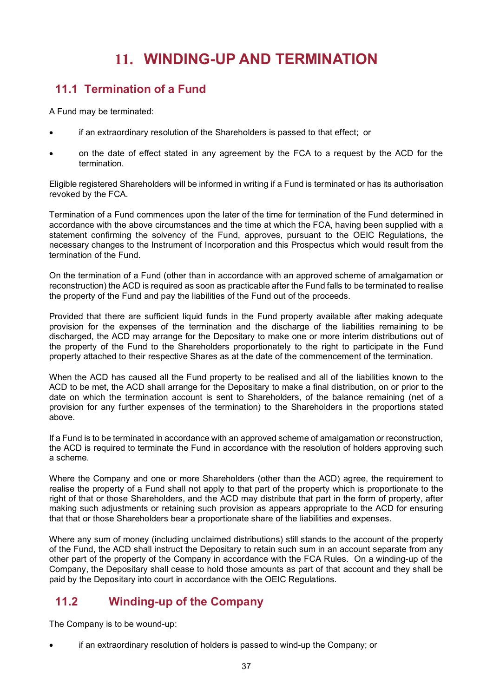# **11. WINDING-UP AND TERMINATION**

# **11.1 Termination of a Fund**

A Fund may be terminated:

- if an extraordinary resolution of the Shareholders is passed to that effect; or
- on the date of effect stated in any agreement by the FCA to a request by the ACD for the termination.

Eligible registered Shareholders will be informed in writing if a Fund is terminated or has its authorisation revoked by the FCA.

Termination of a Fund commences upon the later of the time for termination of the Fund determined in accordance with the above circumstances and the time at which the FCA, having been supplied with a statement confirming the solvency of the Fund, approves, pursuant to the OEIC Regulations, the necessary changes to the Instrument of Incorporation and this Prospectus which would result from the termination of the Fund.

On the termination of a Fund (other than in accordance with an approved scheme of amalgamation or reconstruction) the ACD is required as soon as practicable after the Fund falls to be terminated to realise the property of the Fund and pay the liabilities of the Fund out of the proceeds.

Provided that there are sufficient liquid funds in the Fund property available after making adequate provision for the expenses of the termination and the discharge of the liabilities remaining to be discharged, the ACD may arrange for the Depositary to make one or more interim distributions out of the property of the Fund to the Shareholders proportionately to the right to participate in the Fund property attached to their respective Shares as at the date of the commencement of the termination.

When the ACD has caused all the Fund property to be realised and all of the liabilities known to the ACD to be met, the ACD shall arrange for the Depositary to make a final distribution, on or prior to the date on which the termination account is sent to Shareholders, of the balance remaining (net of a provision for any further expenses of the termination) to the Shareholders in the proportions stated above.

If a Fund is to be terminated in accordance with an approved scheme of amalgamation or reconstruction, the ACD is required to terminate the Fund in accordance with the resolution of holders approving such a scheme.

Where the Company and one or more Shareholders (other than the ACD) agree, the requirement to realise the property of a Fund shall not apply to that part of the property which is proportionate to the right of that or those Shareholders, and the ACD may distribute that part in the form of property, after making such adjustments or retaining such provision as appears appropriate to the ACD for ensuring that that or those Shareholders bear a proportionate share of the liabilities and expenses.

Where any sum of money (including unclaimed distributions) still stands to the account of the property of the Fund, the ACD shall instruct the Depositary to retain such sum in an account separate from any other part of the property of the Company in accordance with the FCA Rules. On a winding-up of the Company, the Depositary shall cease to hold those amounts as part of that account and they shall be paid by the Depositary into court in accordance with the OEIC Regulations.

# **11.2 Winding-up of the Company**

The Company is to be wound-up:

• if an extraordinary resolution of holders is passed to wind-up the Company; or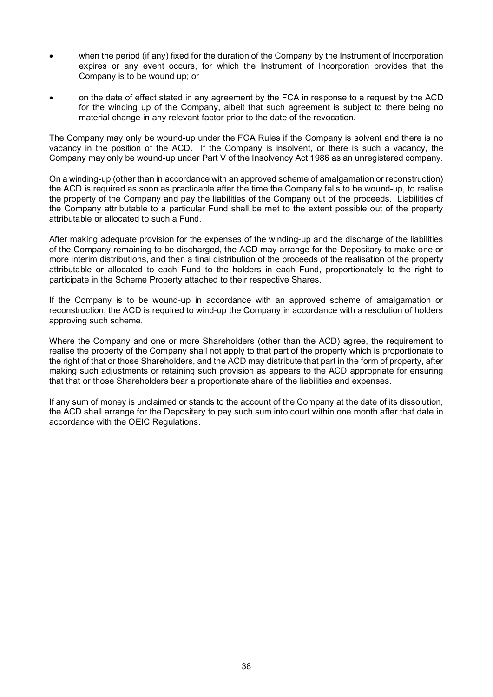- when the period (if any) fixed for the duration of the Company by the Instrument of Incorporation expires or any event occurs, for which the Instrument of Incorporation provides that the Company is to be wound up; or
- on the date of effect stated in any agreement by the FCA in response to a request by the ACD for the winding up of the Company, albeit that such agreement is subject to there being no material change in any relevant factor prior to the date of the revocation.

The Company may only be wound-up under the FCA Rules if the Company is solvent and there is no vacancy in the position of the ACD. If the Company is insolvent, or there is such a vacancy, the Company may only be wound-up under Part V of the Insolvency Act 1986 as an unregistered company.

On a winding-up (other than in accordance with an approved scheme of amalgamation or reconstruction) the ACD is required as soon as practicable after the time the Company falls to be wound-up, to realise the property of the Company and pay the liabilities of the Company out of the proceeds. Liabilities of the Company attributable to a particular Fund shall be met to the extent possible out of the property attributable or allocated to such a Fund.

After making adequate provision for the expenses of the winding-up and the discharge of the liabilities of the Company remaining to be discharged, the ACD may arrange for the Depositary to make one or more interim distributions, and then a final distribution of the proceeds of the realisation of the property attributable or allocated to each Fund to the holders in each Fund, proportionately to the right to participate in the Scheme Property attached to their respective Shares.

If the Company is to be wound-up in accordance with an approved scheme of amalgamation or reconstruction, the ACD is required to wind-up the Company in accordance with a resolution of holders approving such scheme.

Where the Company and one or more Shareholders (other than the ACD) agree, the requirement to realise the property of the Company shall not apply to that part of the property which is proportionate to the right of that or those Shareholders, and the ACD may distribute that part in the form of property, after making such adjustments or retaining such provision as appears to the ACD appropriate for ensuring that that or those Shareholders bear a proportionate share of the liabilities and expenses.

If any sum of money is unclaimed or stands to the account of the Company at the date of its dissolution, the ACD shall arrange for the Depositary to pay such sum into court within one month after that date in accordance with the OEIC Regulations.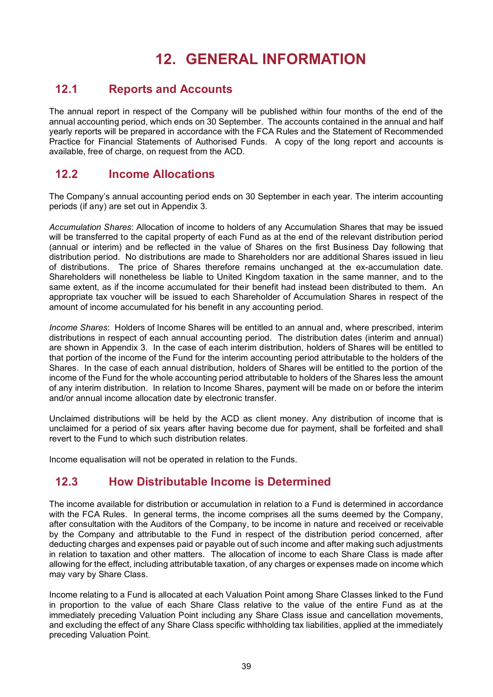# **12. GENERAL INFORMATION**

# **12.1 Reports and Accounts**

The annual report in respect of the Company will be published within four months of the end of the annual accounting period, which ends on 30 September. The accounts contained in the annual and half yearly reports will be prepared in accordance with the FCA Rules and the Statement of Recommended Practice for Financial Statements of Authorised Funds. A copy of the long report and accounts is available, free of charge, on request from the ACD.

# **12.2 Income Allocations**

The Company's annual accounting period ends on 30 September in each year. The interim accounting periods (if any) are set out in Appendix 3.

*Accumulation Shares*: Allocation of income to holders of any Accumulation Shares that may be issued will be transferred to the capital property of each Fund as at the end of the relevant distribution period (annual or interim) and be reflected in the value of Shares on the first Business Day following that distribution period. No distributions are made to Shareholders nor are additional Shares issued in lieu of distributions. The price of Shares therefore remains unchanged at the ex-accumulation date. Shareholders will nonetheless be liable to United Kingdom taxation in the same manner, and to the same extent, as if the income accumulated for their benefit had instead been distributed to them. An appropriate tax voucher will be issued to each Shareholder of Accumulation Shares in respect of the amount of income accumulated for his benefit in any accounting period.

*Income Shares*: Holders of Income Shares will be entitled to an annual and, where prescribed, interim distributions in respect of each annual accounting period. The distribution dates (interim and annual) are shown in Appendix 3. In the case of each interim distribution, holders of Shares will be entitled to that portion of the income of the Fund for the interim accounting period attributable to the holders of the Shares. In the case of each annual distribution, holders of Shares will be entitled to the portion of the income of the Fund for the whole accounting period attributable to holders of the Shares less the amount of any interim distribution. In relation to Income Shares, payment will be made on or before the interim and/or annual income allocation date by electronic transfer.

Unclaimed distributions will be held by the ACD as client money. Any distribution of income that is unclaimed for a period of six years after having become due for payment, shall be forfeited and shall revert to the Fund to which such distribution relates.

Income equalisation will not be operated in relation to the Funds.

# **12.3 How Distributable Income is Determined**

The income available for distribution or accumulation in relation to a Fund is determined in accordance with the FCA Rules. In general terms, the income comprises all the sums deemed by the Company, after consultation with the Auditors of the Company, to be income in nature and received or receivable by the Company and attributable to the Fund in respect of the distribution period concerned, after deducting charges and expenses paid or payable out of such income and after making such adjustments in relation to taxation and other matters. The allocation of income to each Share Class is made after allowing for the effect, including attributable taxation, of any charges or expenses made on income which may vary by Share Class.

Income relating to a Fund is allocated at each Valuation Point among Share Classes linked to the Fund in proportion to the value of each Share Class relative to the value of the entire Fund as at the immediately preceding Valuation Point including any Share Class issue and cancellation movements, and excluding the effect of any Share Class specific withholding tax liabilities, applied at the immediately preceding Valuation Point.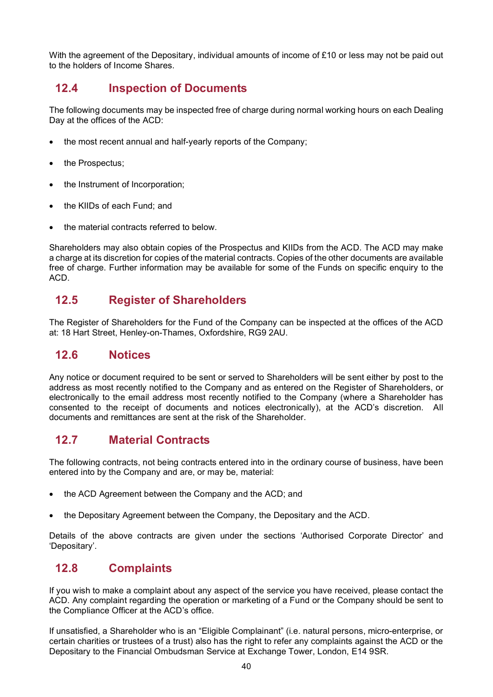With the agreement of the Depositary, individual amounts of income of £10 or less may not be paid out to the holders of Income Shares.

## **12.4 Inspection of Documents**

The following documents may be inspected free of charge during normal working hours on each Dealing Day at the offices of the ACD:

- the most recent annual and half-yearly reports of the Company;
- the Prospectus;
- the Instrument of Incorporation;
- the KIIDs of each Fund; and
- the material contracts referred to below.

Shareholders may also obtain copies of the Prospectus and KIIDs from the ACD. The ACD may make a charge at its discretion for copies of the material contracts. Copies of the other documents are available free of charge. Further information may be available for some of the Funds on specific enquiry to the ACD.

# **12.5 Register of Shareholders**

The Register of Shareholders for the Fund of the Company can be inspected at the offices of the ACD at: 18 Hart Street, Henley-on-Thames, Oxfordshire, RG9 2AU.

## **12.6 Notices**

Any notice or document required to be sent or served to Shareholders will be sent either by post to the address as most recently notified to the Company and as entered on the Register of Shareholders, or electronically to the email address most recently notified to the Company (where a Shareholder has consented to the receipt of documents and notices electronically), at the ACD's discretion. All documents and remittances are sent at the risk of the Shareholder.

# **12.7 Material Contracts**

The following contracts, not being contracts entered into in the ordinary course of business, have been entered into by the Company and are, or may be, material:

- the ACD Agreement between the Company and the ACD; and
- the Depositary Agreement between the Company, the Depositary and the ACD.

Details of the above contracts are given under the sections 'Authorised Corporate Director' and 'Depositary'.

# **12.8 Complaints**

If you wish to make a complaint about any aspect of the service you have received, please contact the ACD. Any complaint regarding the operation or marketing of a Fund or the Company should be sent to the Compliance Officer at the ACD's office.

If unsatisfied, a Shareholder who is an "Eligible Complainant" (i.e. natural persons, micro-enterprise, or certain charities or trustees of a trust) also has the right to refer any complaints against the ACD or the Depositary to the Financial Ombudsman Service at Exchange Tower, London, E14 9SR.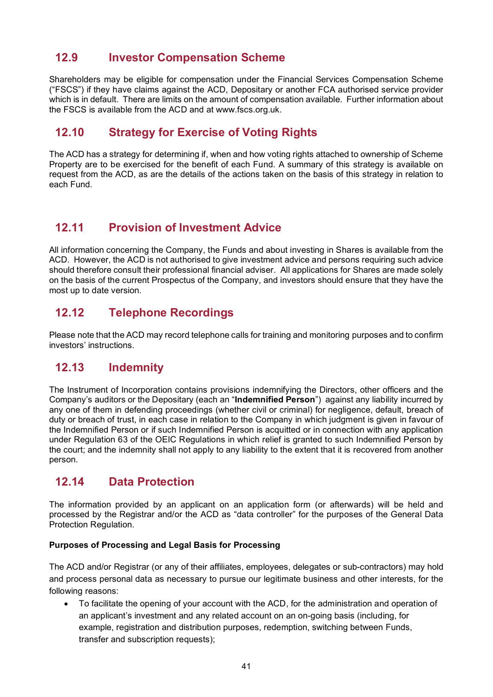# **12.9 Investor Compensation Scheme**

Shareholders may be eligible for compensation under the Financial Services Compensation Scheme ("FSCS") if they have claims against the ACD, Depositary or another FCA authorised service provider which is in default. There are limits on the amount of compensation available. Further information about the FSCS is available from the ACD and at www.fscs.org.uk.

# **12.10 Strategy for Exercise of Voting Rights**

The ACD has a strategy for determining if, when and how voting rights attached to ownership of Scheme Property are to be exercised for the benefit of each Fund. A summary of this strategy is available on request from the ACD, as are the details of the actions taken on the basis of this strategy in relation to each Fund.

# **12.11 Provision of Investment Advice**

All information concerning the Company, the Funds and about investing in Shares is available from the ACD. However, the ACD is not authorised to give investment advice and persons requiring such advice should therefore consult their professional financial adviser. All applications for Shares are made solely on the basis of the current Prospectus of the Company, and investors should ensure that they have the most up to date version.

# **12.12 Telephone Recordings**

Please note that the ACD may record telephone calls for training and monitoring purposes and to confirm investors' instructions.

# **12.13 Indemnity**

The Instrument of Incorporation contains provisions indemnifying the Directors, other officers and the Company's auditors or the Depositary (each an "**Indemnified Person**") against any liability incurred by any one of them in defending proceedings (whether civil or criminal) for negligence, default, breach of duty or breach of trust, in each case in relation to the Company in which judgment is given in favour of the Indemnified Person or if such Indemnified Person is acquitted or in connection with any application under Regulation 63 of the OEIC Regulations in which relief is granted to such Indemnified Person by the court; and the indemnity shall not apply to any liability to the extent that it is recovered from another person.

# **12.14 Data Protection**

The information provided by an applicant on an application form (or afterwards) will be held and processed by the Registrar and/or the ACD as "data controller" for the purposes of the General Data Protection Regulation.

#### **Purposes of Processing and Legal Basis for Processing**

The ACD and/or Registrar (or any of their affiliates, employees, delegates or sub-contractors) may hold and process personal data as necessary to pursue our legitimate business and other interests, for the following reasons:

• To facilitate the opening of your account with the ACD, for the administration and operation of an applicant's investment and any related account on an on-going basis (including, for example, registration and distribution purposes, redemption, switching between Funds, transfer and subscription requests);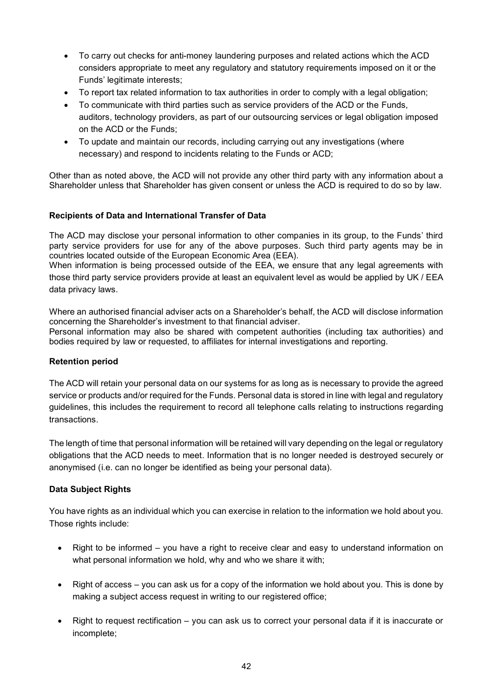- To carry out checks for anti-money laundering purposes and related actions which the ACD considers appropriate to meet any regulatory and statutory requirements imposed on it or the Funds' legitimate interests;
- To report tax related information to tax authorities in order to comply with a legal obligation;
- To communicate with third parties such as service providers of the ACD or the Funds, auditors, technology providers, as part of our outsourcing services or legal obligation imposed on the ACD or the Funds;
- To update and maintain our records, including carrying out any investigations (where necessary) and respond to incidents relating to the Funds or ACD;

Other than as noted above, the ACD will not provide any other third party with any information about a Shareholder unless that Shareholder has given consent or unless the ACD is required to do so by law.

#### **Recipients of Data and International Transfer of Data**

The ACD may disclose your personal information to other companies in its group, to the Funds' third party service providers for use for any of the above purposes. Such third party agents may be in countries located outside of the European Economic Area (EEA).

When information is being processed outside of the EEA, we ensure that any legal agreements with those third party service providers provide at least an equivalent level as would be applied by UK / EEA data privacy laws.

Where an authorised financial adviser acts on a Shareholder's behalf, the ACD will disclose information concerning the Shareholder's investment to that financial adviser.

Personal information may also be shared with competent authorities (including tax authorities) and bodies required by law or requested, to affiliates for internal investigations and reporting.

#### **Retention period**

The ACD will retain your personal data on our systems for as long as is necessary to provide the agreed service or products and/or required for the Funds. Personal data is stored in line with legal and regulatory guidelines, this includes the requirement to record all telephone calls relating to instructions regarding transactions.

The length of time that personal information will be retained will vary depending on the legal or regulatory obligations that the ACD needs to meet. Information that is no longer needed is destroyed securely or anonymised (i.e. can no longer be identified as being your personal data).

#### **Data Subject Rights**

You have rights as an individual which you can exercise in relation to the information we hold about you. Those rights include:

- Right to be informed you have a right to receive clear and easy to understand information on what personal information we hold, why and who we share it with;
- Right of access you can ask us for a copy of the information we hold about you. This is done by making a subject access request in writing to our registered office;
- Right to request rectification you can ask us to correct your personal data if it is inaccurate or incomplete;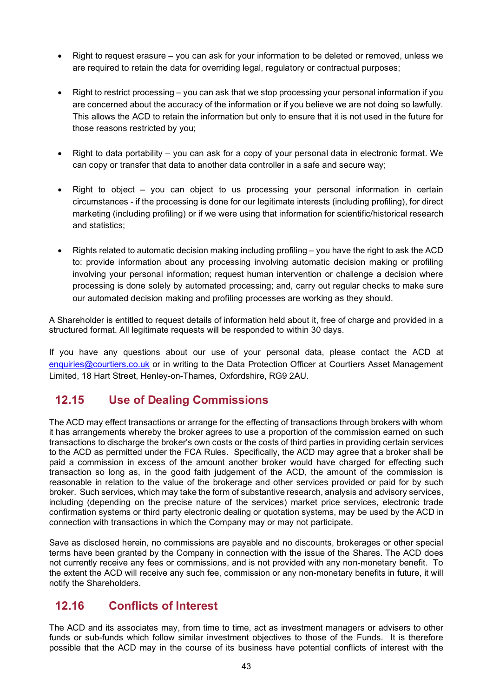- Right to request erasure you can ask for your information to be deleted or removed, unless we are required to retain the data for overriding legal, regulatory or contractual purposes;
- Right to restrict processing you can ask that we stop processing your personal information if you are concerned about the accuracy of the information or if you believe we are not doing so lawfully. This allows the ACD to retain the information but only to ensure that it is not used in the future for those reasons restricted by you;
- Right to data portability you can ask for a copy of your personal data in electronic format. We can copy or transfer that data to another data controller in a safe and secure way;
- $Right$  to object you can object to us processing your personal information in certain circumstances - if the processing is done for our legitimate interests (including profiling), for direct marketing (including profiling) or if we were using that information for scientific/historical research and statistics;
- Rights related to automatic decision making including profiling you have the right to ask the ACD to: provide information about any processing involving automatic decision making or profiling involving your personal information; request human intervention or challenge a decision where processing is done solely by automated processing; and, carry out regular checks to make sure our automated decision making and profiling processes are working as they should.

A Shareholder is entitled to request details of information held about it, free of charge and provided in a structured format. All legitimate requests will be responded to within 30 days.

If you have any questions about our use of your personal data, please contact the ACD at [enquiries@courtiers.co.uk](mailto:enquiries@courtiers.co.uk) or in writing to the Data Protection Officer at Courtiers Asset Management Limited, 18 Hart Street, Henley-on-Thames, Oxfordshire, RG9 2AU.

# **12.15 Use of Dealing Commissions**

The ACD may effect transactions or arrange for the effecting of transactions through brokers with whom it has arrangements whereby the broker agrees to use a proportion of the commission earned on such transactions to discharge the broker's own costs or the costs of third parties in providing certain services to the ACD as permitted under the FCA Rules. Specifically, the ACD may agree that a broker shall be paid a commission in excess of the amount another broker would have charged for effecting such transaction so long as, in the good faith judgement of the ACD, the amount of the commission is reasonable in relation to the value of the brokerage and other services provided or paid for by such broker. Such services, which may take the form of substantive research, analysis and advisory services, including (depending on the precise nature of the services) market price services, electronic trade confirmation systems or third party electronic dealing or quotation systems, may be used by the ACD in connection with transactions in which the Company may or may not participate.

Save as disclosed herein, no commissions are payable and no discounts, brokerages or other special terms have been granted by the Company in connection with the issue of the Shares. The ACD does not currently receive any fees or commissions, and is not provided with any non-monetary benefit. To the extent the ACD will receive any such fee, commission or any non-monetary benefits in future, it will notify the Shareholders.

# **12.16 Conflicts of Interest**

The ACD and its associates may, from time to time, act as investment managers or advisers to other funds or sub-funds which follow similar investment objectives to those of the Funds. It is therefore possible that the ACD may in the course of its business have potential conflicts of interest with the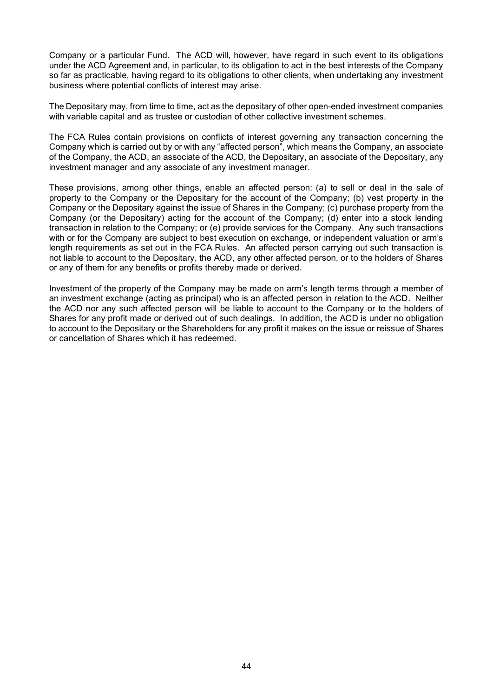Company or a particular Fund. The ACD will, however, have regard in such event to its obligations under the ACD Agreement and, in particular, to its obligation to act in the best interests of the Company so far as practicable, having regard to its obligations to other clients, when undertaking any investment business where potential conflicts of interest may arise.

The Depositary may, from time to time, act as the depositary of other open-ended investment companies with variable capital and as trustee or custodian of other collective investment schemes.

The FCA Rules contain provisions on conflicts of interest governing any transaction concerning the Company which is carried out by or with any "affected person", which means the Company, an associate of the Company, the ACD, an associate of the ACD, the Depositary, an associate of the Depositary, any investment manager and any associate of any investment manager.

These provisions, among other things, enable an affected person: (a) to sell or deal in the sale of property to the Company or the Depositary for the account of the Company; (b) vest property in the Company or the Depositary against the issue of Shares in the Company; (c) purchase property from the Company (or the Depositary) acting for the account of the Company; (d) enter into a stock lending transaction in relation to the Company; or (e) provide services for the Company. Any such transactions with or for the Company are subject to best execution on exchange, or independent valuation or arm's length requirements as set out in the FCA Rules. An affected person carrying out such transaction is not liable to account to the Depositary, the ACD, any other affected person, or to the holders of Shares or any of them for any benefits or profits thereby made or derived.

Investment of the property of the Company may be made on arm's length terms through a member of an investment exchange (acting as principal) who is an affected person in relation to the ACD. Neither the ACD nor any such affected person will be liable to account to the Company or to the holders of Shares for any profit made or derived out of such dealings. In addition, the ACD is under no obligation to account to the Depositary or the Shareholders for any profit it makes on the issue or reissue of Shares or cancellation of Shares which it has redeemed.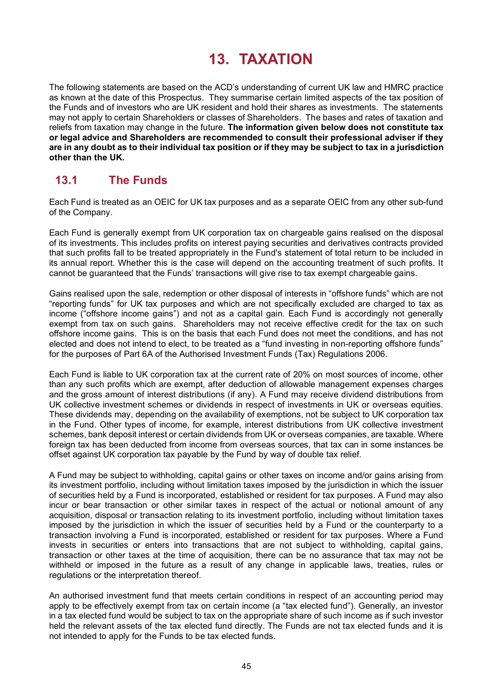# **13. TAXATION**

The following statements are based on the ACD's understanding of current UK law and HMRC practice as known at the date of this Prospectus. They summarise certain limited aspects of the tax position of the Funds and of investors who are UK resident and hold their shares as investments. The statements may not apply to certain Shareholders or classes of Shareholders. The bases and rates of taxation and reliefs from taxation may change in the future. **The information given below does not constitute tax or legal advice and Shareholders are recommended to consult their professional adviser if they are in any doubt as to their individual tax position or if they may be subject to tax in a jurisdiction other than the UK.**

# **13.1 The Funds**

Each Fund is treated as an OEIC for UK tax purposes and as a separate OEIC from any other sub-fund of the Company.

Each Fund is generally exempt from UK corporation tax on chargeable gains realised on the disposal of its investments. This includes profits on interest paying securities and derivatives contracts provided that such profits fall to be treated appropriately in the Fund's statement of total return to be included in its annual report. Whether this is the case will depend on the accounting treatment of such profits. It cannot be guaranteed that the Funds' transactions will give rise to tax exempt chargeable gains.

Gains realised upon the sale, redemption or other disposal of interests in "offshore funds" which are not "reporting funds" for UK tax purposes and which are not specifically excluded are charged to tax as income ("offshore income gains") and not as a capital gain. Each Fund is accordingly not generally exempt from tax on such gains. Shareholders may not receive effective credit for the tax on such offshore income gains. This is on the basis that each Fund does not meet the conditions, and has not elected and does not intend to elect, to be treated as a "fund investing in non-reporting offshore funds" for the purposes of Part 6A of the Authorised Investment Funds (Tax) Regulations 2006.

Each Fund is liable to UK corporation tax at the current rate of 20% on most sources of income, other than any such profits which are exempt, after deduction of allowable management expenses charges and the gross amount of interest distributions (if any). A Fund may receive dividend distributions from UK collective investment schemes or dividends in respect of investments in UK or overseas equities. These dividends may, depending on the availability of exemptions, not be subject to UK corporation tax in the Fund. Other types of income, for example, interest distributions from UK collective investment schemes, bank deposit interest or certain dividends from UK or overseas companies, are taxable. Where foreign tax has been deducted from income from overseas sources, that tax can in some instances be offset against UK corporation tax payable by the Fund by way of double tax relief.

A Fund may be subject to withholding, capital gains or other taxes on income and/or gains arising from its investment portfolio, including without limitation taxes imposed by the jurisdiction in which the issuer of securities held by a Fund is incorporated, established or resident for tax purposes. A Fund may also incur or bear transaction or other similar taxes in respect of the actual or notional amount of any acquisition, disposal or transaction relating to its investment portfolio, including without limitation taxes imposed by the jurisdiction in which the issuer of securities held by a Fund or the counterparty to a transaction involving a Fund is incorporated, established or resident for tax purposes. Where a Fund invests in securities or enters into transactions that are not subject to withholding, capital gains, transaction or other taxes at the time of acquisition, there can be no assurance that tax may not be withheld or imposed in the future as a result of any change in applicable laws, treaties, rules or regulations or the interpretation thereof.

An authorised investment fund that meets certain conditions in respect of an accounting period may apply to be effectively exempt from tax on certain income (a "tax elected fund"). Generally, an investor in a tax elected fund would be subject to tax on the appropriate share of such income as if such investor held the relevant assets of the tax elected fund directly. The Funds are not tax elected funds and it is not intended to apply for the Funds to be tax elected funds.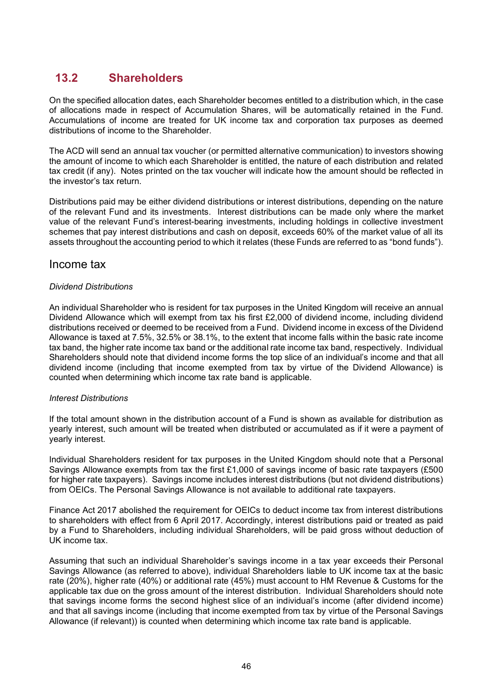# **13.2 Shareholders**

On the specified allocation dates, each Shareholder becomes entitled to a distribution which, in the case of allocations made in respect of Accumulation Shares, will be automatically retained in the Fund. Accumulations of income are treated for UK income tax and corporation tax purposes as deemed distributions of income to the Shareholder.

The ACD will send an annual tax voucher (or permitted alternative communication) to investors showing the amount of income to which each Shareholder is entitled, the nature of each distribution and related tax credit (if any). Notes printed on the tax voucher will indicate how the amount should be reflected in the investor's tax return.

Distributions paid may be either dividend distributions or interest distributions, depending on the nature of the relevant Fund and its investments. Interest distributions can be made only where the market value of the relevant Fund's interest-bearing investments, including holdings in collective investment schemes that pay interest distributions and cash on deposit, exceeds 60% of the market value of all its assets throughout the accounting period to which it relates (these Funds are referred to as "bond funds").

#### Income tax

#### *Dividend Distributions*

An individual Shareholder who is resident for tax purposes in the United Kingdom will receive an annual Dividend Allowance which will exempt from tax his first £2,000 of dividend income, including dividend distributions received or deemed to be received from a Fund. Dividend income in excess of the Dividend Allowance is taxed at 7.5%, 32.5% or 38.1%, to the extent that income falls within the basic rate income tax band, the higher rate income tax band or the additional rate income tax band, respectively. Individual Shareholders should note that dividend income forms the top slice of an individual's income and that all dividend income (including that income exempted from tax by virtue of the Dividend Allowance) is counted when determining which income tax rate band is applicable.

#### *Interest Distributions*

If the total amount shown in the distribution account of a Fund is shown as available for distribution as yearly interest, such amount will be treated when distributed or accumulated as if it were a payment of yearly interest.

Individual Shareholders resident for tax purposes in the United Kingdom should note that a Personal Savings Allowance exempts from tax the first £1,000 of savings income of basic rate taxpayers (£500 for higher rate taxpayers). Savings income includes interest distributions (but not dividend distributions) from OEICs. The Personal Savings Allowance is not available to additional rate taxpayers.

Finance Act 2017 abolished the requirement for OEICs to deduct income tax from interest distributions to shareholders with effect from 6 April 2017. Accordingly, interest distributions paid or treated as paid by a Fund to Shareholders, including individual Shareholders, will be paid gross without deduction of UK income tax.

Assuming that such an individual Shareholder's savings income in a tax year exceeds their Personal Savings Allowance (as referred to above), individual Shareholders liable to UK income tax at the basic rate (20%), higher rate (40%) or additional rate (45%) must account to HM Revenue & Customs for the applicable tax due on the gross amount of the interest distribution. Individual Shareholders should note that savings income forms the second highest slice of an individual's income (after dividend income) and that all savings income (including that income exempted from tax by virtue of the Personal Savings Allowance (if relevant)) is counted when determining which income tax rate band is applicable.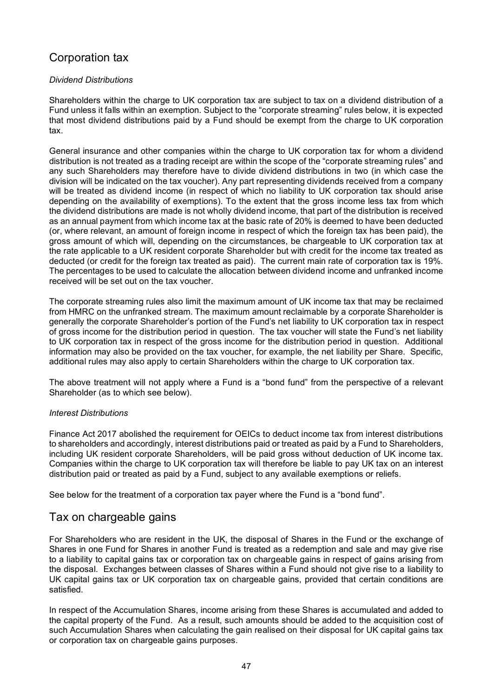# Corporation tax

#### *Dividend Distributions*

Shareholders within the charge to UK corporation tax are subject to tax on a dividend distribution of a Fund unless it falls within an exemption. Subject to the "corporate streaming" rules below, it is expected that most dividend distributions paid by a Fund should be exempt from the charge to UK corporation tax.

General insurance and other companies within the charge to UK corporation tax for whom a dividend distribution is not treated as a trading receipt are within the scope of the "corporate streaming rules" and any such Shareholders may therefore have to divide dividend distributions in two (in which case the division will be indicated on the tax voucher). Any part representing dividends received from a company will be treated as dividend income (in respect of which no liability to UK corporation tax should arise depending on the availability of exemptions). To the extent that the gross income less tax from which the dividend distributions are made is not wholly dividend income, that part of the distribution is received as an annual payment from which income tax at the basic rate of 20% is deemed to have been deducted (or, where relevant, an amount of foreign income in respect of which the foreign tax has been paid), the gross amount of which will, depending on the circumstances, be chargeable to UK corporation tax at the rate applicable to a UK resident corporate Shareholder but with credit for the income tax treated as deducted (or credit for the foreign tax treated as paid). The current main rate of corporation tax is 19%. The percentages to be used to calculate the allocation between dividend income and unfranked income received will be set out on the tax voucher.

The corporate streaming rules also limit the maximum amount of UK income tax that may be reclaimed from HMRC on the unfranked stream. The maximum amount reclaimable by a corporate Shareholder is generally the corporate Shareholder's portion of the Fund's net liability to UK corporation tax in respect of gross income for the distribution period in question. The tax voucher will state the Fund's net liability to UK corporation tax in respect of the gross income for the distribution period in question. Additional information may also be provided on the tax voucher, for example, the net liability per Share. Specific, additional rules may also apply to certain Shareholders within the charge to UK corporation tax.

The above treatment will not apply where a Fund is a "bond fund" from the perspective of a relevant Shareholder (as to which see below).

#### *Interest Distributions*

Finance Act 2017 abolished the requirement for OEICs to deduct income tax from interest distributions to shareholders and accordingly, interest distributions paid or treated as paid by a Fund to Shareholders, including UK resident corporate Shareholders, will be paid gross without deduction of UK income tax. Companies within the charge to UK corporation tax will therefore be liable to pay UK tax on an interest distribution paid or treated as paid by a Fund, subject to any available exemptions or reliefs.

See below for the treatment of a corporation tax payer where the Fund is a "bond fund".

#### Tax on chargeable gains

For Shareholders who are resident in the UK, the disposal of Shares in the Fund or the exchange of Shares in one Fund for Shares in another Fund is treated as a redemption and sale and may give rise to a liability to capital gains tax or corporation tax on chargeable gains in respect of gains arising from the disposal. Exchanges between classes of Shares within a Fund should not give rise to a liability to UK capital gains tax or UK corporation tax on chargeable gains, provided that certain conditions are satisfied.

In respect of the Accumulation Shares, income arising from these Shares is accumulated and added to the capital property of the Fund. As a result, such amounts should be added to the acquisition cost of such Accumulation Shares when calculating the gain realised on their disposal for UK capital gains tax or corporation tax on chargeable gains purposes.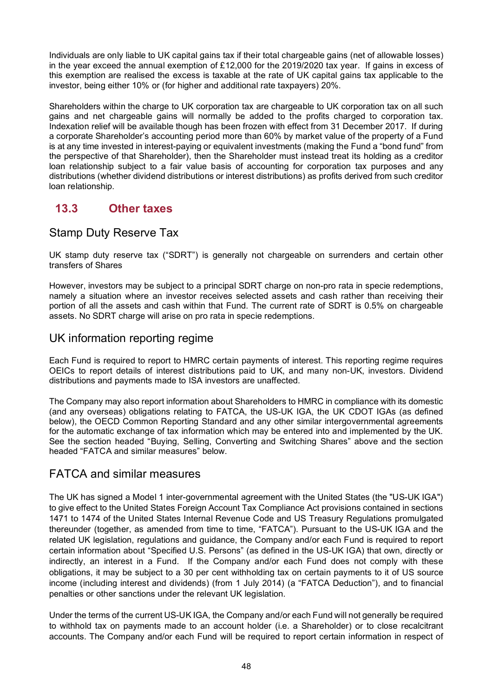Individuals are only liable to UK capital gains tax if their total chargeable gains (net of allowable losses) in the year exceed the annual exemption of £12,000 for the 2019/2020 tax year. If gains in excess of this exemption are realised the excess is taxable at the rate of UK capital gains tax applicable to the investor, being either 10% or (for higher and additional rate taxpayers) 20%.

Shareholders within the charge to UK corporation tax are chargeable to UK corporation tax on all such gains and net chargeable gains will normally be added to the profits charged to corporation tax. Indexation relief will be available though has been frozen with effect from 31 December 2017. If during a corporate Shareholder's accounting period more than 60% by market value of the property of a Fund is at any time invested in interest-paying or equivalent investments (making the Fund a "bond fund" from the perspective of that Shareholder), then the Shareholder must instead treat its holding as a creditor loan relationship subject to a fair value basis of accounting for corporation tax purposes and any distributions (whether dividend distributions or interest distributions) as profits derived from such creditor loan relationship.

# **13.3 Other taxes**

#### Stamp Duty Reserve Tax

UK stamp duty reserve tax ("SDRT") is generally not chargeable on surrenders and certain other transfers of Shares

However, investors may be subject to a principal SDRT charge on non-pro rata in specie redemptions, namely a situation where an investor receives selected assets and cash rather than receiving their portion of all the assets and cash within that Fund. The current rate of SDRT is 0.5% on chargeable assets. No SDRT charge will arise on pro rata in specie redemptions.

#### UK information reporting regime

Each Fund is required to report to HMRC certain payments of interest. This reporting regime requires OEICs to report details of interest distributions paid to UK, and many non-UK, investors. Dividend distributions and payments made to ISA investors are unaffected.

The Company may also report information about Shareholders to HMRC in compliance with its domestic (and any overseas) obligations relating to FATCA, the US-UK IGA, the UK CDOT IGAs (as defined below), the OECD Common Reporting Standard and any other similar intergovernmental agreements for the automatic exchange of tax information which may be entered into and implemented by the UK. See the section headed "Buying, Selling, Converting and Switching Shares" above and the section headed "FATCA and similar measures" below.

## FATCA and similar measures

The UK has signed a Model 1 inter-governmental agreement with the United States (the "US-UK IGA") to give effect to the United States Foreign Account Tax Compliance Act provisions contained in sections 1471 to 1474 of the United States Internal Revenue Code and US Treasury Regulations promulgated thereunder (together, as amended from time to time, "FATCA"). Pursuant to the US-UK IGA and the related UK legislation, regulations and guidance, the Company and/or each Fund is required to report certain information about "Specified U.S. Persons" (as defined in the US-UK IGA) that own, directly or indirectly, an interest in a Fund. If the Company and/or each Fund does not comply with these obligations, it may be subject to a 30 per cent withholding tax on certain payments to it of US source income (including interest and dividends) (from 1 July 2014) (a "FATCA Deduction"), and to financial penalties or other sanctions under the relevant UK legislation.

Under the terms of the current US-UK IGA, the Company and/or each Fund will not generally be required to withhold tax on payments made to an account holder (i.e. a Shareholder) or to close recalcitrant accounts. The Company and/or each Fund will be required to report certain information in respect of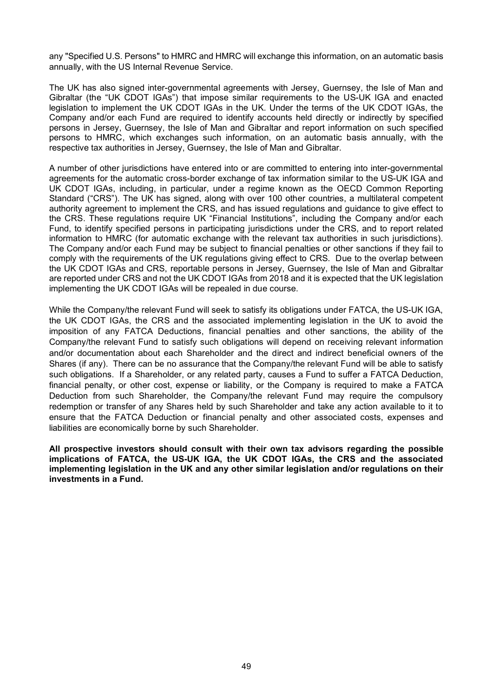any "Specified U.S. Persons" to HMRC and HMRC will exchange this information, on an automatic basis annually, with the US Internal Revenue Service.

The UK has also signed inter-governmental agreements with Jersey, Guernsey, the Isle of Man and Gibraltar (the "UK CDOT IGAs") that impose similar requirements to the US-UK IGA and enacted legislation to implement the UK CDOT IGAs in the UK. Under the terms of the UK CDOT IGAs, the Company and/or each Fund are required to identify accounts held directly or indirectly by specified persons in Jersey, Guernsey, the Isle of Man and Gibraltar and report information on such specified persons to HMRC, which exchanges such information, on an automatic basis annually, with the respective tax authorities in Jersey, Guernsey, the Isle of Man and Gibraltar.

A number of other jurisdictions have entered into or are committed to entering into inter-governmental agreements for the automatic cross-border exchange of tax information similar to the US-UK IGA and UK CDOT IGAs, including, in particular, under a regime known as the OECD Common Reporting Standard ("CRS"). The UK has signed, along with over 100 other countries, a multilateral competent authority agreement to implement the CRS, and has issued regulations and guidance to give effect to the CRS. These regulations require UK "Financial Institutions", including the Company and/or each Fund, to identify specified persons in participating jurisdictions under the CRS, and to report related information to HMRC (for automatic exchange with the relevant tax authorities in such jurisdictions). The Company and/or each Fund may be subject to financial penalties or other sanctions if they fail to comply with the requirements of the UK regulations giving effect to CRS. Due to the overlap between the UK CDOT IGAs and CRS, reportable persons in Jersey, Guernsey, the Isle of Man and Gibraltar are reported under CRS and not the UK CDOT IGAs from 2018 and it is expected that the UK legislation implementing the UK CDOT IGAs will be repealed in due course.

While the Company/the relevant Fund will seek to satisfy its obligations under FATCA, the US-UK IGA, the UK CDOT IGAs, the CRS and the associated implementing legislation in the UK to avoid the imposition of any FATCA Deductions, financial penalties and other sanctions, the ability of the Company/the relevant Fund to satisfy such obligations will depend on receiving relevant information and/or documentation about each Shareholder and the direct and indirect beneficial owners of the Shares (if any). There can be no assurance that the Company/the relevant Fund will be able to satisfy such obligations. If a Shareholder, or any related party, causes a Fund to suffer a FATCA Deduction, financial penalty, or other cost, expense or liability, or the Company is required to make a FATCA Deduction from such Shareholder, the Company/the relevant Fund may require the compulsory redemption or transfer of any Shares held by such Shareholder and take any action available to it to ensure that the FATCA Deduction or financial penalty and other associated costs, expenses and liabilities are economically borne by such Shareholder.

**All prospective investors should consult with their own tax advisors regarding the possible implications of FATCA, the US-UK IGA, the UK CDOT IGAs, the CRS and the associated implementing legislation in the UK and any other similar legislation and/or regulations on their investments in a Fund.**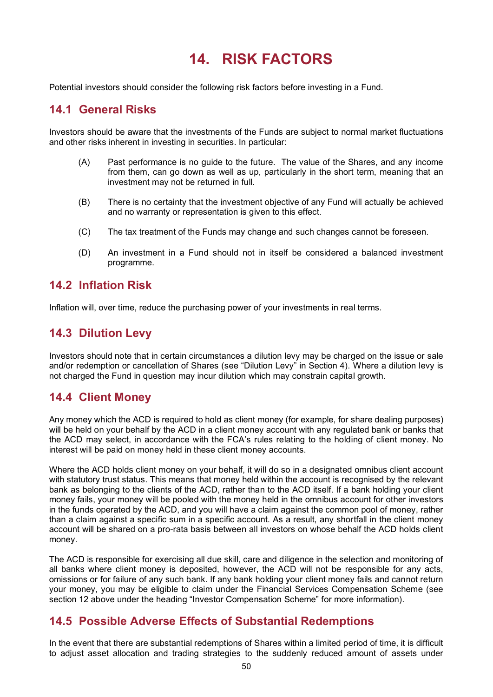# **14. RISK FACTORS**

Potential investors should consider the following risk factors before investing in a Fund.

# **14.1 General Risks**

Investors should be aware that the investments of the Funds are subject to normal market fluctuations and other risks inherent in investing in securities. In particular:

- (A) Past performance is no guide to the future. The value of the Shares, and any income from them, can go down as well as up, particularly in the short term, meaning that an investment may not be returned in full.
- (B) There is no certainty that the investment objective of any Fund will actually be achieved and no warranty or representation is given to this effect.
- (C) The tax treatment of the Funds may change and such changes cannot be foreseen.
- (D) An investment in a Fund should not in itself be considered a balanced investment programme.

#### **14.2 Inflation Risk**

Inflation will, over time, reduce the purchasing power of your investments in real terms.

# **14.3 Dilution Levy**

Investors should note that in certain circumstances a dilution levy may be charged on the issue or sale and/or redemption or cancellation of Shares (see "Dilution Levy" in Section 4). Where a dilution levy is not charged the Fund in question may incur dilution which may constrain capital growth.

## **14.4 Client Money**

Any money which the ACD is required to hold as client money (for example, for share dealing purposes) will be held on your behalf by the ACD in a client money account with any regulated bank or banks that the ACD may select, in accordance with the FCA's rules relating to the holding of client money. No interest will be paid on money held in these client money accounts.

Where the ACD holds client money on your behalf, it will do so in a designated omnibus client account with statutory trust status. This means that money held within the account is recognised by the relevant bank as belonging to the clients of the ACD, rather than to the ACD itself. If a bank holding your client money fails, your money will be pooled with the money held in the omnibus account for other investors in the funds operated by the ACD, and you will have a claim against the common pool of money, rather than a claim against a specific sum in a specific account. As a result, any shortfall in the client money account will be shared on a pro-rata basis between all investors on whose behalf the ACD holds client money.

The ACD is responsible for exercising all due skill, care and diligence in the selection and monitoring of all banks where client money is deposited, however, the ACD will not be responsible for any acts, omissions or for failure of any such bank. If any bank holding your client money fails and cannot return your money, you may be eligible to claim under the Financial Services Compensation Scheme (see section 12 above under the heading "Investor Compensation Scheme" for more information).

## **14.5 Possible Adverse Effects of Substantial Redemptions**

In the event that there are substantial redemptions of Shares within a limited period of time, it is difficult to adjust asset allocation and trading strategies to the suddenly reduced amount of assets under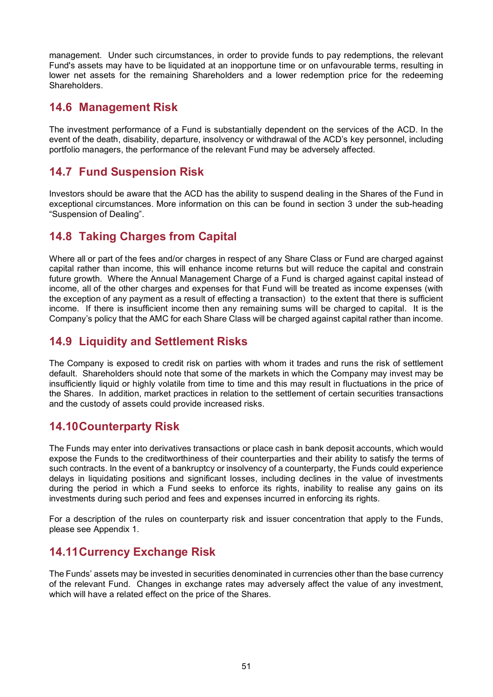management. Under such circumstances, in order to provide funds to pay redemptions, the relevant Fund's assets may have to be liquidated at an inopportune time or on unfavourable terms, resulting in lower net assets for the remaining Shareholders and a lower redemption price for the redeeming Shareholders.

#### **14.6 Management Risk**

The investment performance of a Fund is substantially dependent on the services of the ACD. In the event of the death, disability, departure, insolvency or withdrawal of the ACD's key personnel, including portfolio managers, the performance of the relevant Fund may be adversely affected.

## **14.7 Fund Suspension Risk**

Investors should be aware that the ACD has the ability to suspend dealing in the Shares of the Fund in exceptional circumstances. More information on this can be found in section 3 under the sub-heading "Suspension of Dealing".

# **14.8 Taking Charges from Capital**

Where all or part of the fees and/or charges in respect of any Share Class or Fund are charged against capital rather than income, this will enhance income returns but will reduce the capital and constrain future growth. Where the Annual Management Charge of a Fund is charged against capital instead of income, all of the other charges and expenses for that Fund will be treated as income expenses (with the exception of any payment as a result of effecting a transaction) to the extent that there is sufficient income. If there is insufficient income then any remaining sums will be charged to capital. It is the Company's policy that the AMC for each Share Class will be charged against capital rather than income.

# **14.9 Liquidity and Settlement Risks**

The Company is exposed to credit risk on parties with whom it trades and runs the risk of settlement default. Shareholders should note that some of the markets in which the Company may invest may be insufficiently liquid or highly volatile from time to time and this may result in fluctuations in the price of the Shares. In addition, market practices in relation to the settlement of certain securities transactions and the custody of assets could provide increased risks.

## **14.10Counterparty Risk**

The Funds may enter into derivatives transactions or place cash in bank deposit accounts, which would expose the Funds to the creditworthiness of their counterparties and their ability to satisfy the terms of such contracts. In the event of a bankruptcy or insolvency of a counterparty, the Funds could experience delays in liquidating positions and significant losses, including declines in the value of investments during the period in which a Fund seeks to enforce its rights, inability to realise any gains on its investments during such period and fees and expenses incurred in enforcing its rights.

For a description of the rules on counterparty risk and issuer concentration that apply to the Funds, please see Appendix 1.

# **14.11Currency Exchange Risk**

The Funds' assets may be invested in securities denominated in currencies other than the base currency of the relevant Fund. Changes in exchange rates may adversely affect the value of any investment, which will have a related effect on the price of the Shares.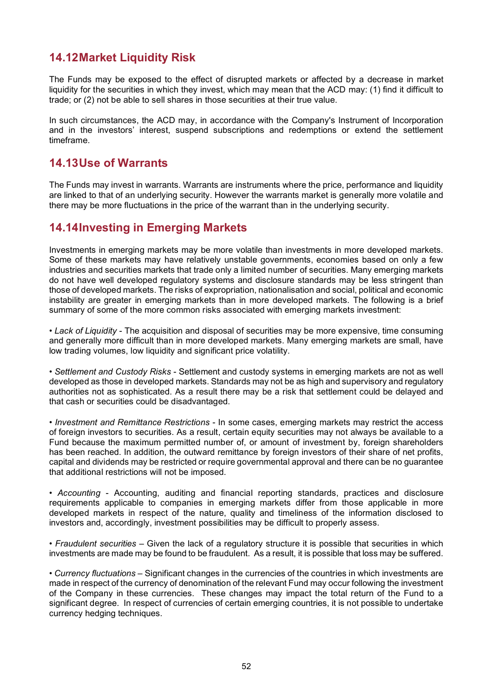# **14.12Market Liquidity Risk**

The Funds may be exposed to the effect of disrupted markets or affected by a decrease in market liquidity for the securities in which they invest, which may mean that the ACD may: (1) find it difficult to trade; or (2) not be able to sell shares in those securities at their true value.

In such circumstances, the ACD may, in accordance with the Company's Instrument of Incorporation and in the investors' interest, suspend subscriptions and redemptions or extend the settlement timeframe.

## **14.13Use of Warrants**

The Funds may invest in warrants. Warrants are instruments where the price, performance and liquidity are linked to that of an underlying security. However the warrants market is generally more volatile and there may be more fluctuations in the price of the warrant than in the underlying security.

# **14.14Investing in Emerging Markets**

Investments in emerging markets may be more volatile than investments in more developed markets. Some of these markets may have relatively unstable governments, economies based on only a few industries and securities markets that trade only a limited number of securities. Many emerging markets do not have well developed regulatory systems and disclosure standards may be less stringent than those of developed markets. The risks of expropriation, nationalisation and social, political and economic instability are greater in emerging markets than in more developed markets. The following is a brief summary of some of the more common risks associated with emerging markets investment:

• *Lack of Liquidity* - The acquisition and disposal of securities may be more expensive, time consuming and generally more difficult than in more developed markets. Many emerging markets are small, have low trading volumes, low liquidity and significant price volatility.

• *Settlement and Custody Risks* - Settlement and custody systems in emerging markets are not as well developed as those in developed markets. Standards may not be as high and supervisory and regulatory authorities not as sophisticated. As a result there may be a risk that settlement could be delayed and that cash or securities could be disadvantaged.

*• Investment and Remittance Restrictions* - In some cases, emerging markets may restrict the access of foreign investors to securities. As a result, certain equity securities may not always be available to a Fund because the maximum permitted number of, or amount of investment by, foreign shareholders has been reached. In addition, the outward remittance by foreign investors of their share of net profits, capital and dividends may be restricted or require governmental approval and there can be no guarantee that additional restrictions will not be imposed.

• *Accounting* - Accounting, auditing and financial reporting standards, practices and disclosure requirements applicable to companies in emerging markets differ from those applicable in more developed markets in respect of the nature, quality and timeliness of the information disclosed to investors and, accordingly, investment possibilities may be difficult to properly assess.

• *Fraudulent securities* – Given the lack of a regulatory structure it is possible that securities in which investments are made may be found to be fraudulent. As a result, it is possible that loss may be suffered.

• *Currency fluctuations* – Significant changes in the currencies of the countries in which investments are made in respect of the currency of denomination of the relevant Fund may occur following the investment of the Company in these currencies. These changes may impact the total return of the Fund to a significant degree. In respect of currencies of certain emerging countries, it is not possible to undertake currency hedging techniques.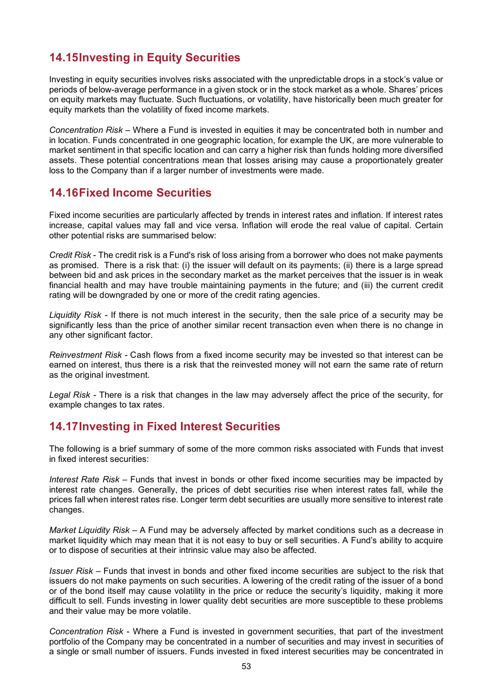# **14.15Investing in Equity Securities**

Investing in equity securities involves risks associated with the unpredictable drops in a stock's value or periods of below-average performance in a given stock or in the stock market as a whole. Shares' prices on equity markets may fluctuate. Such fluctuations, or volatility, have historically been much greater for equity markets than the volatility of fixed income markets.

*Concentration Risk* – Where a Fund is invested in equities it may be concentrated both in number and in location. Funds concentrated in one geographic location, for example the UK, are more vulnerable to market sentiment in that specific location and can carry a higher risk than funds holding more diversified assets. These potential concentrations mean that losses arising may cause a proportionately greater loss to the Company than if a larger number of investments were made.

#### **14.16Fixed Income Securities**

Fixed income securities are particularly affected by trends in interest rates and inflation. If interest rates increase, capital values may fall and vice versa. Inflation will erode the real value of capital. Certain other potential risks are summarised below:

*Credit Risk* - The credit risk is a Fund's risk of loss arising from a borrower who does not make payments as promised. There is a risk that: (i) the issuer will default on its payments; (ii) there is a large spread between bid and ask prices in the secondary market as the market perceives that the issuer is in weak financial health and may have trouble maintaining payments in the future; and (iii) the current credit rating will be downgraded by one or more of the credit rating agencies.

*Liquidity Risk -* If there is not much interest in the security, then the sale price of a security may be significantly less than the price of another similar recent transaction even when there is no change in any other significant factor.

*Reinvestment Risk -* Cash flows from a fixed income security may be invested so that interest can be earned on interest, thus there is a risk that the reinvested money will not earn the same rate of return as the original investment.

*Legal Risk -* There is a risk that changes in the law may adversely affect the price of the security, for example changes to tax rates.

## **14.17Investing in Fixed Interest Securities**

The following is a brief summary of some of the more common risks associated with Funds that invest in fixed interest securities:

*Interest Rate Risk* – Funds that invest in bonds or other fixed income securities may be impacted by interest rate changes. Generally, the prices of debt securities rise when interest rates fall, while the prices fall when interest rates rise. Longer term debt securities are usually more sensitive to interest rate changes.

*Market Liquidity Risk* – A Fund may be adversely affected by market conditions such as a decrease in market liquidity which may mean that it is not easy to buy or sell securities. A Fund's ability to acquire or to dispose of securities at their intrinsic value may also be affected.

*Issuer Risk* – Funds that invest in bonds and other fixed income securities are subject to the risk that issuers do not make payments on such securities. A lowering of the credit rating of the issuer of a bond or of the bond itself may cause volatility in the price or reduce the security's liquidity, making it more difficult to sell. Funds investing in lower quality debt securities are more susceptible to these problems and their value may be more volatile.

*Concentration Risk* - Where a Fund is invested in government securities, that part of the investment portfolio of the Company may be concentrated in a number of securities and may invest in securities of a single or small number of issuers. Funds invested in fixed interest securities may be concentrated in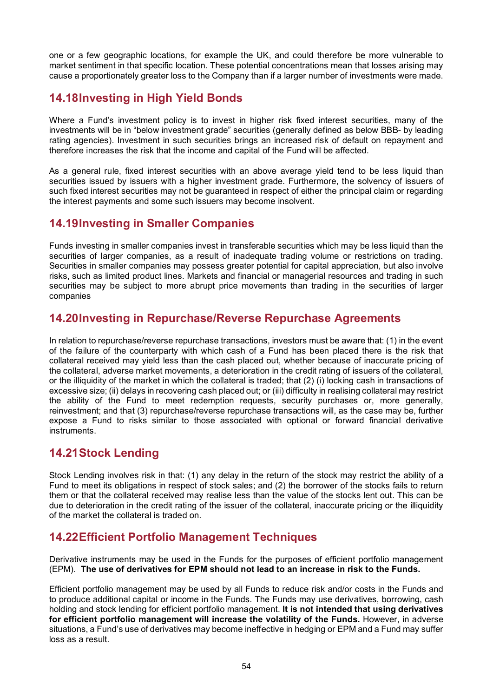one or a few geographic locations, for example the UK, and could therefore be more vulnerable to market sentiment in that specific location. These potential concentrations mean that losses arising may cause a proportionately greater loss to the Company than if a larger number of investments were made.

# **14.18Investing in High Yield Bonds**

Where a Fund's investment policy is to invest in higher risk fixed interest securities, many of the investments will be in "below investment grade" securities (generally defined as below BBB- by leading rating agencies). Investment in such securities brings an increased risk of default on repayment and therefore increases the risk that the income and capital of the Fund will be affected.

As a general rule, fixed interest securities with an above average yield tend to be less liquid than securities issued by issuers with a higher investment grade. Furthermore, the solvency of issuers of such fixed interest securities may not be guaranteed in respect of either the principal claim or regarding the interest payments and some such issuers may become insolvent.

# **14.19Investing in Smaller Companies**

Funds investing in smaller companies invest in transferable securities which may be less liquid than the securities of larger companies, as a result of inadequate trading volume or restrictions on trading. Securities in smaller companies may possess greater potential for capital appreciation, but also involve risks, such as limited product lines. Markets and financial or managerial resources and trading in such securities may be subject to more abrupt price movements than trading in the securities of larger companies

# **14.20Investing in Repurchase/Reverse Repurchase Agreements**

In relation to repurchase/reverse repurchase transactions, investors must be aware that: (1) in the event of the failure of the counterparty with which cash of a Fund has been placed there is the risk that collateral received may yield less than the cash placed out, whether because of inaccurate pricing of the collateral, adverse market movements, a deterioration in the credit rating of issuers of the collateral, or the illiquidity of the market in which the collateral is traded; that (2) (i) locking cash in transactions of excessive size; (ii) delays in recovering cash placed out; or (iii) difficulty in realising collateral may restrict the ability of the Fund to meet redemption requests, security purchases or, more generally, reinvestment; and that (3) repurchase/reverse repurchase transactions will, as the case may be, further expose a Fund to risks similar to those associated with optional or forward financial derivative instruments.

# **14.21Stock Lending**

Stock Lending involves risk in that: (1) any delay in the return of the stock may restrict the ability of a Fund to meet its obligations in respect of stock sales; and (2) the borrower of the stocks fails to return them or that the collateral received may realise less than the value of the stocks lent out. This can be due to deterioration in the credit rating of the issuer of the collateral, inaccurate pricing or the illiquidity of the market the collateral is traded on.

## **14.22Efficient Portfolio Management Techniques**

Derivative instruments may be used in the Funds for the purposes of efficient portfolio management (EPM). **The use of derivatives for EPM should not lead to an increase in risk to the Funds.** 

Efficient portfolio management may be used by all Funds to reduce risk and/or costs in the Funds and to produce additional capital or income in the Funds. The Funds may use derivatives, borrowing, cash holding and stock lending for efficient portfolio management. **It is not intended that using derivatives for efficient portfolio management will increase the volatility of the Funds.** However, in adverse situations, a Fund's use of derivatives may become ineffective in hedging or EPM and a Fund may suffer loss as a result.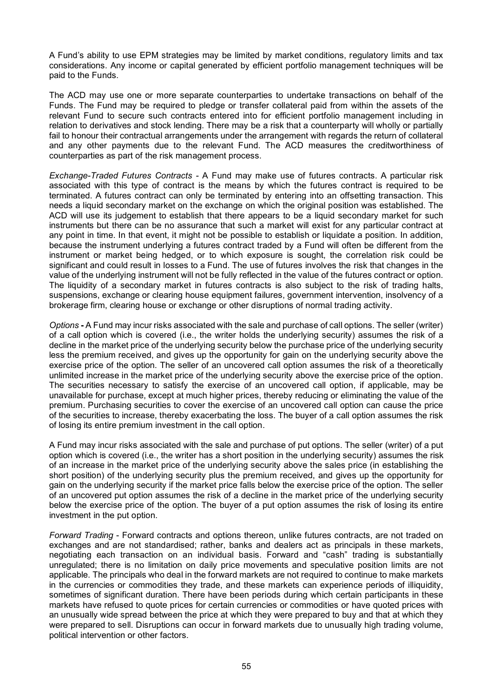A Fund's ability to use EPM strategies may be limited by market conditions, regulatory limits and tax considerations. Any income or capital generated by efficient portfolio management techniques will be paid to the Funds.

The ACD may use one or more separate counterparties to undertake transactions on behalf of the Funds. The Fund may be required to pledge or transfer collateral paid from within the assets of the relevant Fund to secure such contracts entered into for efficient portfolio management including in relation to derivatives and stock lending. There may be a risk that a counterparty will wholly or partially fail to honour their contractual arrangements under the arrangement with regards the return of collateral and any other payments due to the relevant Fund. The ACD measures the creditworthiness of counterparties as part of the risk management process.

*Exchange-Traded Futures Contracts -* A Fund may make use of futures contracts. A particular risk associated with this type of contract is the means by which the futures contract is required to be terminated. A futures contract can only be terminated by entering into an offsetting transaction. This needs a liquid secondary market on the exchange on which the original position was established. The ACD will use its judgement to establish that there appears to be a liquid secondary market for such instruments but there can be no assurance that such a market will exist for any particular contract at any point in time. In that event, it might not be possible to establish or liquidate a position. In addition, because the instrument underlying a futures contract traded by a Fund will often be different from the instrument or market being hedged, or to which exposure is sought, the correlation risk could be significant and could result in losses to a Fund. The use of futures involves the risk that changes in the value of the underlying instrument will not be fully reflected in the value of the futures contract or option. The liquidity of a secondary market in futures contracts is also subject to the risk of trading halts, suspensions, exchange or clearing house equipment failures, government intervention, insolvency of a brokerage firm, clearing house or exchange or other disruptions of normal trading activity.

*Options* **-** A Fund may incur risks associated with the sale and purchase of call options. The seller (writer) of a call option which is covered (i.e., the writer holds the underlying security) assumes the risk of a decline in the market price of the underlying security below the purchase price of the underlying security less the premium received, and gives up the opportunity for gain on the underlying security above the exercise price of the option. The seller of an uncovered call option assumes the risk of a theoretically unlimited increase in the market price of the underlying security above the exercise price of the option. The securities necessary to satisfy the exercise of an uncovered call option, if applicable, may be unavailable for purchase, except at much higher prices, thereby reducing or eliminating the value of the premium. Purchasing securities to cover the exercise of an uncovered call option can cause the price of the securities to increase, thereby exacerbating the loss. The buyer of a call option assumes the risk of losing its entire premium investment in the call option.

A Fund may incur risks associated with the sale and purchase of put options. The seller (writer) of a put option which is covered (i.e., the writer has a short position in the underlying security) assumes the risk of an increase in the market price of the underlying security above the sales price (in establishing the short position) of the underlying security plus the premium received, and gives up the opportunity for gain on the underlying security if the market price falls below the exercise price of the option. The seller of an uncovered put option assumes the risk of a decline in the market price of the underlying security below the exercise price of the option. The buyer of a put option assumes the risk of losing its entire investment in the put option.

*Forward Trading* - Forward contracts and options thereon, unlike futures contracts, are not traded on exchanges and are not standardised; rather, banks and dealers act as principals in these markets, negotiating each transaction on an individual basis. Forward and "cash" trading is substantially unregulated; there is no limitation on daily price movements and speculative position limits are not applicable. The principals who deal in the forward markets are not required to continue to make markets in the currencies or commodities they trade, and these markets can experience periods of illiquidity, sometimes of significant duration. There have been periods during which certain participants in these markets have refused to quote prices for certain currencies or commodities or have quoted prices with an unusually wide spread between the price at which they were prepared to buy and that at which they were prepared to sell. Disruptions can occur in forward markets due to unusually high trading volume, political intervention or other factors.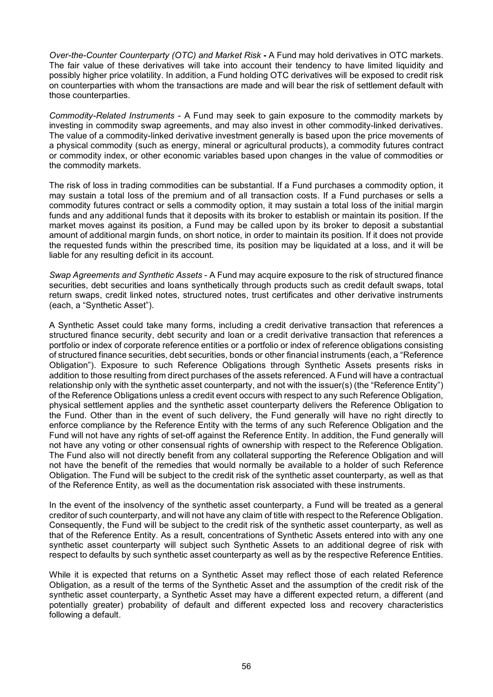*Over-the-Counter Counterparty (OTC) and Market Risk* **-** A Fund may hold derivatives in OTC markets. The fair value of these derivatives will take into account their tendency to have limited liquidity and possibly higher price volatility. In addition, a Fund holding OTC derivatives will be exposed to credit risk on counterparties with whom the transactions are made and will bear the risk of settlement default with those counterparties.

*Commodity-Related Instruments* - A Fund may seek to gain exposure to the commodity markets by investing in commodity swap agreements, and may also invest in other commodity-linked derivatives. The value of a commodity-linked derivative investment generally is based upon the price movements of a physical commodity (such as energy, mineral or agricultural products), a commodity futures contract or commodity index, or other economic variables based upon changes in the value of commodities or the commodity markets.

The risk of loss in trading commodities can be substantial. If a Fund purchases a commodity option, it may sustain a total loss of the premium and of all transaction costs. If a Fund purchases or sells a commodity futures contract or sells a commodity option, it may sustain a total loss of the initial margin funds and any additional funds that it deposits with its broker to establish or maintain its position. If the market moves against its position, a Fund may be called upon by its broker to deposit a substantial amount of additional margin funds, on short notice, in order to maintain its position. If it does not provide the requested funds within the prescribed time, its position may be liquidated at a loss, and it will be liable for any resulting deficit in its account.

*Swap Agreements and Synthetic Assets* - A Fund may acquire exposure to the risk of structured finance securities, debt securities and loans synthetically through products such as credit default swaps, total return swaps, credit linked notes, structured notes, trust certificates and other derivative instruments (each, a "Synthetic Asset").

A Synthetic Asset could take many forms, including a credit derivative transaction that references a structured finance security, debt security and loan or a credit derivative transaction that references a portfolio or index of corporate reference entities or a portfolio or index of reference obligations consisting of structured finance securities, debt securities, bonds or other financial instruments (each, a "Reference Obligation"). Exposure to such Reference Obligations through Synthetic Assets presents risks in addition to those resulting from direct purchases of the assets referenced. A Fund will have a contractual relationship only with the synthetic asset counterparty, and not with the issuer(s) (the "Reference Entity") of the Reference Obligations unless a credit event occurs with respect to any such Reference Obligation, physical settlement applies and the synthetic asset counterparty delivers the Reference Obligation to the Fund. Other than in the event of such delivery, the Fund generally will have no right directly to enforce compliance by the Reference Entity with the terms of any such Reference Obligation and the Fund will not have any rights of set-off against the Reference Entity. In addition, the Fund generally will not have any voting or other consensual rights of ownership with respect to the Reference Obligation. The Fund also will not directly benefit from any collateral supporting the Reference Obligation and will not have the benefit of the remedies that would normally be available to a holder of such Reference Obligation. The Fund will be subject to the credit risk of the synthetic asset counterparty, as well as that of the Reference Entity, as well as the documentation risk associated with these instruments.

In the event of the insolvency of the synthetic asset counterparty, a Fund will be treated as a general creditor of such counterparty, and will not have any claim of title with respect to the Reference Obligation. Consequently, the Fund will be subject to the credit risk of the synthetic asset counterparty, as well as that of the Reference Entity. As a result, concentrations of Synthetic Assets entered into with any one synthetic asset counterparty will subject such Synthetic Assets to an additional degree of risk with respect to defaults by such synthetic asset counterparty as well as by the respective Reference Entities.

While it is expected that returns on a Synthetic Asset may reflect those of each related Reference Obligation, as a result of the terms of the Synthetic Asset and the assumption of the credit risk of the synthetic asset counterparty, a Synthetic Asset may have a different expected return, a different (and potentially greater) probability of default and different expected loss and recovery characteristics following a default.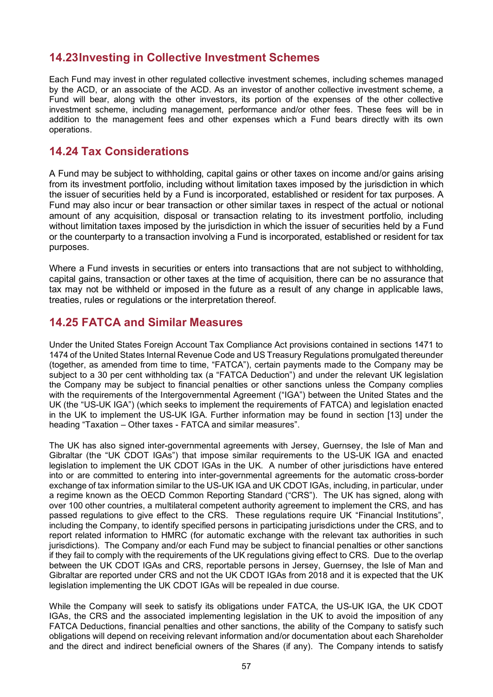# **14.23Investing in Collective Investment Schemes**

Each Fund may invest in other regulated collective investment schemes, including schemes managed by the ACD, or an associate of the ACD. As an investor of another collective investment scheme, a Fund will bear, along with the other investors, its portion of the expenses of the other collective investment scheme, including management, performance and/or other fees. These fees will be in addition to the management fees and other expenses which a Fund bears directly with its own operations.

## **14.24 Tax Considerations**

A Fund may be subject to withholding, capital gains or other taxes on income and/or gains arising from its investment portfolio, including without limitation taxes imposed by the jurisdiction in which the issuer of securities held by a Fund is incorporated, established or resident for tax purposes. A Fund may also incur or bear transaction or other similar taxes in respect of the actual or notional amount of any acquisition, disposal or transaction relating to its investment portfolio, including without limitation taxes imposed by the jurisdiction in which the issuer of securities held by a Fund or the counterparty to a transaction involving a Fund is incorporated, established or resident for tax purposes.

Where a Fund invests in securities or enters into transactions that are not subject to withholding, capital gains, transaction or other taxes at the time of acquisition, there can be no assurance that tax may not be withheld or imposed in the future as a result of any change in applicable laws, treaties, rules or regulations or the interpretation thereof.

## **14.25 FATCA and Similar Measures**

Under the United States Foreign Account Tax Compliance Act provisions contained in sections 1471 to 1474 of the United States Internal Revenue Code and US Treasury Regulations promulgated thereunder (together, as amended from time to time, "FATCA"), certain payments made to the Company may be subject to a 30 per cent withholding tax (a "FATCA Deduction") and under the relevant UK legislation the Company may be subject to financial penalties or other sanctions unless the Company complies with the requirements of the Intergovernmental Agreement ("IGA") between the United States and the UK (the "US-UK IGA") (which seeks to implement the requirements of FATCA) and legislation enacted in the UK to implement the US-UK IGA. Further information may be found in section [13] under the heading "Taxation – Other taxes - FATCA and similar measures".

The UK has also signed inter-governmental agreements with Jersey, Guernsey, the Isle of Man and Gibraltar (the "UK CDOT IGAs") that impose similar requirements to the US-UK IGA and enacted legislation to implement the UK CDOT IGAs in the UK. A number of other jurisdictions have entered into or are committed to entering into inter-governmental agreements for the automatic cross-border exchange of tax information similar to the US-UK IGA and UK CDOT IGAs, including, in particular, under a regime known as the OECD Common Reporting Standard ("CRS"). The UK has signed, along with over 100 other countries, a multilateral competent authority agreement to implement the CRS, and has passed regulations to give effect to the CRS. These regulations require UK "Financial Institutions", including the Company, to identify specified persons in participating jurisdictions under the CRS, and to report related information to HMRC (for automatic exchange with the relevant tax authorities in such jurisdictions). The Company and/or each Fund may be subject to financial penalties or other sanctions if they fail to comply with the requirements of the UK regulations giving effect to CRS. Due to the overlap between the UK CDOT IGAs and CRS, reportable persons in Jersey, Guernsey, the Isle of Man and Gibraltar are reported under CRS and not the UK CDOT IGAs from 2018 and it is expected that the UK legislation implementing the UK CDOT IGAs will be repealed in due course.

While the Company will seek to satisfy its obligations under FATCA, the US-UK IGA, the UK CDOT IGAs, the CRS and the associated implementing legislation in the UK to avoid the imposition of any FATCA Deductions, financial penalties and other sanctions, the ability of the Company to satisfy such obligations will depend on receiving relevant information and/or documentation about each Shareholder and the direct and indirect beneficial owners of the Shares (if any). The Company intends to satisfy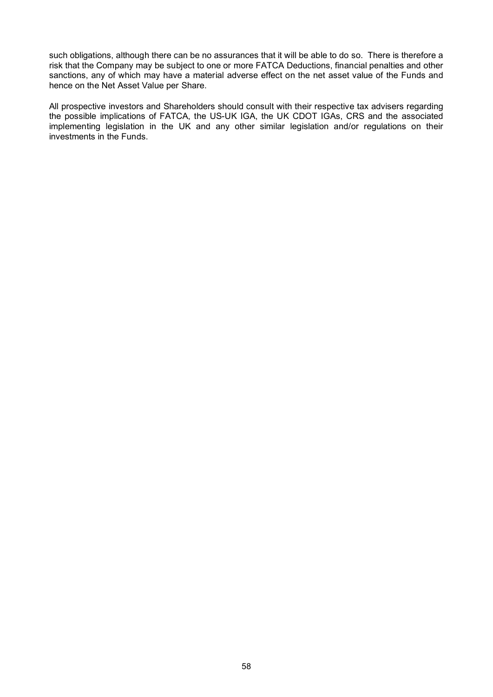such obligations, although there can be no assurances that it will be able to do so. There is therefore a risk that the Company may be subject to one or more FATCA Deductions, financial penalties and other sanctions, any of which may have a material adverse effect on the net asset value of the Funds and hence on the Net Asset Value per Share.

All prospective investors and Shareholders should consult with their respective tax advisers regarding the possible implications of FATCA, the US-UK IGA, the UK CDOT IGAs, CRS and the associated implementing legislation in the UK and any other similar legislation and/or regulations on their investments in the Funds.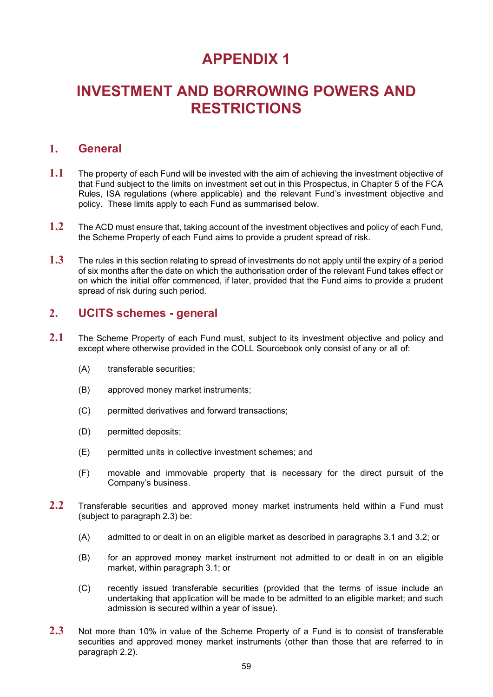# **APPENDIX 1**

# **INVESTMENT AND BORROWING POWERS AND RESTRICTIONS**

#### **1. General**

- **1.1** The property of each Fund will be invested with the aim of achieving the investment objective of that Fund subject to the limits on investment set out in this Prospectus, in Chapter 5 of the FCA Rules, ISA regulations (where applicable) and the relevant Fund's investment objective and policy. These limits apply to each Fund as summarised below.
- **1.2** The ACD must ensure that, taking account of the investment objectives and policy of each Fund, the Scheme Property of each Fund aims to provide a prudent spread of risk.
- **1.3** The rules in this section relating to spread of investments do not apply until the expiry of a period of six months after the date on which the authorisation order of the relevant Fund takes effect or on which the initial offer commenced, if later, provided that the Fund aims to provide a prudent spread of risk during such period.

#### **2. UCITS schemes - general**

- **2.1** The Scheme Property of each Fund must, subject to its investment objective and policy and except where otherwise provided in the COLL Sourcebook only consist of any or all of:
	- (A) transferable securities;
	- (B) approved money market instruments;
	- (C) permitted derivatives and forward transactions;
	- (D) permitted deposits;
	- (E) permitted units in collective investment schemes; and
	- (F) movable and immovable property that is necessary for the direct pursuit of the Company's business.
- <span id="page-61-1"></span>**2.2** Transferable securities and approved money market instruments held within a Fund must (subject to paragraph [2.3\)](#page-61-0) be:
	- (A) admitted to or dealt in on an eligible market as described in paragraphs [3.1](#page-62-0) and [3.2;](#page-62-1) or
	- (B) for an approved money market instrument not admitted to or dealt in on an eligible market, within paragraph [3.1;](#page-62-0) or
	- (C) recently issued transferable securities (provided that the terms of issue include an undertaking that application will be made to be admitted to an eligible market; and such admission is secured within a year of issue).
- <span id="page-61-0"></span>**2.3** Not more than 10% in value of the Scheme Property of a Fund is to consist of transferable securities and approved money market instruments (other than those that are referred to in paragraph [2.2\)](#page-61-1).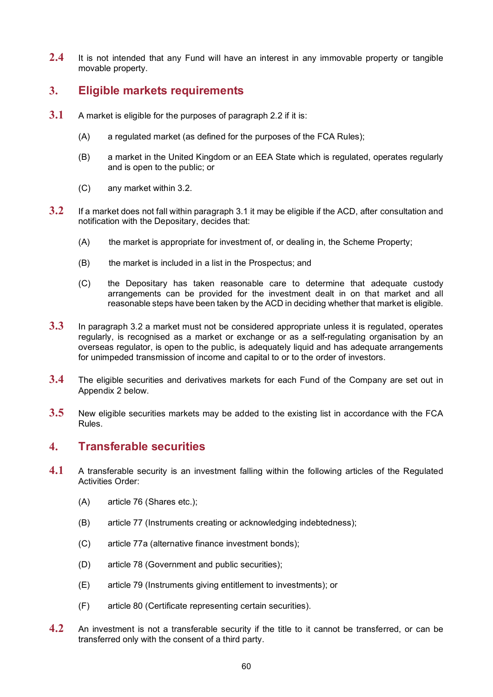2.4 It is not intended that any Fund will have an interest in any immovable property or tangible movable property.

## **3. Eligible markets requirements**

- <span id="page-62-0"></span>**3.1** A market is eligible for the purposes of paragraph [2.2](#page-61-1) if it is:
	- (A) a regulated market (as defined for the purposes of the FCA Rules);
	- (B) a market in the United Kingdom or an EEA State which is regulated, operates regularly and is open to the public; or
	- (C) any market within [3.2.](#page-62-1)
- <span id="page-62-1"></span>**3.2** If a market does not fall within paragraph [3.1](#page-62-0) it may be eligible if the ACD, after consultation and notification with the Depositary, decides that:
	- (A) the market is appropriate for investment of, or dealing in, the Scheme Property;
	- (B) the market is included in a list in the Prospectus; and
	- (C) the Depositary has taken reasonable care to determine that adequate custody arrangements can be provided for the investment dealt in on that market and all reasonable steps have been taken by the ACD in deciding whether that market is eligible.
- **3.3** In paragraph [3.2](#page-62-1) a market must not be considered appropriate unless it is regulated, operates regularly, is recognised as a market or exchange or as a self-regulating organisation by an overseas regulator, is open to the public, is adequately liquid and has adequate arrangements for unimpeded transmission of income and capital to or to the order of investors.
- **3.4** The eligible securities and derivatives markets for each Fund of the Company are set out in Appendix 2 below.
- **3.5** New eligible securities markets may be added to the existing list in accordance with the FCA Rules.

## **4. Transferable securities**

- <span id="page-62-4"></span><span id="page-62-3"></span>**4.1** A transferable security is an investment falling within the following articles of the Regulated Activities Order:
	- (A) article 76 (Shares etc.);
	- (B) article 77 (Instruments creating or acknowledging indebtedness);
	- (C) article 77a (alternative finance investment bonds);
	- (D) article 78 (Government and public securities);
	- (E) article 79 (Instruments giving entitlement to investments); or
	- (F) article 80 (Certificate representing certain securities).
- <span id="page-62-2"></span>**4.2** An investment is not a transferable security if the title to it cannot be transferred, or can be transferred only with the consent of a third party.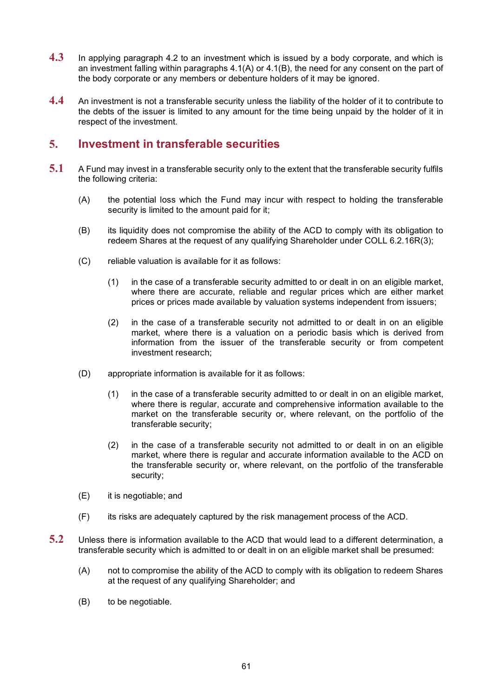- **4.3** In applying paragraph [4.2](#page-62-2) to an investment which is issued by a body corporate, and which is an investment falling within paragraphs [4.1\(A\)](#page-62-3) or [4.1\(B\),](#page-62-4) the need for any consent on the part of the body corporate or any members or debenture holders of it may be ignored.
- **4.4** An investment is not a transferable security unless the liability of the holder of it to contribute to the debts of the issuer is limited to any amount for the time being unpaid by the holder of it in respect of the investment.

#### <span id="page-63-0"></span>**5. Investment in transferable securities**

- **5.1** A Fund may invest in a transferable security only to the extent that the transferable security fulfils the following criteria:
	- (A) the potential loss which the Fund may incur with respect to holding the transferable security is limited to the amount paid for it;
	- (B) its liquidity does not compromise the ability of the ACD to comply with its obligation to redeem Shares at the request of any qualifying Shareholder under COLL 6.2.16R(3);
	- (C) reliable valuation is available for it as follows:
		- (1) in the case of a transferable security admitted to or dealt in on an eligible market, where there are accurate, reliable and regular prices which are either market prices or prices made available by valuation systems independent from issuers;
		- (2) in the case of a transferable security not admitted to or dealt in on an eligible market, where there is a valuation on a periodic basis which is derived from information from the issuer of the transferable security or from competent investment research;
	- (D) appropriate information is available for it as follows:
		- (1) in the case of a transferable security admitted to or dealt in on an eligible market, where there is regular, accurate and comprehensive information available to the market on the transferable security or, where relevant, on the portfolio of the transferable security;
		- (2) in the case of a transferable security not admitted to or dealt in on an eligible market, where there is regular and accurate information available to the ACD on the transferable security or, where relevant, on the portfolio of the transferable security;
	- (E) it is negotiable; and
	- (F) its risks are adequately captured by the risk management process of the ACD.
- **5.2** Unless there is information available to the ACD that would lead to a different determination, a transferable security which is admitted to or dealt in on an eligible market shall be presumed:
	- (A) not to compromise the ability of the ACD to comply with its obligation to redeem Shares at the request of any qualifying Shareholder; and
	- (B) to be negotiable.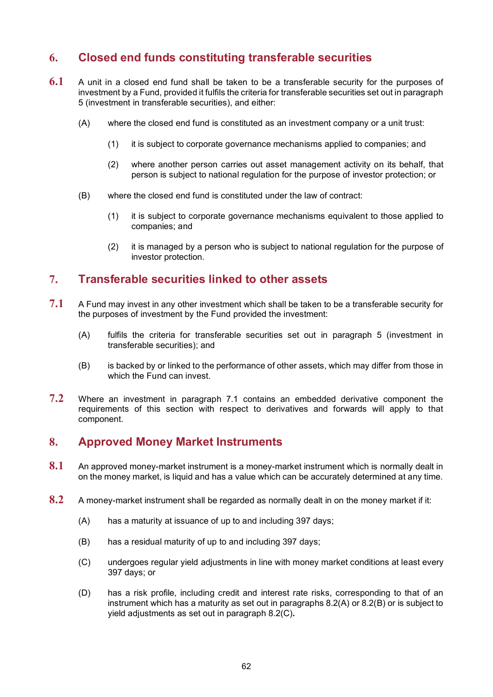# **6. Closed end funds constituting transferable securities**

- **6.1** A unit in a closed end fund shall be taken to be a transferable security for the purposes of investment by a Fund, provided it fulfils the criteria for transferable securities set out in paragraph [5](#page-63-0) (investment in transferable securities), and either:
	- (A) where the closed end fund is constituted as an investment company or a unit trust:
		- (1) it is subject to corporate governance mechanisms applied to companies; and
		- (2) where another person carries out asset management activity on its behalf, that person is subject to national regulation for the purpose of investor protection; or
	- (B) where the closed end fund is constituted under the law of contract:
		- (1) it is subject to corporate governance mechanisms equivalent to those applied to companies; and
		- (2) it is managed by a person who is subject to national regulation for the purpose of investor protection.

#### **7. Transferable securities linked to other assets**

- <span id="page-64-0"></span>**7.1** A Fund may invest in any other investment which shall be taken to be a transferable security for the purposes of investment by the Fund provided the investment:
	- (A) fulfils the criteria for transferable securities set out in paragraph [5](#page-63-0) (investment in transferable securities); and
	- (B) is backed by or linked to the performance of other assets, which may differ from those in which the Fund can invest.
- **7.2** Where an investment in paragraph [7.1](#page-64-0) contains an embedded derivative component the requirements of this section with respect to derivatives and forwards will apply to that component.

#### **8. Approved Money Market Instruments**

- **8.1** An approved money-market instrument is a money-market instrument which is normally dealt in on the money market, is liquid and has a value which can be accurately determined at any time.
- <span id="page-64-4"></span><span id="page-64-3"></span><span id="page-64-2"></span><span id="page-64-1"></span>**8.2** A money-market instrument shall be regarded as normally dealt in on the money market if it:
	- (A) has a maturity at issuance of up to and including 397 days;
	- (B) has a residual maturity of up to and including 397 days;
	- (C) undergoes regular yield adjustments in line with money market conditions at least every 397 days; or
	- (D) has a risk profile, including credit and interest rate risks, corresponding to that of an instrument which has a maturity as set out in paragraphs [8.2](#page-64-1)[\(A\)](#page-64-2) or [8.2](#page-64-1)[\(B\)](#page-64-3) or is subject to yield adjustments as set out in paragraph [8.2](#page-64-1)[\(C\)](#page-64-4)**.**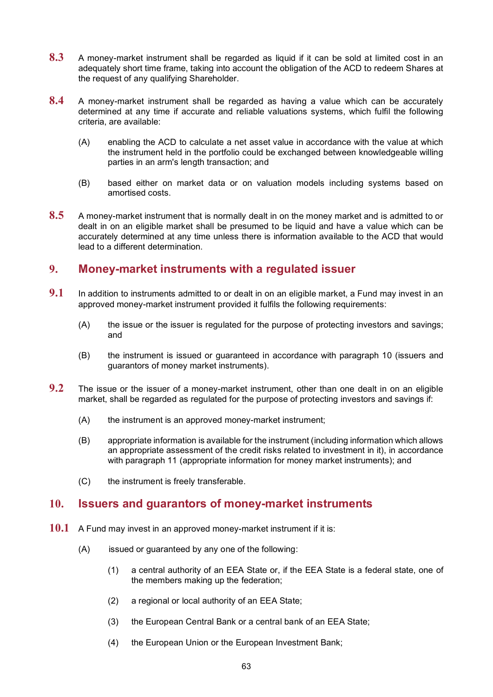- **8.3** A money-market instrument shall be regarded as liquid if it can be sold at limited cost in an adequately short time frame, taking into account the obligation of the ACD to redeem Shares at the request of any qualifying Shareholder.
- **8.4** A money-market instrument shall be regarded as having a value which can be accurately determined at any time if accurate and reliable valuations systems, which fulfil the following criteria, are available:
	- (A) enabling the ACD to calculate a net asset value in accordance with the value at which the instrument held in the portfolio could be exchanged between knowledgeable willing parties in an arm's length transaction; and
	- (B) based either on market data or on valuation models including systems based on amortised costs.
- **8.5** A money-market instrument that is normally dealt in on the money market and is admitted to or dealt in on an eligible market shall be presumed to be liquid and have a value which can be accurately determined at any time unless there is information available to the ACD that would lead to a different determination.

# **9. Money-market instruments with a regulated issuer**

- **9.1** In addition to instruments admitted to or dealt in on an eligible market, a Fund may invest in an approved money-market instrument provided it fulfils the following requirements:
	- (A) the issue or the issuer is regulated for the purpose of protecting investors and savings; and
	- (B) the instrument is issued or guaranteed in accordance with paragraph [10](#page-65-0) (issuers and guarantors of money market instruments).
- **9.2** The issue or the issuer of a money-market instrument, other than one dealt in on an eligible market, shall be regarded as regulated for the purpose of protecting investors and savings if:
	- (A) the instrument is an approved money-market instrument;
	- (B) appropriate information is available for the instrument (including information which allows an appropriate assessment of the credit risks related to investment in it), in accordance with paragraph [11](#page-66-0) (appropriate information for money market instruments); and
	- (C) the instrument is freely transferable.

#### <span id="page-65-0"></span>**10. Issuers and guarantors of money-market instruments**

- <span id="page-65-3"></span><span id="page-65-2"></span><span id="page-65-1"></span>**10.1** A Fund may invest in an approved money-market instrument if it is:
	- (A) issued or guaranteed by any one of the following:
		- (1) a central authority of an EEA State or, if the EEA State is a federal state, one of the members making up the federation;
		- (2) a regional or local authority of an EEA State;
		- (3) the European Central Bank or a central bank of an EEA State;
		- (4) the European Union or the European Investment Bank;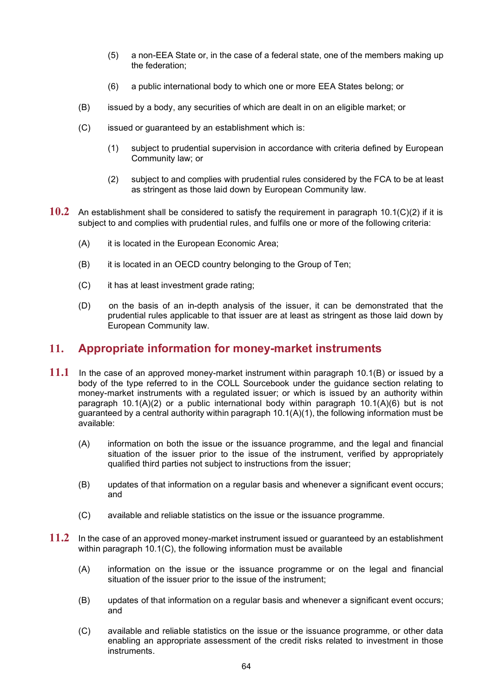- (5) a non-EEA State or, in the case of a federal state, one of the members making up the federation;
- (6) a public international body to which one or more EEA States belong; or
- <span id="page-66-5"></span><span id="page-66-3"></span><span id="page-66-2"></span>(B) issued by a body, any securities of which are dealt in on an eligible market; or
- <span id="page-66-4"></span>(C) issued or guaranteed by an establishment which is:
	- (1) subject to prudential supervision in accordance with criteria defined by European Community law; or
	- (2) subject to and complies with prudential rules considered by the FCA to be at least as stringent as those laid down by European Community law.
- <span id="page-66-1"></span>**10.2** An establishment shall be considered to satisfy the requirement in paragraph [10.1\(C\)\(2\)](#page-66-1) if it is subject to and complies with prudential rules, and fulfils one or more of the following criteria:
	- (A) it is located in the European Economic Area;
	- (B) it is located in an OECD country belonging to the Group of Ten;
	- (C) it has at least investment grade rating;
	- (D) on the basis of an in-depth analysis of the issuer, it can be demonstrated that the prudential rules applicable to that issuer are at least as stringent as those laid down by European Community law.

#### <span id="page-66-0"></span>**11. Appropriate information for money-market instruments**

- **11.1** In the case of an approved money-market instrument within paragraph [10.1\(B\)](#page-66-2) or issued by a body of the type referred to in the COLL Sourcebook under the guidance section relating to money-market instruments with a regulated issuer; or which is issued by an authority within paragraph [10.1\(A\)\(2\)](#page-65-1) or a public international body within paragraph [10.1\(A\)\(6\)](#page-66-3) but is not guaranteed by a central authority within paragraph  $10.1(A)(1)$ , the following information must be available:
	- (A) information on both the issue or the issuance programme, and the legal and financial situation of the issuer prior to the issue of the instrument, verified by appropriately qualified third parties not subject to instructions from the issuer;
	- (B) updates of that information on a regular basis and whenever a significant event occurs; and
	- (C) available and reliable statistics on the issue or the issuance programme.
- **11.2** In the case of an approved money-market instrument issued or guaranteed by an establishment within paragraph [10.1\(C\),](#page-66-4) the following information must be available
	- (A) information on the issue or the issuance programme or on the legal and financial situation of the issuer prior to the issue of the instrument;
	- (B) updates of that information on a regular basis and whenever a significant event occurs; and
	- (C) available and reliable statistics on the issue or the issuance programme, or other data enabling an appropriate assessment of the credit risks related to investment in those instruments.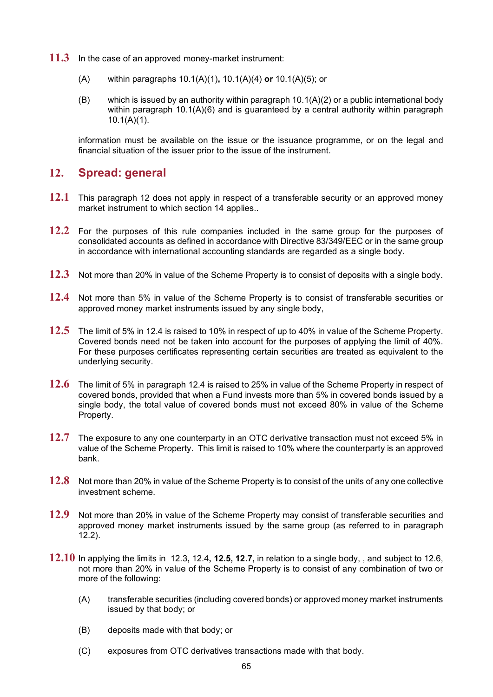- **11.3** In the case of an approved money-market instrument:
	- (A) within paragraphs [10.1\(A\)\(1\)](#page-65-2)**,** [10.1\(A\)\(4\)](#page-65-3) **or** [10.1\(A\)\(5\);](#page-66-5) or
	- (B) which is issued by an authority within paragraph  $10.1(A)(2)$  or a public international body within paragraph  $10.1(A)(6)$  and is guaranteed by a central authority within paragraph [10.1\(A\)\(1\).](#page-65-2)

information must be available on the issue or the issuance programme, or on the legal and financial situation of the issuer prior to the issue of the instrument.

#### <span id="page-67-0"></span>**12. Spread: general**

- <span id="page-67-5"></span>**12.1** This paragraph [12](#page-67-0) does not apply in respect of a transferable security or an approved money market instrument to which section 14 applies..
- <span id="page-67-2"></span>**12.2** For the purposes of this rule companies included in the same group for the purposes of consolidated accounts as defined in accordance with Directive 83/349/EEC or in the same group in accordance with international accounting standards are regarded as a single body.
- <span id="page-67-3"></span>**12.3** Not more than 20% in value of the Scheme Property is to consist of deposits with a single body.
- <span id="page-67-1"></span>**12.4** Not more than 5% in value of the Scheme Property is to consist of transferable securities or approved money market instruments issued by any single body,
- **12.5** The limit of 5% in 12.4 is raised to 10% in respect of up to 40% in value of the Scheme Property. Covered bonds need not be taken into account for the purposes of applying the limit of 40%. For these purposes certificates representing certain securities are treated as equivalent to the underlying security.
- **12.6** The limit of 5% in paragraph [12.4](#page-67-1) is raised to 25% in value of the Scheme Property in respect of covered bonds, provided that when a Fund invests more than 5% in covered bonds issued by a single body, the total value of covered bonds must not exceed 80% in value of the Scheme Property.
- **12.7** The exposure to any one counterparty in an OTC derivative transaction must not exceed 5% in value of the Scheme Property. This limit is raised to 10% where the counterparty is an approved bank.
- **12.8** Not more than 20% in value of the Scheme Property is to consist of the units of any one collective investment scheme.
- **12.9** Not more than 20% in value of the Scheme Property may consist of transferable securities and approved money market instruments issued by the same group (as referred to in paragraph [12.2\)](#page-67-2).
- <span id="page-67-4"></span>**12.10** In applying the limits in [12.3](#page-67-3)**,** [12.4](#page-67-1)**, 12.5, 12.7,** in relation to a single body, , and subject to 12.6, not more than 20% in value of the Scheme Property is to consist of any combination of two or more of the following:
	- (A) transferable securities (including covered bonds) or approved money market instruments issued by that body; or
	- (B) deposits made with that body; or
	- (C) exposures from OTC derivatives transactions made with that body.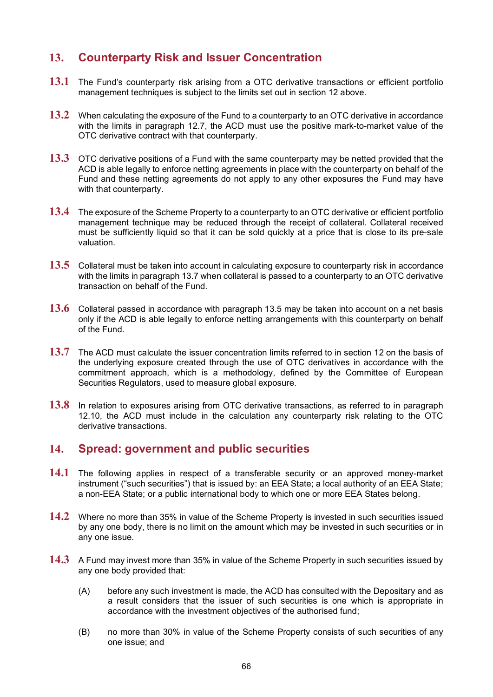# **13. Counterparty Risk and Issuer Concentration**

- **13.1** The Fund's counterparty risk arising from a OTC derivative transactions or efficient portfolio management techniques is subject to the limits set out in section 12 above.
- **13.2** When calculating the exposure of the Fund to a counterparty to an OTC derivative in accordance with the limits in paragraph 12.7, the ACD must use the positive mark-to-market value of the OTC derivative contract with that counterparty.
- **13.3** OTC derivative positions of a Fund with the same counterparty may be netted provided that the ACD is able legally to enforce netting agreements in place with the counterparty on behalf of the Fund and these netting agreements do not apply to any other exposures the Fund may have with that counterparty.
- **13.4** The exposure of the Scheme Property to a counterparty to an OTC derivative or efficient portfolio management technique may be reduced through the receipt of collateral. Collateral received must be sufficiently liquid so that it can be sold quickly at a price that is close to its pre-sale valuation.
- <span id="page-68-1"></span>**13.5** Collateral must be taken into account in calculating exposure to counterparty risk in accordance with the limits in paragraph [13.7](#page-68-0) when collateral is passed to a counterparty to an OTC derivative transaction on behalf of the Fund.
- **13.6** Collateral passed in accordance with paragraph [13.5](#page-68-1) may be taken into account on a net basis only if the ACD is able legally to enforce netting arrangements with this counterparty on behalf of the Fund.
- <span id="page-68-0"></span>**13.7** The ACD must calculate the issuer concentration limits referred to in section 12 on the basis of the underlying exposure created through the use of OTC derivatives in accordance with the commitment approach, which is a methodology, defined by the Committee of European Securities Regulators, used to measure global exposure.
- **13.8** In relation to exposures arising from OTC derivative transactions, as referred to in paragraph [12.10,](#page-67-4) the ACD must include in the calculation any counterparty risk relating to the OTC derivative transactions.

## **14. Spread: government and public securities**

- **14.1** The following applies in respect of a transferable security or an approved money-market instrument ("such securities") that is issued by: an EEA State; a local authority of an EEA State; a non-EEA State; or a public international body to which one or more EEA States belong.
- **14.2** Where no more than 35% in value of the Scheme Property is invested in such securities issued by any one body, there is no limit on the amount which may be invested in such securities or in any one issue.
- **14.3** A Fund may invest more than 35% in value of the Scheme Property in such securities issued by any one body provided that:
	- (A) before any such investment is made, the ACD has consulted with the Depositary and as a result considers that the issuer of such securities is one which is appropriate in accordance with the investment objectives of the authorised fund;
	- (B) no more than 30% in value of the Scheme Property consists of such securities of any one issue; and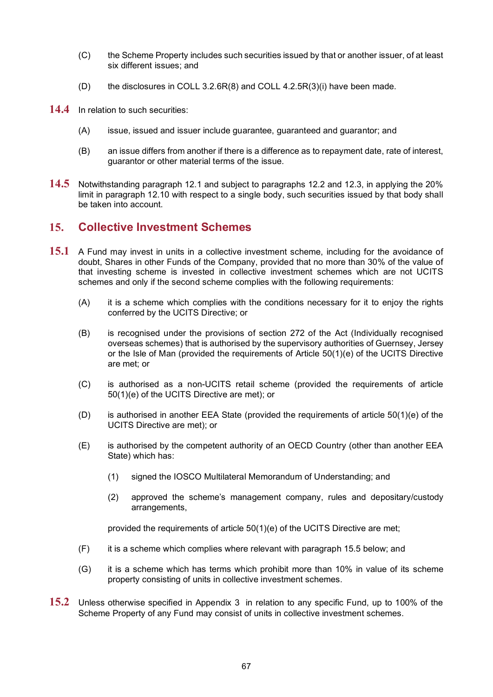- (C) the Scheme Property includes such securities issued by that or another issuer, of at least six different issues; and
- (D) the disclosures in COLL 3.2.6R(8) and COLL 4.2.5R(3)(i) have been made.
- **14.4** In relation to such securities:
	- (A) issue, issued and issuer include guarantee, guaranteed and guarantor; and
	- (B) an issue differs from another if there is a difference as to repayment date, rate of interest, guarantor or other material terms of the issue.
- **14.5** Notwithstanding paragraph [12.1](#page-67-5) and subject to paragraphs [12.2](#page-67-2) and [12.3,](#page-67-3) in applying the 20% limit in paragraph [12.10](#page-67-4) with respect to a single body, such securities issued by that body shall be taken into account.

#### **15. Collective Investment Schemes**

- <span id="page-69-0"></span>**15.1** A Fund may invest in units in a collective investment scheme, including for the avoidance of doubt, Shares in other Funds of the Company, provided that no more than 30% of the value of that investing scheme is invested in collective investment schemes which are not UCITS schemes and only if the second scheme complies with the following requirements:
	- (A) it is a scheme which complies with the conditions necessary for it to enjoy the rights conferred by the UCITS Directive; or
	- (B) is recognised under the provisions of section 272 of the Act (Individually recognised overseas schemes) that is authorised by the supervisory authorities of Guernsey, Jersey or the Isle of Man (provided the requirements of Article 50(1)(e) of the UCITS Directive are met; or
	- (C) is authorised as a non-UCITS retail scheme (provided the requirements of article 50(1)(e) of the UCITS Directive are met); or
	- (D) is authorised in another EEA State (provided the requirements of article 50(1)(e) of the UCITS Directive are met); or
	- (E) is authorised by the competent authority of an OECD Country (other than another EEA State) which has:
		- (1) signed the IOSCO Multilateral Memorandum of Understanding; and
		- (2) approved the scheme's management company, rules and depositary/custody arrangements,

provided the requirements of article 50(1)(e) of the UCITS Directive are met;

- (F) it is a scheme which complies where relevant with paragraph [15.5](#page-70-0) below; and
- (G) it is a scheme which has terms which prohibit more than 10% in value of its scheme property consisting of units in collective investment schemes.
- <span id="page-69-1"></span>**15.2** Unless otherwise specified in Appendix 3 in relation to any specific Fund, up to 100% of the Scheme Property of any Fund may consist of units in collective investment schemes.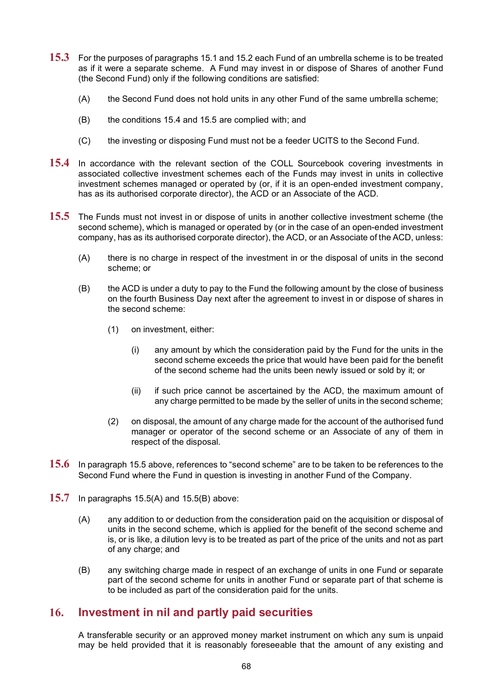- **15.3** For the purposes of paragraphs [15.1](#page-69-0) and [15.2](#page-69-1) each Fund of an umbrella scheme is to be treated as if it were a separate scheme. A Fund may invest in or dispose of Shares of another Fund (the Second Fund) only if the following conditions are satisfied:
	- (A) the Second Fund does not hold units in any other Fund of the same umbrella scheme;
	- (B) the conditions [15.4](#page-70-1) and [15.5](#page-70-0) are complied with; and
	- (C) the investing or disposing Fund must not be a feeder UCITS to the Second Fund.
- <span id="page-70-1"></span>**15.4** In accordance with the relevant section of the COLL Sourcebook covering investments in associated collective investment schemes each of the Funds may invest in units in collective investment schemes managed or operated by (or, if it is an open-ended investment company, has as its authorised corporate director), the ACD or an Associate of the ACD.
- <span id="page-70-3"></span><span id="page-70-2"></span><span id="page-70-0"></span>**15.5** The Funds must not invest in or dispose of units in another collective investment scheme (the second scheme), which is managed or operated by (or in the case of an open-ended investment company, has as its authorised corporate director), the ACD, or an Associate of the ACD, unless:
	- (A) there is no charge in respect of the investment in or the disposal of units in the second scheme; or
	- (B) the ACD is under a duty to pay to the Fund the following amount by the close of business on the fourth Business Day next after the agreement to invest in or dispose of shares in the second scheme:
		- (1) on investment, either:
			- (i) any amount by which the consideration paid by the Fund for the units in the second scheme exceeds the price that would have been paid for the benefit of the second scheme had the units been newly issued or sold by it; or
			- (ii) if such price cannot be ascertained by the ACD, the maximum amount of any charge permitted to be made by the seller of units in the second scheme;
		- (2) on disposal, the amount of any charge made for the account of the authorised fund manager or operator of the second scheme or an Associate of any of them in respect of the disposal.
- **15.6** In paragraph [15.5](#page-70-0) above, references to "second scheme" are to be taken to be references to the Second Fund where the Fund in question is investing in another Fund of the Company.
- **15.7** In paragraphs [15.5\(A\)](#page-70-2) and [15.5\(B\)](#page-70-3) above:
	- (A) any addition to or deduction from the consideration paid on the acquisition or disposal of units in the second scheme, which is applied for the benefit of the second scheme and is, or is like, a dilution levy is to be treated as part of the price of the units and not as part of any charge; and
	- (B) any switching charge made in respect of an exchange of units in one Fund or separate part of the second scheme for units in another Fund or separate part of that scheme is to be included as part of the consideration paid for the units.

#### **16. Investment in nil and partly paid securities**

A transferable security or an approved money market instrument on which any sum is unpaid may be held provided that it is reasonably foreseeable that the amount of any existing and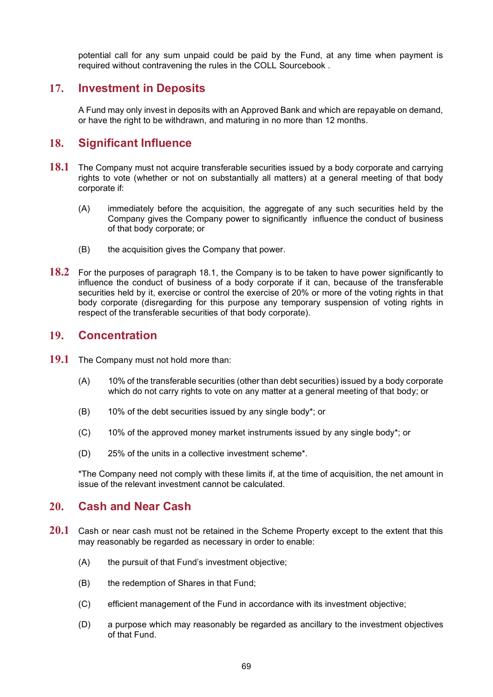potential call for any sum unpaid could be paid by the Fund, at any time when payment is required without contravening the rules in the COLL Sourcebook .

## **17. Investment in Deposits**

A Fund may only invest in deposits with an Approved Bank and which are repayable on demand, or have the right to be withdrawn, and maturing in no more than 12 months.

#### **18. Significant Influence**

- <span id="page-71-0"></span>**18.1** The Company must not acquire transferable securities issued by a body corporate and carrying rights to vote (whether or not on substantially all matters) at a general meeting of that body corporate if:
	- (A) immediately before the acquisition, the aggregate of any such securities held by the Company gives the Company power to significantly influence the conduct of business of that body corporate; or
	- (B) the acquisition gives the Company that power.
- **18.2** For the purposes of paragraph [18.1,](#page-71-0) the Company is to be taken to have power significantly to influence the conduct of business of a body corporate if it can, because of the transferable securities held by it, exercise or control the exercise of 20% or more of the voting rights in that body corporate (disregarding for this purpose any temporary suspension of voting rights in respect of the transferable securities of that body corporate).

#### **19. Concentration**

- **19.1** The Company must not hold more than:
	- (A) 10% of the transferable securities (other than debt securities) issued by a body corporate which do not carry rights to vote on any matter at a general meeting of that body; or
	- (B) 10% of the debt securities issued by any single body\*; or
	- $(C)$  10% of the approved money market instruments issued by any single body\*; or
	- (D) 25% of the units in a collective investment scheme\*.

\*The Company need not comply with these limits if, at the time of acquisition, the net amount in issue of the relevant investment cannot be calculated.

#### **20. Cash and Near Cash**

- **20.1** Cash or near cash must not be retained in the Scheme Property except to the extent that this may reasonably be regarded as necessary in order to enable:
	- (A) the pursuit of that Fund's investment objective;
	- (B) the redemption of Shares in that Fund;
	- (C) efficient management of the Fund in accordance with its investment objective;
	- (D) a purpose which may reasonably be regarded as ancillary to the investment objectives of that Fund.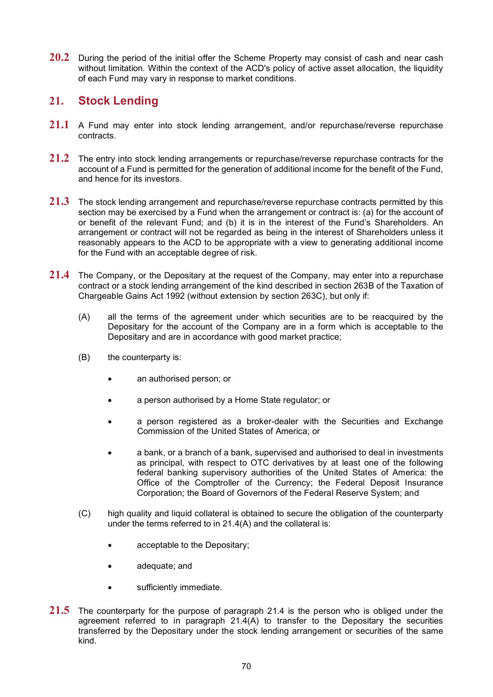**20.2** During the period of the initial offer the Scheme Property may consist of cash and near cash without limitation. Within the context of the ACD's policy of active asset allocation, the liquidity of each Fund may vary in response to market conditions.

#### <span id="page-72-3"></span>**21. Stock Lending**

- **21.1** A Fund may enter into stock lending arrangement, and/or repurchase/reverse repurchase contracts.
- **21.2** The entry into stock lending arrangements or repurchase/reverse repurchase contracts for the account of a Fund is permitted for the generation of additional income for the benefit of the Fund, and hence for its investors.
- **21.3** The stock lending arrangement and repurchase/reverse repurchase contracts permitted by this section may be exercised by a Fund when the arrangement or contract is: (a) for the account of or benefit of the relevant Fund; and (b) it is in the interest of the Fund's Shareholders. An arrangement or contract will not be regarded as being in the interest of Shareholders unless it reasonably appears to the ACD to be appropriate with a view to generating additional income for the Fund with an acceptable degree of risk.
- <span id="page-72-1"></span><span id="page-72-0"></span>**21.4** The Company, or the Depositary at the request of the Company, may enter into a repurchase contract or a stock lending arrangement of the kind described in section 263B of the Taxation of Chargeable Gains Act 1992 (without extension by section 263C), but only if:
	- (A) all the terms of the agreement under which securities are to be reacquired by the Depositary for the account of the Company are in a form which is acceptable to the Depositary and are in accordance with good market practice;
	- (B) the counterparty is:
		- an authorised person; or
		- a person authorised by a Home State regulator; or
		- a person registered as a broker-dealer with the Securities and Exchange Commission of the United States of America; or
		- a bank, or a branch of a bank, supervised and authorised to deal in investments as principal, with respect to OTC derivatives by at least one of the following federal banking supervisory authorities of the United States of America: the Office of the Comptroller of the Currency; the Federal Deposit Insurance Corporation; the Board of Governors of the Federal Reserve System; and
	- (C) high quality and liquid collateral is obtained to secure the obligation of the counterparty under the terms referred to in [21.4](#page-72-0)[\(A\)](#page-72-1) and the collateral is:
		- acceptable to the Depositary;
		- adequate; and
		- sufficiently immediate.
- <span id="page-72-2"></span>**21.5** The counterparty for the purpose of paragraph [21.4](#page-72-0) is the person who is obliged under the agreement referred to in paragraph  $21.4(A)$  to transfer to the Depositary the securities transferred by the Depositary under the stock lending arrangement or securities of the same kind.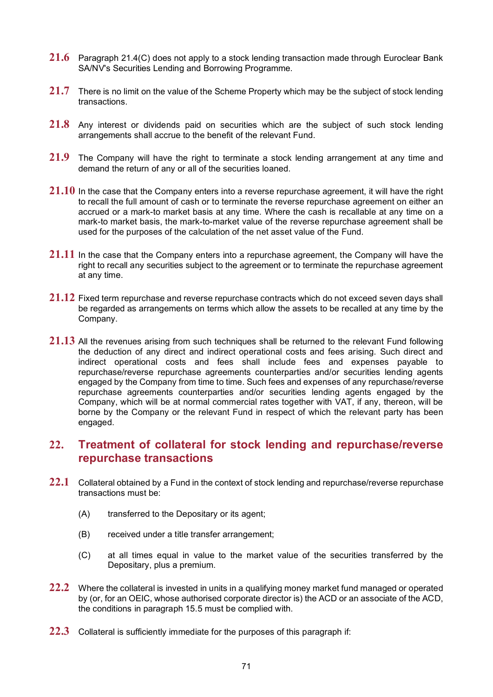- **21.6** Paragraph [21.4\(C\)](#page-72-2) does not apply to a stock lending transaction made through Euroclear Bank SA/NV's Securities Lending and Borrowing Programme.
- **21.7** There is no limit on the value of the Scheme Property which may be the subject of stock lending transactions.
- **21.8** Any interest or dividends paid on securities which are the subject of such stock lending arrangements shall accrue to the benefit of the relevant Fund.
- **21.9** The Company will have the right to terminate a stock lending arrangement at any time and demand the return of any or all of the securities loaned.
- **21.10** In the case that the Company enters into a reverse repurchase agreement, it will have the right to recall the full amount of cash or to terminate the reverse repurchase agreement on either an accrued or a mark-to market basis at any time. Where the cash is recallable at any time on a mark-to market basis, the mark-to-market value of the reverse repurchase agreement shall be used for the purposes of the calculation of the net asset value of the Fund.
- **21.11** In the case that the Company enters into a repurchase agreement, the Company will have the right to recall any securities subject to the agreement or to terminate the repurchase agreement at any time.
- **21.12** Fixed term repurchase and reverse repurchase contracts which do not exceed seven days shall be regarded as arrangements on terms which allow the assets to be recalled at any time by the Company.
- **21.13** All the revenues arising from such techniques shall be returned to the relevant Fund following the deduction of any direct and indirect operational costs and fees arising. Such direct and indirect operational costs and fees shall include fees and expenses payable to repurchase/reverse repurchase agreements counterparties and/or securities lending agents engaged by the Company from time to time. Such fees and expenses of any repurchase/reverse repurchase agreements counterparties and/or securities lending agents engaged by the Company, which will be at normal commercial rates together with VAT, if any, thereon, will be borne by the Company or the relevant Fund in respect of which the relevant party has been engaged.

#### **22. Treatment of collateral for stock lending and repurchase/reverse repurchase transactions**

- **22.1** Collateral obtained by a Fund in the context of stock lending and repurchase/reverse repurchase transactions must be:
	- (A) transferred to the Depositary or its agent;
	- (B) received under a title transfer arrangement;
	- (C) at all times equal in value to the market value of the securities transferred by the Depositary, plus a premium.
- **22.2** Where the collateral is invested in units in a qualifying money market fund managed or operated by (or, for an OEIC, whose authorised corporate director is) the ACD or an associate of the ACD, the conditions in paragraph [15.5](#page-70-0) must be complied with.
- <span id="page-73-0"></span>**22.3** Collateral is sufficiently immediate for the purposes of this paragraph if: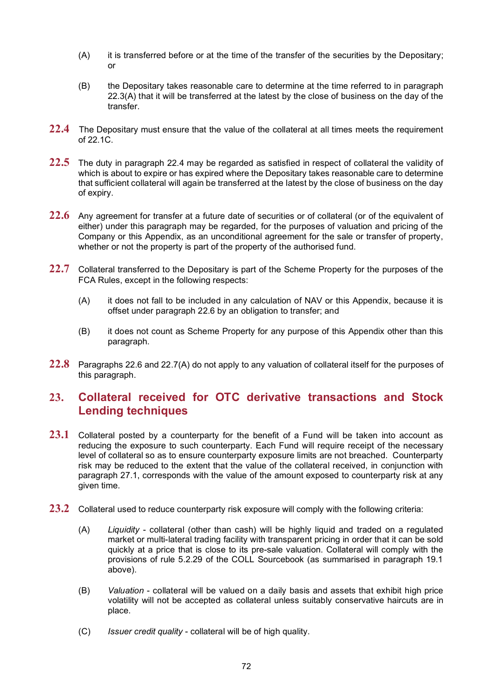- <span id="page-74-0"></span>(A) it is transferred before or at the time of the transfer of the securities by the Depositary; or
- (B) the Depositary takes reasonable care to determine at the time referred to in paragraph [22.3](#page-73-0)[\(A\)](#page-74-0) that it will be transferred at the latest by the close of business on the day of the transfer.
- <span id="page-74-1"></span>**22.4** The Depositary must ensure that the value of the collateral at all times meets the requirement of 22.1C.
- **22.5** The duty in paragraph [22.4](#page-74-1) may be regarded as satisfied in respect of collateral the validity of which is about to expire or has expired where the Depositary takes reasonable care to determine that sufficient collateral will again be transferred at the latest by the close of business on the day of expiry.
- <span id="page-74-2"></span>22.6 Any agreement for transfer at a future date of securities or of collateral (or of the equivalent of either) under this paragraph may be regarded, for the purposes of valuation and pricing of the Company or this Appendix, as an unconditional agreement for the sale or transfer of property, whether or not the property is part of the property of the authorised fund.
- <span id="page-74-3"></span>**22.7** Collateral transferred to the Depositary is part of the Scheme Property for the purposes of the FCA Rules, except in the following respects:
	- (A) it does not fall to be included in any calculation of NAV or this Appendix, because it is offset under paragraph [22.6](#page-74-2) by an obligation to transfer; and
	- (B) it does not count as Scheme Property for any purpose of this Appendix other than this paragraph.
- **22.8** Paragraphs [22.6](#page-74-2) and [22.7\(A\)](#page-74-3) do not apply to any valuation of collateral itself for the purposes of this paragraph.

#### **23. Collateral received for OTC derivative transactions and Stock Lending techniques**

- 23.1 Collateral posted by a counterparty for the benefit of a Fund will be taken into account as reducing the exposure to such counterparty. Each Fund will require receipt of the necessary level of collateral so as to ensure counterparty exposure limits are not breached. Counterparty risk may be reduced to the extent that the value of the collateral received, in conjunction with paragraph [27.1,](#page-76-0) corresponds with the value of the amount exposed to counterparty risk at any given time.
- **23.2** Collateral used to reduce counterparty risk exposure will comply with the following criteria:
	- (A) *Liquidity* collateral (other than cash) will be highly liquid and traded on a regulated market or multi-lateral trading facility with transparent pricing in order that it can be sold quickly at a price that is close to its pre-sale valuation. Collateral will comply with the provisions of rule 5.2.29 of the COLL Sourcebook (as summarised in paragraph [19.1](#page-71-0) above).
	- (B) *Valuation* collateral will be valued on a daily basis and assets that exhibit high price volatility will not be accepted as collateral unless suitably conservative haircuts are in place.
	- (C) *Issuer credit quality* collateral will be of high quality.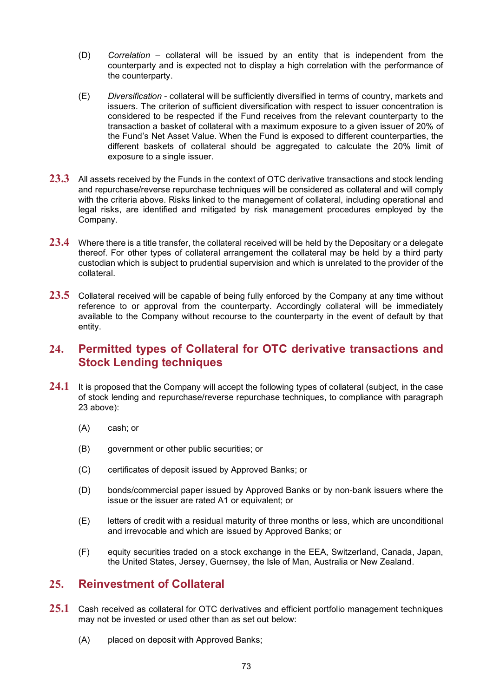- (D) *Correlation* collateral will be issued by an entity that is independent from the counterparty and is expected not to display a high correlation with the performance of the counterparty.
- <span id="page-75-0"></span>(E) *Diversification* - collateral will be sufficiently diversified in terms of country, markets and issuers. The criterion of sufficient diversification with respect to issuer concentration is considered to be respected if the Fund receives from the relevant counterparty to the transaction a basket of collateral with a maximum exposure to a given issuer of 20% of the Fund's Net Asset Value. When the Fund is exposed to different counterparties, the different baskets of collateral should be aggregated to calculate the 20% limit of exposure to a single issuer.
- **23.3** All assets received by the Funds in the context of OTC derivative transactions and stock lending and repurchase/reverse repurchase techniques will be considered as collateral and will comply with the criteria above. Risks linked to the management of collateral, including operational and legal risks, are identified and mitigated by risk management procedures employed by the Company.
- **23.4** Where there is a title transfer, the collateral received will be held by the Depositary or a delegate thereof. For other types of collateral arrangement the collateral may be held by a third party custodian which is subject to prudential supervision and which is unrelated to the provider of the collateral.
- **23.5** Collateral received will be capable of being fully enforced by the Company at any time without reference to or approval from the counterparty. Accordingly collateral will be immediately available to the Company without recourse to the counterparty in the event of default by that entity.

#### **24. Permitted types of Collateral for OTC derivative transactions and Stock Lending techniques**

- 24.1 It is proposed that the Company will accept the following types of collateral (subject, in the case of stock lending and repurchase/reverse repurchase techniques, to compliance with paragraph 23 above):
	- (A) cash; or
	- (B) government or other public securities; or
	- (C) certificates of deposit issued by Approved Banks; or
	- (D) bonds/commercial paper issued by Approved Banks or by non-bank issuers where the issue or the issuer are rated A1 or equivalent; or
	- (E) letters of credit with a residual maturity of three months or less, which are unconditional and irrevocable and which are issued by Approved Banks; or
	- (F) equity securities traded on a stock exchange in the EEA, Switzerland, Canada, Japan, the United States, Jersey, Guernsey, the Isle of Man, Australia or New Zealand.

#### **25. Reinvestment of Collateral**

- **25.1** Cash received as collateral for OTC derivatives and efficient portfolio management techniques may not be invested or used other than as set out below:
	- (A) placed on deposit with Approved Banks;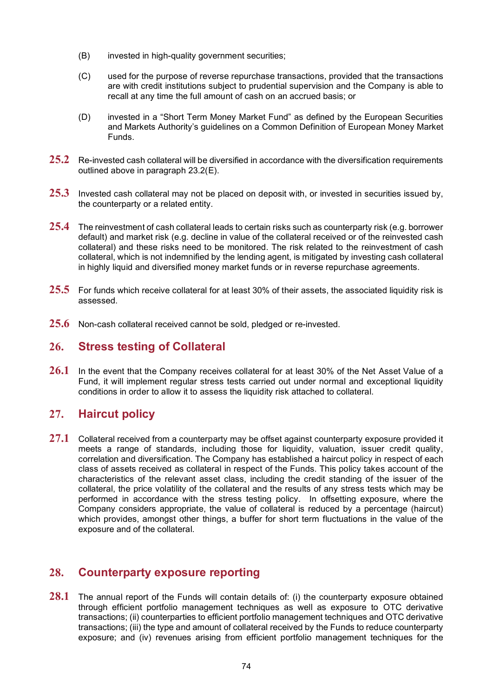- (B) invested in high-quality government securities;
- (C) used for the purpose of reverse repurchase transactions, provided that the transactions are with credit institutions subject to prudential supervision and the Company is able to recall at any time the full amount of cash on an accrued basis; or
- (D) invested in a "Short Term Money Market Fund" as defined by the European Securities and Markets Authority's guidelines on a Common Definition of European Money Market Funds.
- **25.2** Re-invested cash collateral will be diversified in accordance with the diversification requirements outlined above in paragraph [23.2\(E\).](#page-75-0)
- **25.3** Invested cash collateral may not be placed on deposit with, or invested in securities issued by, the counterparty or a related entity.
- **25.4** The reinvestment of cash collateral leads to certain risks such as counterparty risk (e.g. borrower default) and market risk (e.g. decline in value of the collateral received or of the reinvested cash collateral) and these risks need to be monitored. The risk related to the reinvestment of cash collateral, which is not indemnified by the lending agent, is mitigated by investing cash collateral in highly liquid and diversified money market funds or in reverse repurchase agreements.
- **25.5** For funds which receive collateral for at least 30% of their assets, the associated liquidity risk is assessed.
- **25.6** Non-cash collateral received cannot be sold, pledged or re-invested.

#### **26. Stress testing of Collateral**

**26.1** In the event that the Company receives collateral for at least 30% of the Net Asset Value of a Fund, it will implement regular stress tests carried out under normal and exceptional liquidity conditions in order to allow it to assess the liquidity risk attached to collateral.

#### **27. Haircut policy**

<span id="page-76-0"></span>**27.1** Collateral received from a counterparty may be offset against counterparty exposure provided it meets a range of standards, including those for liquidity, valuation, issuer credit quality, correlation and diversification. The Company has established a haircut policy in respect of each class of assets received as collateral in respect of the Funds. This policy takes account of the characteristics of the relevant asset class, including the credit standing of the issuer of the collateral, the price volatility of the collateral and the results of any stress tests which may be performed in accordance with the stress testing policy. In offsetting exposure, where the Company considers appropriate, the value of collateral is reduced by a percentage (haircut) which provides, amongst other things, a buffer for short term fluctuations in the value of the exposure and of the collateral.

#### **28. Counterparty exposure reporting**

**28.1** The annual report of the Funds will contain details of: (i) the counterparty exposure obtained through efficient portfolio management techniques as well as exposure to OTC derivative transactions; (ii) counterparties to efficient portfolio management techniques and OTC derivative transactions; (iii) the type and amount of collateral received by the Funds to reduce counterparty exposure; and (iv) revenues arising from efficient portfolio management techniques for the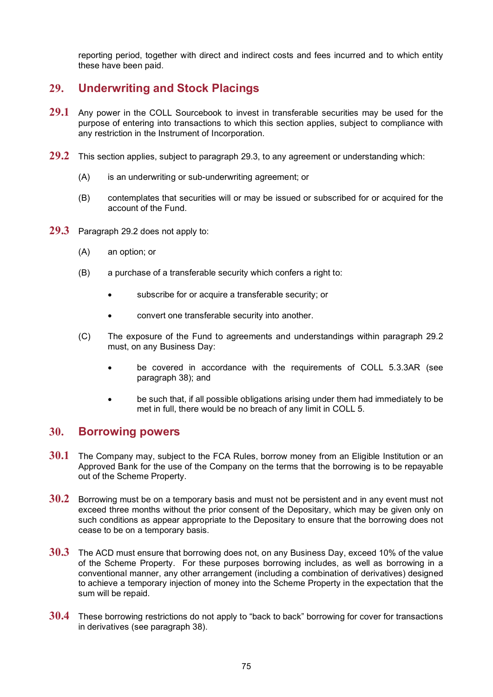reporting period, together with direct and indirect costs and fees incurred and to which entity these have been paid.

#### **29. Underwriting and Stock Placings**

- **29.1** Any power in the COLL Sourcebook to invest in transferable securities may be used for the purpose of entering into transactions to which this section applies, subject to compliance with any restriction in the Instrument of Incorporation.
- <span id="page-77-1"></span>**29.2** This section applies, subject to paragraph [29.3,](#page-77-0) to any agreement or understanding which:
	- (A) is an underwriting or sub-underwriting agreement; or
	- (B) contemplates that securities will or may be issued or subscribed for or acquired for the account of the Fund.
- <span id="page-77-0"></span>**29.3** Paragraph [29.2](#page-77-1) does not apply to:
	- (A) an option; or
	- (B) a purchase of a transferable security which confers a right to:
		- subscribe for or acquire a transferable security; or
		- convert one transferable security into another.
	- (C) The exposure of the Fund to agreements and understandings within paragraph [29.2](#page-77-1) must, on any Business Day:
		- be covered in accordance with the requirements of COLL 5.3.3AR (see paragraph [38\)](#page-83-0); and
		- be such that, if all possible obligations arising under them had immediately to be met in full, there would be no breach of any limit in COLL 5.

#### <span id="page-77-4"></span>**30. Borrowing powers**

- <span id="page-77-2"></span>**30.1** The Company may, subject to the FCA Rules, borrow money from an Eligible Institution or an Approved Bank for the use of the Company on the terms that the borrowing is to be repayable out of the Scheme Property.
- <span id="page-77-3"></span>**30.2** Borrowing must be on a temporary basis and must not be persistent and in any event must not exceed three months without the prior consent of the Depositary, which may be given only on such conditions as appear appropriate to the Depositary to ensure that the borrowing does not cease to be on a temporary basis.
- **30.3** The ACD must ensure that borrowing does not, on any Business Day, exceed 10% of the value of the Scheme Property. For these purposes borrowing includes, as well as borrowing in a conventional manner, any other arrangement (including a combination of derivatives) designed to achieve a temporary injection of money into the Scheme Property in the expectation that the sum will be repaid.
- **30.4** These borrowing restrictions do not apply to "back to back" borrowing for cover for transactions in derivatives (see paragraph [38\)](#page-83-0).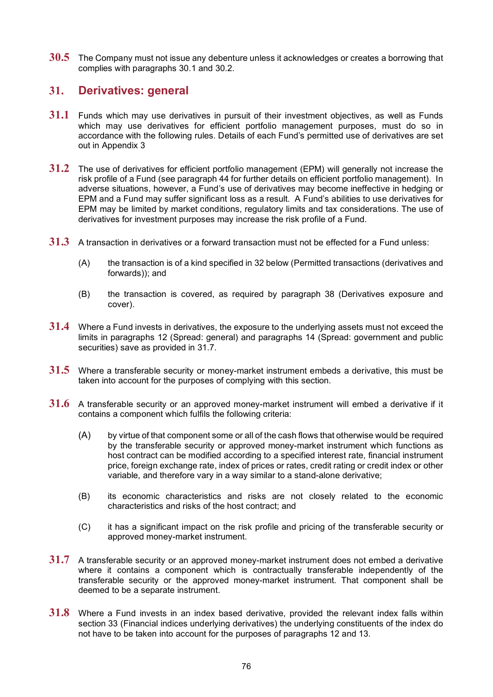**30.5** The Company must not issue any debenture unless it acknowledges or creates a borrowing that complies with paragraphs [30.1](#page-77-2) and [30.2.](#page-77-3)

#### **31. Derivatives: general**

- **31.1** Funds which may use derivatives in pursuit of their investment objectives, as well as Funds which may use derivatives for efficient portfolio management purposes, must do so in accordance with the following rules. Details of each Fund's permitted use of derivatives are set out in Appendix 3
- **31.2** The use of derivatives for efficient portfolio management (EPM) will generally not increase the risk profile of a Fund (see paragraph [44](#page-85-0) for further details on efficient portfolio management). In adverse situations, however, a Fund's use of derivatives may become ineffective in hedging or EPM and a Fund may suffer significant loss as a result. A Fund's abilities to use derivatives for EPM may be limited by market conditions, regulatory limits and tax considerations. The use of derivatives for investment purposes may increase the risk profile of a Fund.
- **31.3** A transaction in derivatives or a forward transaction must not be effected for a Fund unless:
	- (A) the transaction is of a kind specified in [32](#page-79-0) below (Permitted transactions (derivatives and forwards)); and
	- (B) the transaction is covered, as required by paragraph [38](#page-83-0) (Derivatives exposure and cover).
- **31.4** Where a Fund invests in derivatives, the exposure to the underlying assets must not exceed the limits in paragraphs [12](#page-67-0) (Spread: general) and paragraphs [14](#page-68-0) (Spread: government and public securities) save as provided in [31.7.](#page-78-0)
- **31.5** Where a transferable security or money-market instrument embeds a derivative, this must be taken into account for the purposes of complying with this section.
- **31.6** A transferable security or an approved money-market instrument will embed a derivative if it contains a component which fulfils the following criteria:
	- (A) by virtue of that component some or all of the cash flows that otherwise would be required by the transferable security or approved money-market instrument which functions as host contract can be modified according to a specified interest rate, financial instrument price, foreign exchange rate, index of prices or rates, credit rating or credit index or other variable, and therefore vary in a way similar to a stand-alone derivative;
	- (B) its economic characteristics and risks are not closely related to the economic characteristics and risks of the host contract; and
	- (C) it has a significant impact on the risk profile and pricing of the transferable security or approved money-market instrument.
- <span id="page-78-0"></span>**31.7** A transferable security or an approved money-market instrument does not embed a derivative where it contains a component which is contractually transferable independently of the transferable security or the approved money-market instrument. That component shall be deemed to be a separate instrument.
- **31.8** Where a Fund invests in an index based derivative, provided the relevant index falls within section 33 (Financial indices underlying derivatives) the underlying constituents of the index do not have to be taken into account for the purposes of paragraphs [12](#page-67-0) and [13.](#page-68-1)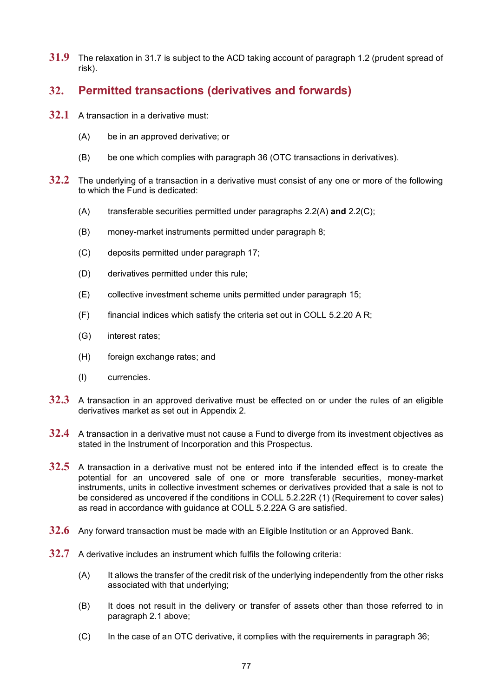**31.9** The relaxation in [31.7](#page-78-0) is subject to the ACD taking account of paragraph [1.2](#page-61-0) (prudent spread of risk).

#### <span id="page-79-0"></span>**32. Permitted transactions (derivatives and forwards)**

- **32.1** A transaction in a derivative must:
	- (A) be in an approved derivative; or
	- (B) be one which complies with paragraph [36](#page-81-0) (OTC transactions in derivatives).
- <span id="page-79-2"></span>**32.2** The underlying of a transaction in a derivative must consist of any one or more of the following to which the Fund is dedicated:
	- (A) transferable securities permitted under paragraphs [2.2\(A\)](#page-61-1) **and** [2.2\(C\);](#page-61-2)
	- (B) money-market instruments permitted under paragraph [8;](#page-64-0)
	- (C) deposits permitted under paragraph [17;](#page-71-1)
	- (D) derivatives permitted under this rule;
	- (E) collective investment scheme units permitted under paragraph [15;](#page-69-0)
	- $(F)$  financial indices which satisfy the criteria set out in COLL 5.2.20 A R;
	- (G) interest rates;
	- (H) foreign exchange rates; and
	- (I) currencies.
- <span id="page-79-1"></span>**32.3** A transaction in an approved derivative must be effected on or under the rules of an eligible derivatives market as set out in Appendix 2.
- **32.4** A transaction in a derivative must not cause a Fund to diverge from its investment objectives as stated in the Instrument of Incorporation and this Prospectus.
- **32.5** A transaction in a derivative must not be entered into if the intended effect is to create the potential for an uncovered sale of one or more transferable securities, money-market instruments, units in collective investment schemes or derivatives provided that a sale is not to be considered as uncovered if the conditions in COLL 5.2.22R (1) (Requirement to cover sales) as read in accordance with guidance at COLL 5.2.22A G are satisfied.
- **32.6** Any forward transaction must be made with an Eligible Institution or an Approved Bank.
- **32.7** A derivative includes an instrument which fulfils the following criteria:
	- (A) It allows the transfer of the credit risk of the underlying independently from the other risks associated with that underlying;
	- (B) It does not result in the delivery or transfer of assets other than those referred to in paragraph [2.1](#page-61-3) above;
	- (C) In the case of an OTC derivative, it complies with the requirements in paragraph 36;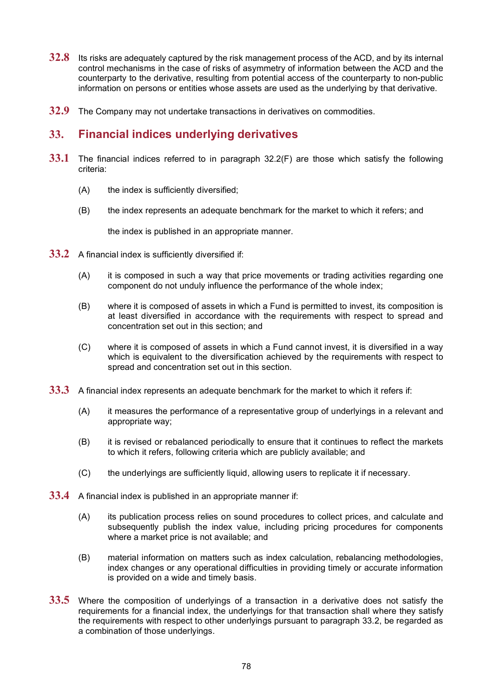- **32.8** Its risks are adequately captured by the risk management process of the ACD, and by its internal control mechanisms in the case of risks of asymmetry of information between the ACD and the counterparty to the derivative, resulting from potential access of the counterparty to non-public information on persons or entities whose assets are used as the underlying by that derivative.
- **32.9** The Company may not undertake transactions in derivatives on commodities.

#### **33. Financial indices underlying derivatives**

- **33.1** The financial indices referred to in paragraph [32.2\(F\)](#page-79-1) are those which satisfy the following criteria:
	- (A) the index is sufficiently diversified;
	- (B) the index represents an adequate benchmark for the market to which it refers; and

the index is published in an appropriate manner.

- <span id="page-80-0"></span>**33.2** A financial index is sufficiently diversified if:
	- (A) it is composed in such a way that price movements or trading activities regarding one component do not unduly influence the performance of the whole index;
	- (B) where it is composed of assets in which a Fund is permitted to invest, its composition is at least diversified in accordance with the requirements with respect to spread and concentration set out in this section; and
	- (C) where it is composed of assets in which a Fund cannot invest, it is diversified in a way which is equivalent to the diversification achieved by the requirements with respect to spread and concentration set out in this section.
- **33.3** A financial index represents an adequate benchmark for the market to which it refers if:
	- (A) it measures the performance of a representative group of underlyings in a relevant and appropriate way;
	- (B) it is revised or rebalanced periodically to ensure that it continues to reflect the markets to which it refers, following criteria which are publicly available; and
	- (C) the underlyings are sufficiently liquid, allowing users to replicate it if necessary.
- **33.4** A financial index is published in an appropriate manner if:
	- (A) its publication process relies on sound procedures to collect prices, and calculate and subsequently publish the index value, including pricing procedures for components where a market price is not available; and
	- (B) material information on matters such as index calculation, rebalancing methodologies, index changes or any operational difficulties in providing timely or accurate information is provided on a wide and timely basis.
- **33.5** Where the composition of underlyings of a transaction in a derivative does not satisfy the requirements for a financial index, the underlyings for that transaction shall where they satisfy the requirements with respect to other underlyings pursuant to paragraph [33.2,](#page-80-0) be regarded as a combination of those underlyings.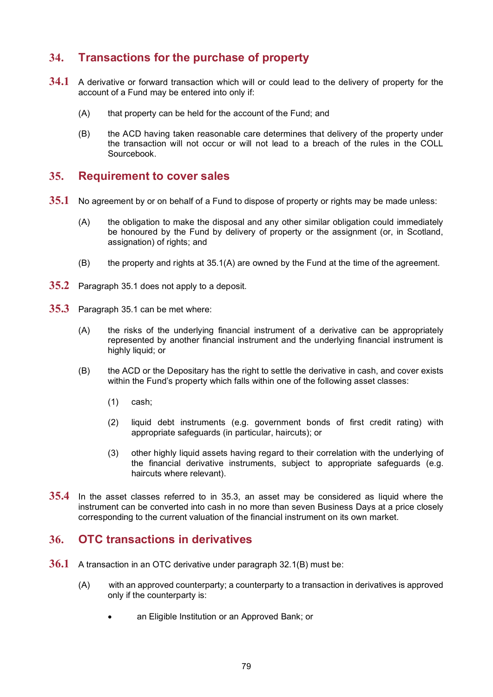#### **34. Transactions for the purchase of property**

- **34.1** A derivative or forward transaction which will or could lead to the delivery of property for the account of a Fund may be entered into only if:
	- (A) that property can be held for the account of the Fund; and
	- (B) the ACD having taken reasonable care determines that delivery of the property under the transaction will not occur or will not lead to a breach of the rules in the COLL Sourcebook.

#### **35. Requirement to cover sales**

- <span id="page-81-2"></span><span id="page-81-1"></span>**35.1** No agreement by or on behalf of a Fund to dispose of property or rights may be made unless:
	- (A) the obligation to make the disposal and any other similar obligation could immediately be honoured by the Fund by delivery of property or the assignment (or, in Scotland, assignation) of rights; and
	- (B) the property and rights at [35.1](#page-81-1)[\(A\)](#page-81-2) are owned by the Fund at the time of the agreement.
- **35.2** Paragraph [35.1](#page-81-1) does not apply to a deposit.
- <span id="page-81-3"></span>**35.3** Paragraph [35.1](#page-81-1) can be met where:
	- (A) the risks of the underlying financial instrument of a derivative can be appropriately represented by another financial instrument and the underlying financial instrument is highly liquid; or
	- (B) the ACD or the Depositary has the right to settle the derivative in cash, and cover exists within the Fund's property which falls within one of the following asset classes:
		- (1) cash;
		- (2) liquid debt instruments (e.g. government bonds of first credit rating) with appropriate safeguards (in particular, haircuts); or
		- (3) other highly liquid assets having regard to their correlation with the underlying of the financial derivative instruments, subject to appropriate safeguards (e.g. haircuts where relevant).
- **35.4** In the asset classes referred to in [35.3,](#page-81-3) an asset may be considered as liquid where the instrument can be converted into cash in no more than seven Business Days at a price closely corresponding to the current valuation of the financial instrument on its own market.

#### <span id="page-81-0"></span>**36. OTC transactions in derivatives**

- **36.1** A transaction in an OTC derivative under paragraph [32.1\(B\)](#page-79-2) must be:
	- (A) with an approved counterparty; a counterparty to a transaction in derivatives is approved only if the counterparty is:
		- an Eligible Institution or an Approved Bank; or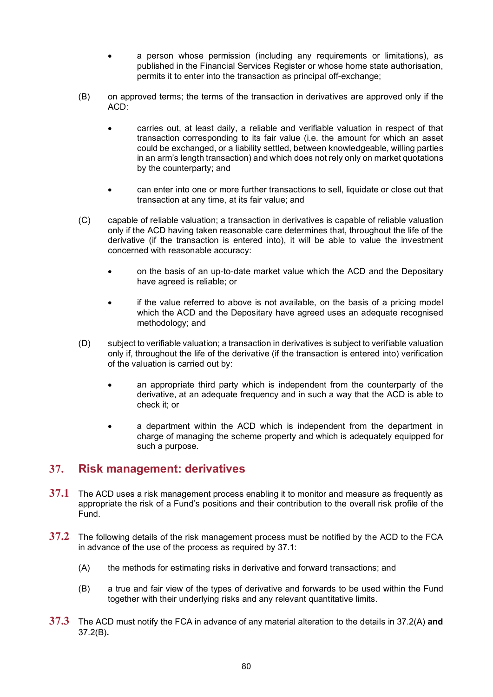- a person whose permission (including any requirements or limitations), as published in the Financial Services Register or whose home state authorisation, permits it to enter into the transaction as principal off-exchange;
- (B) on approved terms; the terms of the transaction in derivatives are approved only if the ACD:
	- carries out, at least daily, a reliable and verifiable valuation in respect of that transaction corresponding to its fair value (i.e. the amount for which an asset could be exchanged, or a liability settled, between knowledgeable, willing parties in an arm's length transaction) and which does not rely only on market quotations by the counterparty; and
	- can enter into one or more further transactions to sell, liquidate or close out that transaction at any time, at its fair value; and
- (C) capable of reliable valuation; a transaction in derivatives is capable of reliable valuation only if the ACD having taken reasonable care determines that, throughout the life of the derivative (if the transaction is entered into), it will be able to value the investment concerned with reasonable accuracy:
	- on the basis of an up-to-date market value which the ACD and the Depositary have agreed is reliable; or
	- if the value referred to above is not available, on the basis of a pricing model which the ACD and the Depositary have agreed uses an adequate recognised methodology; and
- (D) subject to verifiable valuation; a transaction in derivatives is subject to verifiable valuation only if, throughout the life of the derivative (if the transaction is entered into) verification of the valuation is carried out by:
	- an appropriate third party which is independent from the counterparty of the derivative, at an adequate frequency and in such a way that the ACD is able to check it; or
	- a department within the ACD which is independent from the department in charge of managing the scheme property and which is adequately equipped for such a purpose.

#### **37. Risk management: derivatives**

- <span id="page-82-0"></span>**37.1** The ACD uses a risk management process enabling it to monitor and measure as frequently as appropriate the risk of a Fund's positions and their contribution to the overall risk profile of the Fund.
- <span id="page-82-1"></span>**37.2** The following details of the risk management process must be notified by the ACD to the FCA in advance of the use of the process as required by [37.1:](#page-82-0) 
	- (A) the methods for estimating risks in derivative and forward transactions; and
	- (B) a true and fair view of the types of derivative and forwards to be used within the Fund together with their underlying risks and any relevant quantitative limits.
- <span id="page-82-2"></span>**37.3** The ACD must notify the FCA in advance of any material alteration to the details in [37.2\(A\)](#page-82-1) **and** [37.2\(B\)](#page-82-2)**.**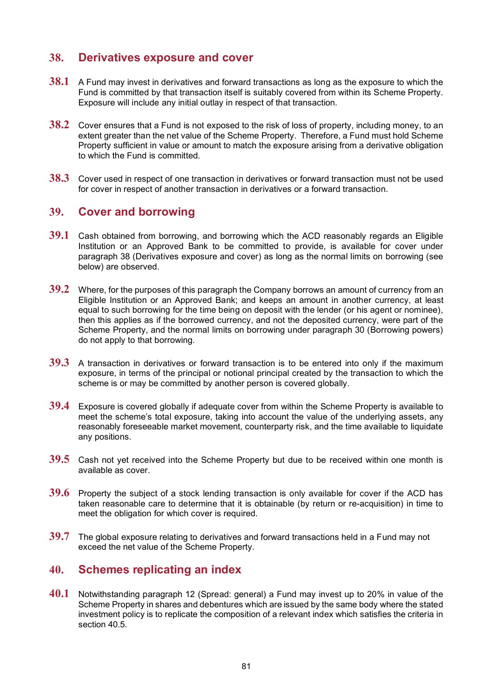#### <span id="page-83-0"></span>**38. Derivatives exposure and cover**

- **38.1** A Fund may invest in derivatives and forward transactions as long as the exposure to which the Fund is committed by that transaction itself is suitably covered from within its Scheme Property. Exposure will include any initial outlay in respect of that transaction.
- **38.2** Cover ensures that a Fund is not exposed to the risk of loss of property, including money, to an extent greater than the net value of the Scheme Property. Therefore, a Fund must hold Scheme Property sufficient in value or amount to match the exposure arising from a derivative obligation to which the Fund is committed.
- **38.3** Cover used in respect of one transaction in derivatives or forward transaction must not be used for cover in respect of another transaction in derivatives or a forward transaction.

#### **39. Cover and borrowing**

- **39.1** Cash obtained from borrowing, and borrowing which the ACD reasonably regards an Eligible Institution or an Approved Bank to be committed to provide, is available for cover under paragraph [38](#page-83-0) (Derivatives exposure and cover) as long as the normal limits on borrowing (see below) are observed.
- **39.2** Where, for the purposes of this paragraph the Company borrows an amount of currency from an Eligible Institution or an Approved Bank; and keeps an amount in another currency, at least equal to such borrowing for the time being on deposit with the lender (or his agent or nominee), then this applies as if the borrowed currency, and not the deposited currency, were part of the Scheme Property, and the normal limits on borrowing under paragraph [30](#page-77-4) (Borrowing powers) do not apply to that borrowing.
- **39.3** A transaction in derivatives or forward transaction is to be entered into only if the maximum exposure, in terms of the principal or notional principal created by the transaction to which the scheme is or may be committed by another person is covered globally.
- **39.4** Exposure is covered globally if adequate cover from within the Scheme Property is available to meet the scheme's total exposure, taking into account the value of the underlying assets, any reasonably foreseeable market movement, counterparty risk, and the time available to liquidate any positions.
- **39.5** Cash not yet received into the Scheme Property but due to be received within one month is available as cover.
- **39.6** Property the subject of a stock lending transaction is only available for cover if the ACD has taken reasonable care to determine that it is obtainable (by return or re-acquisition) in time to meet the obligation for which cover is required.
- **39.7** The global exposure relating to derivatives and forward transactions held in a Fund may not exceed the net value of the Scheme Property.

#### **40. Schemes replicating an index**

<span id="page-83-1"></span>**40.1** Notwithstanding paragraph [12](#page-67-0) (Spread: general) a Fund may invest up to 20% in value of the Scheme Property in shares and debentures which are issued by the same body where the stated investment policy is to replicate the composition of a relevant index which satisfies the criteria in section 40.5.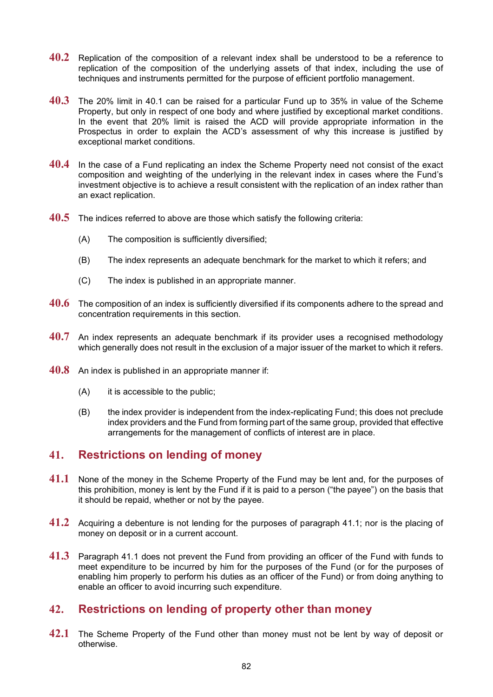- **40.2** Replication of the composition of a relevant index shall be understood to be a reference to replication of the composition of the underlying assets of that index, including the use of techniques and instruments permitted for the purpose of efficient portfolio management.
- **40.3** The 20% limit in [40.1](#page-83-1) can be raised for a particular Fund up to 35% in value of the Scheme Property, but only in respect of one body and where justified by exceptional market conditions. In the event that 20% limit is raised the ACD will provide appropriate information in the Prospectus in order to explain the ACD's assessment of why this increase is justified by exceptional market conditions.
- **40.4** In the case of a Fund replicating an index the Scheme Property need not consist of the exact composition and weighting of the underlying in the relevant index in cases where the Fund's investment objective is to achieve a result consistent with the replication of an index rather than an exact replication.
- **40.5** The indices referred to above are those which satisfy the following criteria:
	- (A) The composition is sufficiently diversified;
	- (B) The index represents an adequate benchmark for the market to which it refers; and
	- (C) The index is published in an appropriate manner.
- **40.6** The composition of an index is sufficiently diversified if its components adhere to the spread and concentration requirements in this section.
- **40.7** An index represents an adequate benchmark if its provider uses a recognised methodology which generally does not result in the exclusion of a major issuer of the market to which it refers.
- **40.8** An index is published in an appropriate manner if:
	- (A) it is accessible to the public;
	- (B) the index provider is independent from the index-replicating Fund; this does not preclude index providers and the Fund from forming part of the same group, provided that effective arrangements for the management of conflicts of interest are in place.

#### **41. Restrictions on lending of money**

- <span id="page-84-0"></span>**41.1** None of the money in the Scheme Property of the Fund may be lent and, for the purposes of this prohibition, money is lent by the Fund if it is paid to a person ("the payee") on the basis that it should be repaid, whether or not by the payee.
- **41.2** Acquiring a debenture is not lending for the purposes of paragraph [41.1;](#page-84-0) nor is the placing of money on deposit or in a current account.
- **41.3** Paragraph [41.1](#page-84-0) does not prevent the Fund from providing an officer of the Fund with funds to meet expenditure to be incurred by him for the purposes of the Fund (or for the purposes of enabling him properly to perform his duties as an officer of the Fund) or from doing anything to enable an officer to avoid incurring such expenditure.

#### **42. Restrictions on lending of property other than money**

<span id="page-84-1"></span>**42.1** The Scheme Property of the Fund other than money must not be lent by way of deposit or otherwise.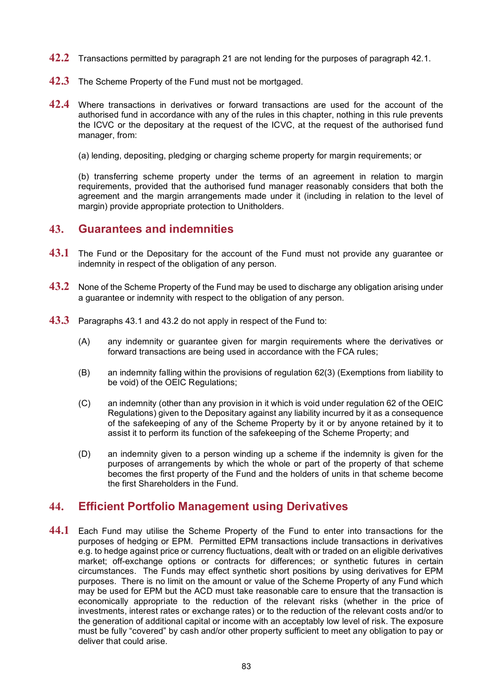- **42.2** Transactions permitted by paragraph [21](#page-72-3) are not lending for the purposes of paragraph [42.1.](#page-84-1)
- **42.3** The Scheme Property of the Fund must not be mortgaged.
- **42.4** Where transactions in derivatives or forward transactions are used for the account of the authorised fund in accordance with any of the rules in this chapter, nothing in this rule prevents the ICVC or the depositary at the request of the ICVC, at the request of the authorised fund manager, from:
	- (a) lending, depositing, pledging or charging scheme property for margin requirements; or

(b) transferring scheme property under the terms of an agreement in relation to margin requirements, provided that the authorised fund manager reasonably considers that both the agreement and the margin arrangements made under it (including in relation to the level of margin) provide appropriate protection to Unitholders.

#### **43. Guarantees and indemnities**

- <span id="page-85-1"></span>**43.1** The Fund or the Depositary for the account of the Fund must not provide any guarantee or indemnity in respect of the obligation of any person.
- <span id="page-85-2"></span>**43.2** None of the Scheme Property of the Fund may be used to discharge any obligation arising under a guarantee or indemnity with respect to the obligation of any person.
- **43.3** Paragraphs [43.1](#page-85-1) and [43.2](#page-85-2) do not apply in respect of the Fund to:
	- (A) any indemnity or guarantee given for margin requirements where the derivatives or forward transactions are being used in accordance with the FCA rules;
	- (B) an indemnity falling within the provisions of regulation 62(3) (Exemptions from liability to be void) of the OEIC Regulations;
	- (C) an indemnity (other than any provision in it which is void under regulation 62 of the OEIC Regulations) given to the Depositary against any liability incurred by it as a consequence of the safekeeping of any of the Scheme Property by it or by anyone retained by it to assist it to perform its function of the safekeeping of the Scheme Property; and
	- (D) an indemnity given to a person winding up a scheme if the indemnity is given for the purposes of arrangements by which the whole or part of the property of that scheme becomes the first property of the Fund and the holders of units in that scheme become the first Shareholders in the Fund.

#### <span id="page-85-0"></span>**44. Efficient Portfolio Management using Derivatives**

**44.1** Each Fund may utilise the Scheme Property of the Fund to enter into transactions for the purposes of hedging or EPM. Permitted EPM transactions include transactions in derivatives e.g. to hedge against price or currency fluctuations, dealt with or traded on an eligible derivatives market; off-exchange options or contracts for differences; or synthetic futures in certain circumstances. The Funds may effect synthetic short positions by using derivatives for EPM purposes. There is no limit on the amount or value of the Scheme Property of any Fund which may be used for EPM but the ACD must take reasonable care to ensure that the transaction is economically appropriate to the reduction of the relevant risks (whether in the price of investments, interest rates or exchange rates) or to the reduction of the relevant costs and/or to the generation of additional capital or income with an acceptably low level of risk. The exposure must be fully "covered" by cash and/or other property sufficient to meet any obligation to pay or deliver that could arise.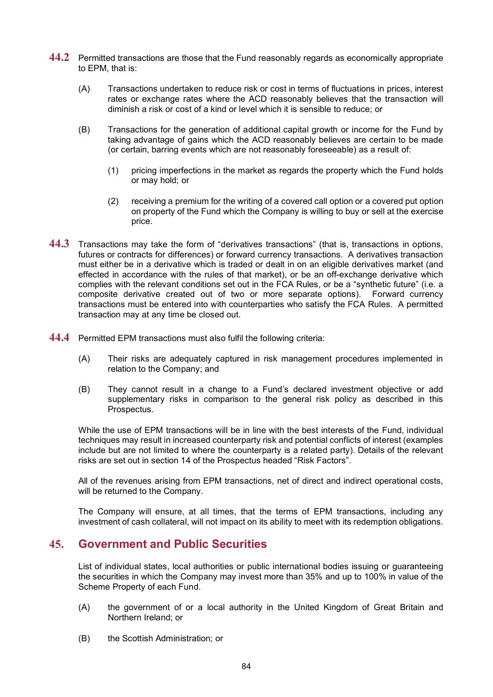- **44.2** Permitted transactions are those that the Fund reasonably regards as economically appropriate to EPM, that is:
	- (A) Transactions undertaken to reduce risk or cost in terms of fluctuations in prices, interest rates or exchange rates where the ACD reasonably believes that the transaction will diminish a risk or cost of a kind or level which it is sensible to reduce; or
	- (B) Transactions for the generation of additional capital growth or income for the Fund by taking advantage of gains which the ACD reasonably believes are certain to be made (or certain, barring events which are not reasonably foreseeable) as a result of:
		- (1) pricing imperfections in the market as regards the property which the Fund holds or may hold; or
		- (2) receiving a premium for the writing of a covered call option or a covered put option on property of the Fund which the Company is willing to buy or sell at the exercise price.
- **44.3** Transactions may take the form of "derivatives transactions" (that is, transactions in options, futures or contracts for differences) or forward currency transactions. A derivatives transaction must either be in a derivative which is traded or dealt in on an eligible derivatives market (and effected in accordance with the rules of that market), or be an off-exchange derivative which complies with the relevant conditions set out in the FCA Rules, or be a "synthetic future" (i.e. a composite derivative created out of two or more separate options). Forward currency transactions must be entered into with counterparties who satisfy the FCA Rules. A permitted transaction may at any time be closed out.
- **44.4** Permitted EPM transactions must also fulfil the following criteria:
	- (A) Their risks are adequately captured in risk management procedures implemented in relation to the Company; and
	- (B) They cannot result in a change to a Fund's declared investment objective or add supplementary risks in comparison to the general risk policy as described in this Prospectus.

While the use of EPM transactions will be in line with the best interests of the Fund, individual techniques may result in increased counterparty risk and potential conflicts of interest (examples include but are not limited to where the counterparty is a related party). Details of the relevant risks are set out in section 14 of the Prospectus headed "Risk Factors".

All of the revenues arising from EPM transactions, net of direct and indirect operational costs, will be returned to the Company.

The Company will ensure, at all times, that the terms of EPM transactions, including any investment of cash collateral, will not impact on its ability to meet with its redemption obligations.

#### **45. Government and Public Securities**

List of individual states, local authorities or public international bodies issuing or guaranteeing the securities in which the Company may invest more than 35% and up to 100% in value of the Scheme Property of each Fund.

- (A) the government of or a local authority in the United Kingdom of Great Britain and Northern Ireland; or
- (B) the Scottish Administration; or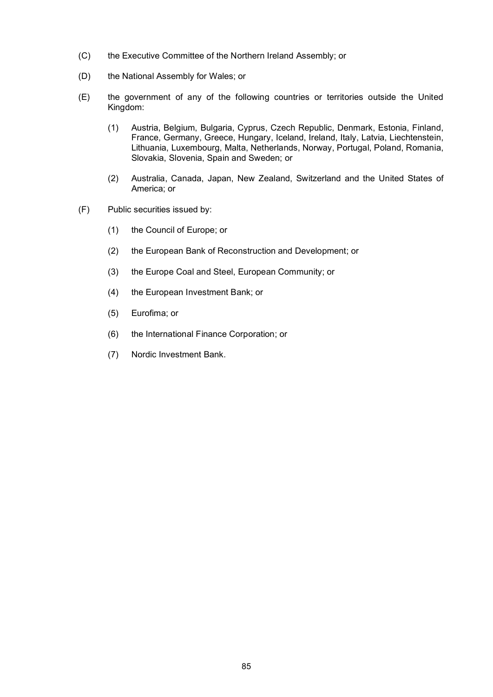- (C) the Executive Committee of the Northern Ireland Assembly; or
- (D) the National Assembly for Wales; or
- (E) the government of any of the following countries or territories outside the United Kingdom:
	- (1) Austria, Belgium, Bulgaria, Cyprus, Czech Republic, Denmark, Estonia, Finland, France, Germany, Greece, Hungary, Iceland, Ireland, Italy, Latvia, Liechtenstein, Lithuania, Luxembourg, Malta, Netherlands, Norway, Portugal, Poland, Romania, Slovakia, Slovenia, Spain and Sweden; or
	- (2) Australia, Canada, Japan, New Zealand, Switzerland and the United States of America; or
- (F) Public securities issued by:
	- (1) the Council of Europe; or
	- (2) the European Bank of Reconstruction and Development; or
	- (3) the Europe Coal and Steel, European Community; or
	- (4) the European Investment Bank; or
	- (5) Eurofima; or
	- (6) the International Finance Corporation; or
	- (7) Nordic Investment Bank.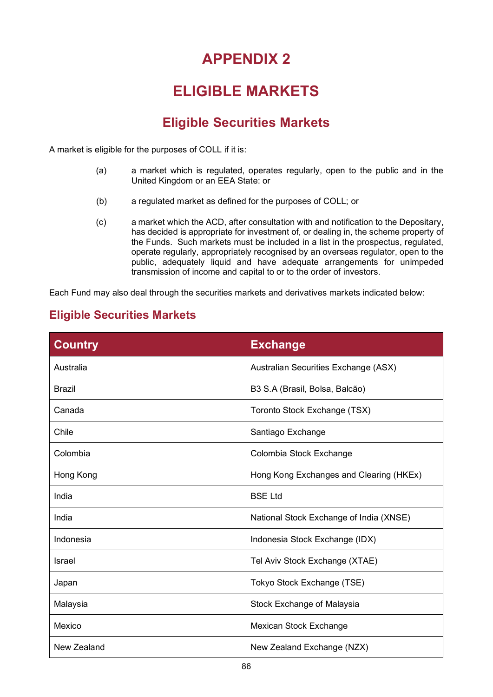### **ELIGIBLE MARKETS**

### **Eligible Securities Markets**

A market is eligible for the purposes of COLL if it is:

- (a) a market which is regulated, operates regularly, open to the public and in the United Kingdom or an EEA State: or
- (b) a regulated market as defined for the purposes of COLL; or
- (c) a market which the ACD, after consultation with and notification to the Depositary, has decided is appropriate for investment of, or dealing in, the scheme property of the Funds. Such markets must be included in a list in the prospectus, regulated, operate regularly, appropriately recognised by an overseas regulator, open to the public, adequately liquid and have adequate arrangements for unimpeded transmission of income and capital to or to the order of investors.

Each Fund may also deal through the securities markets and derivatives markets indicated below:

#### **Eligible Securities Markets**

| <b>Country</b> | <b>Exchange</b>                         |
|----------------|-----------------------------------------|
| Australia      | Australian Securities Exchange (ASX)    |
| <b>Brazil</b>  | B3 S.A (Brasil, Bolsa, Balcão)          |
| Canada         | Toronto Stock Exchange (TSX)            |
| Chile          | Santiago Exchange                       |
| Colombia       | Colombia Stock Exchange                 |
| Hong Kong      | Hong Kong Exchanges and Clearing (HKEx) |
| India          | <b>BSE Ltd</b>                          |
| India          | National Stock Exchange of India (XNSE) |
| Indonesia      | Indonesia Stock Exchange (IDX)          |
| Israel         | Tel Aviv Stock Exchange (XTAE)          |
| Japan          | Tokyo Stock Exchange (TSE)              |
| Malaysia       | Stock Exchange of Malaysia              |
| Mexico         | Mexican Stock Exchange                  |
| New Zealand    | New Zealand Exchange (NZX)              |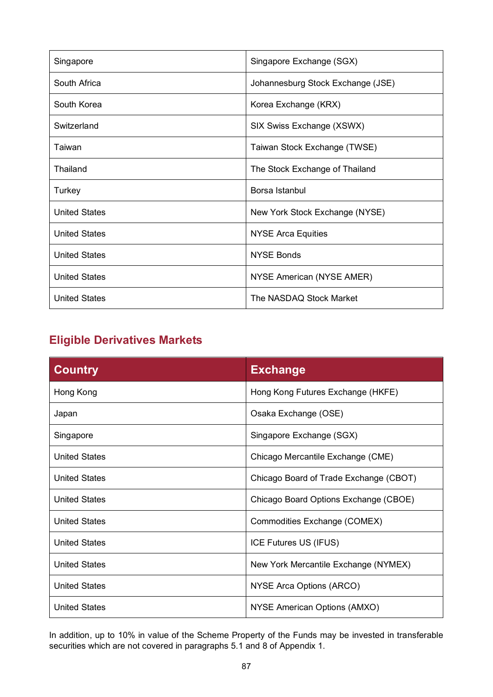| Singapore            | Singapore Exchange (SGX)          |
|----------------------|-----------------------------------|
| South Africa         | Johannesburg Stock Exchange (JSE) |
| South Korea          | Korea Exchange (KRX)              |
| Switzerland          | SIX Swiss Exchange (XSWX)         |
| Taiwan               | Taiwan Stock Exchange (TWSE)      |
| Thailand             | The Stock Exchange of Thailand    |
| Turkey               | Borsa Istanbul                    |
| <b>United States</b> | New York Stock Exchange (NYSE)    |
| <b>United States</b> | <b>NYSE Arca Equities</b>         |
| <b>United States</b> | <b>NYSE Bonds</b>                 |
| <b>United States</b> | NYSE American (NYSE AMER)         |
| <b>United States</b> | The NASDAQ Stock Market           |

### **Eligible Derivatives Markets**

| <b>Country</b>       | <b>Exchange</b>                        |
|----------------------|----------------------------------------|
| Hong Kong            | Hong Kong Futures Exchange (HKFE)      |
| Japan                | Osaka Exchange (OSE)                   |
| Singapore            | Singapore Exchange (SGX)               |
| <b>United States</b> | Chicago Mercantile Exchange (CME)      |
| <b>United States</b> | Chicago Board of Trade Exchange (CBOT) |
| <b>United States</b> | Chicago Board Options Exchange (CBOE)  |
| <b>United States</b> | Commodities Exchange (COMEX)           |
| <b>United States</b> | ICE Futures US (IFUS)                  |
| <b>United States</b> | New York Mercantile Exchange (NYMEX)   |
| <b>United States</b> | NYSE Arca Options (ARCO)               |
| <b>United States</b> | NYSE American Options (AMXO)           |

In addition, up to 10% in value of the Scheme Property of the Funds may be invested in transferable securities which are not covered in paragraphs 5.1 and 8 of Appendix 1.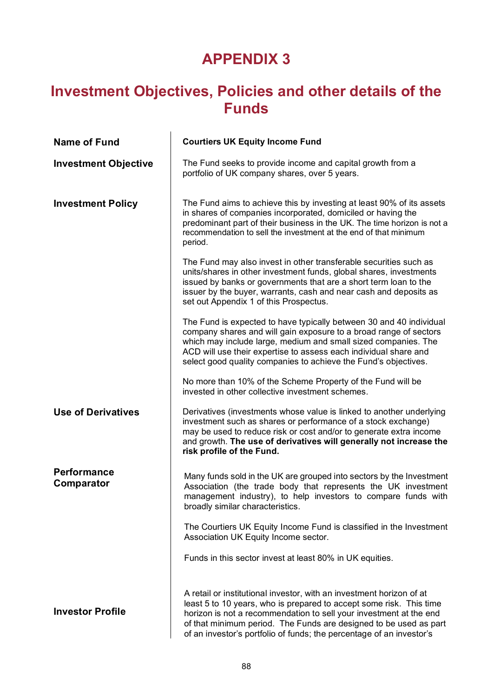### **Investment Objectives, Policies and other details of the Funds**

| <b>Name of Fund</b>                     | <b>Courtiers UK Equity Income Fund</b>                                                                                                                                                                                                                                                                                                                         |
|-----------------------------------------|----------------------------------------------------------------------------------------------------------------------------------------------------------------------------------------------------------------------------------------------------------------------------------------------------------------------------------------------------------------|
| <b>Investment Objective</b>             | The Fund seeks to provide income and capital growth from a<br>portfolio of UK company shares, over 5 years.                                                                                                                                                                                                                                                    |
| <b>Investment Policy</b>                | The Fund aims to achieve this by investing at least 90% of its assets<br>in shares of companies incorporated, domiciled or having the<br>predominant part of their business in the UK. The time horizon is not a<br>recommendation to sell the investment at the end of that minimum<br>period.                                                                |
|                                         | The Fund may also invest in other transferable securities such as<br>units/shares in other investment funds, global shares, investments<br>issued by banks or governments that are a short term loan to the<br>issuer by the buyer, warrants, cash and near cash and deposits as<br>set out Appendix 1 of this Prospectus.                                     |
|                                         | The Fund is expected to have typically between 30 and 40 individual<br>company shares and will gain exposure to a broad range of sectors<br>which may include large, medium and small sized companies. The<br>ACD will use their expertise to assess each individual share and<br>select good quality companies to achieve the Fund's objectives.              |
|                                         | No more than 10% of the Scheme Property of the Fund will be<br>invested in other collective investment schemes.                                                                                                                                                                                                                                                |
| <b>Use of Derivatives</b>               | Derivatives (investments whose value is linked to another underlying<br>investment such as shares or performance of a stock exchange)<br>may be used to reduce risk or cost and/or to generate extra income<br>and growth. The use of derivatives will generally not increase the<br>risk profile of the Fund.                                                 |
| <b>Performance</b><br><b>Comparator</b> | Many funds sold in the UK are grouped into sectors by the Investment<br>Association (the trade body that represents the UK investment<br>management industry), to help investors to compare funds with<br>broadly similar characteristics.                                                                                                                     |
|                                         | The Courtiers UK Equity Income Fund is classified in the Investment<br>Association UK Equity Income sector.                                                                                                                                                                                                                                                    |
|                                         | Funds in this sector invest at least 80% in UK equities.                                                                                                                                                                                                                                                                                                       |
| <b>Investor Profile</b>                 | A retail or institutional investor, with an investment horizon of at<br>least 5 to 10 years, who is prepared to accept some risk. This time<br>horizon is not a recommendation to sell your investment at the end<br>of that minimum period. The Funds are designed to be used as part<br>of an investor's portfolio of funds; the percentage of an investor's |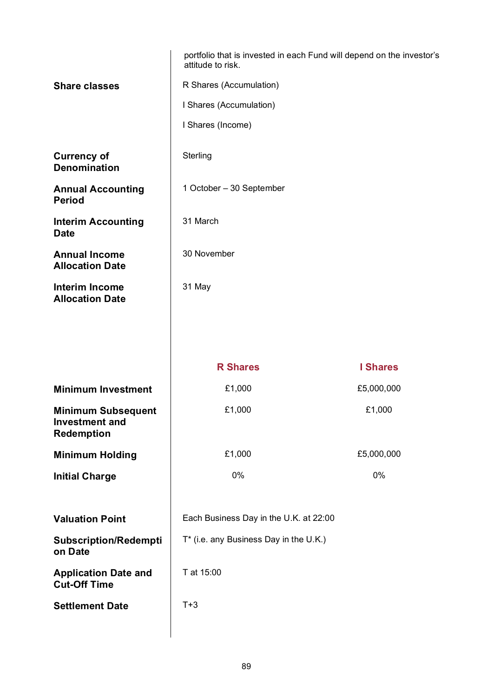|                                                                         | portfolio that is invested in each Fund will depend on the investor's<br>attitude to risk. |                 |  |
|-------------------------------------------------------------------------|--------------------------------------------------------------------------------------------|-----------------|--|
| <b>Share classes</b>                                                    | R Shares (Accumulation)                                                                    |                 |  |
|                                                                         | I Shares (Accumulation)                                                                    |                 |  |
|                                                                         | I Shares (Income)                                                                          |                 |  |
| <b>Currency of</b><br><b>Denomination</b>                               | Sterling                                                                                   |                 |  |
| <b>Annual Accounting</b><br><b>Period</b>                               | 1 October - 30 September                                                                   |                 |  |
| <b>Interim Accounting</b><br><b>Date</b>                                | 31 March                                                                                   |                 |  |
| <b>Annual Income</b><br><b>Allocation Date</b>                          | 30 November                                                                                |                 |  |
| <b>Interim Income</b><br><b>Allocation Date</b>                         | 31 May                                                                                     |                 |  |
|                                                                         |                                                                                            |                 |  |
|                                                                         |                                                                                            |                 |  |
|                                                                         | <b>R</b> Shares                                                                            | <b>I Shares</b> |  |
| <b>Minimum Investment</b>                                               | £1,000                                                                                     | £5,000,000      |  |
| <b>Minimum Subsequent</b><br><b>Investment and</b><br><b>Redemption</b> | £1,000                                                                                     | £1,000          |  |
| <b>Minimum Holding</b>                                                  | £1,000                                                                                     | £5,000,000      |  |
| <b>Initial Charge</b>                                                   | 0%                                                                                         | 0%              |  |
|                                                                         |                                                                                            |                 |  |
|                                                                         |                                                                                            |                 |  |
| <b>Valuation Point</b>                                                  | Each Business Day in the U.K. at 22:00                                                     |                 |  |
| <b>Subscription/Redempti</b><br>on Date                                 | T* (i.e. any Business Day in the U.K.)                                                     |                 |  |
| <b>Application Date and</b><br><b>Cut-Off Time</b>                      | T at 15:00                                                                                 |                 |  |
| <b>Settlement Date</b>                                                  | $T+3$                                                                                      |                 |  |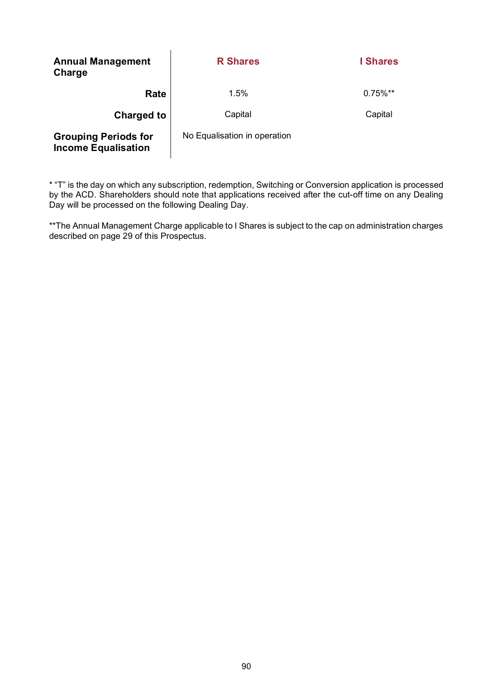| <b>Annual Management</b><br>Charge                        | <b>R</b> Shares              | <b>I</b> Shares        |
|-----------------------------------------------------------|------------------------------|------------------------|
| Rate                                                      | 1.5%                         | $0.75\%$ <sup>**</sup> |
| <b>Charged to</b>                                         | Capital                      | Capital                |
| <b>Grouping Periods for</b><br><b>Income Equalisation</b> | No Equalisation in operation |                        |

\* "T" is the day on which any subscription, redemption, Switching or Conversion application is processed by the ACD. Shareholders should note that applications received after the cut-off time on any Dealing Day will be processed on the following Dealing Day.

\*\*The Annual Management Charge applicable to I Shares is subject to the cap on administration charges described on page 29 of this Prospectus.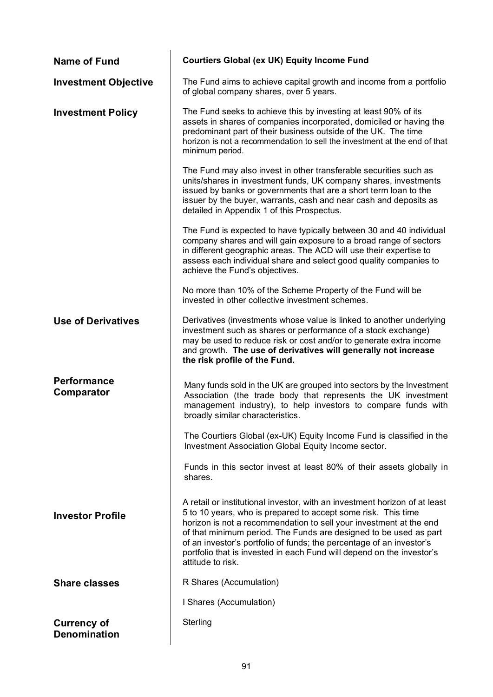| <b>Name of Fund</b>                       | <b>Courtiers Global (ex UK) Equity Income Fund</b>                                                                                                                                                                                                                                                                                                                                                                                                           |
|-------------------------------------------|--------------------------------------------------------------------------------------------------------------------------------------------------------------------------------------------------------------------------------------------------------------------------------------------------------------------------------------------------------------------------------------------------------------------------------------------------------------|
| <b>Investment Objective</b>               | The Fund aims to achieve capital growth and income from a portfolio<br>of global company shares, over 5 years.                                                                                                                                                                                                                                                                                                                                               |
| <b>Investment Policy</b>                  | The Fund seeks to achieve this by investing at least 90% of its<br>assets in shares of companies incorporated, domiciled or having the<br>predominant part of their business outside of the UK. The time<br>horizon is not a recommendation to sell the investment at the end of that<br>minimum period.                                                                                                                                                     |
|                                           | The Fund may also invest in other transferable securities such as<br>units/shares in investment funds, UK company shares, investments<br>issued by banks or governments that are a short term loan to the<br>issuer by the buyer, warrants, cash and near cash and deposits as<br>detailed in Appendix 1 of this Prospectus.                                                                                                                                 |
|                                           | The Fund is expected to have typically between 30 and 40 individual<br>company shares and will gain exposure to a broad range of sectors<br>in different geographic areas. The ACD will use their expertise to<br>assess each individual share and select good quality companies to<br>achieve the Fund's objectives.                                                                                                                                        |
|                                           | No more than 10% of the Scheme Property of the Fund will be<br>invested in other collective investment schemes.                                                                                                                                                                                                                                                                                                                                              |
| <b>Use of Derivatives</b>                 | Derivatives (investments whose value is linked to another underlying<br>investment such as shares or performance of a stock exchange)<br>may be used to reduce risk or cost and/or to generate extra income<br>and growth. The use of derivatives will generally not increase<br>the risk profile of the Fund.                                                                                                                                               |
| <b>Performance</b><br>Comparator          | Many funds sold in the UK are grouped into sectors by the Investment<br>Association (the trade body that represents the UK investment<br>management industry), to help investors to compare funds with<br>broadly similar characteristics.                                                                                                                                                                                                                   |
|                                           | The Courtiers Global (ex-UK) Equity Income Fund is classified in the<br>Investment Association Global Equity Income sector.                                                                                                                                                                                                                                                                                                                                  |
|                                           | Funds in this sector invest at least 80% of their assets globally in<br>shares.                                                                                                                                                                                                                                                                                                                                                                              |
| <b>Investor Profile</b>                   | A retail or institutional investor, with an investment horizon of at least<br>5 to 10 years, who is prepared to accept some risk. This time<br>horizon is not a recommendation to sell your investment at the end<br>of that minimum period. The Funds are designed to be used as part<br>of an investor's portfolio of funds; the percentage of an investor's<br>portfolio that is invested in each Fund will depend on the investor's<br>attitude to risk. |
| <b>Share classes</b>                      | R Shares (Accumulation)                                                                                                                                                                                                                                                                                                                                                                                                                                      |
|                                           | I Shares (Accumulation)                                                                                                                                                                                                                                                                                                                                                                                                                                      |
| <b>Currency of</b><br><b>Denomination</b> | Sterling                                                                                                                                                                                                                                                                                                                                                                                                                                                     |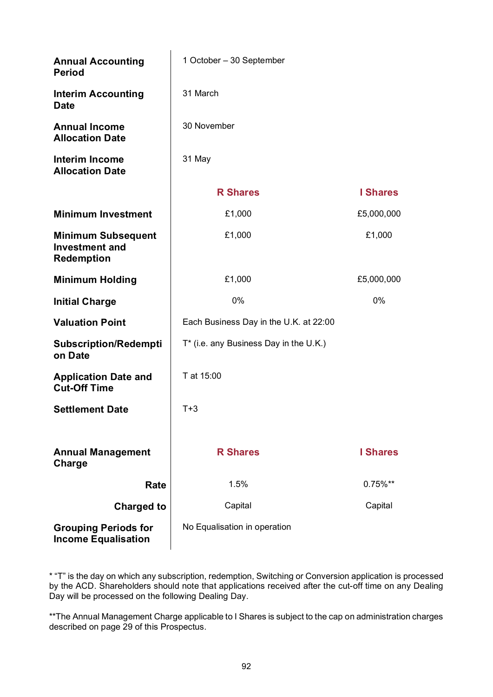| <b>Annual Accounting</b><br><b>Period</b>                               | 1 October - 30 September               |                 |
|-------------------------------------------------------------------------|----------------------------------------|-----------------|
| <b>Interim Accounting</b><br><b>Date</b>                                | 31 March                               |                 |
| <b>Annual Income</b><br><b>Allocation Date</b>                          | 30 November                            |                 |
| <b>Interim Income</b><br><b>Allocation Date</b>                         | 31 May                                 |                 |
|                                                                         | <b>R</b> Shares                        | <b>I</b> Shares |
| <b>Minimum Investment</b>                                               | £1,000                                 | £5,000,000      |
| <b>Minimum Subsequent</b><br><b>Investment and</b><br><b>Redemption</b> | £1,000                                 | £1,000          |
| <b>Minimum Holding</b>                                                  | £1,000                                 | £5,000,000      |
| <b>Initial Charge</b>                                                   | 0%                                     | 0%              |
| <b>Valuation Point</b>                                                  | Each Business Day in the U.K. at 22:00 |                 |
| <b>Subscription/Redempti</b><br>on Date                                 | T* (i.e. any Business Day in the U.K.) |                 |
| <b>Application Date and</b><br><b>Cut-Off Time</b>                      | T at 15:00                             |                 |
| <b>Settlement Date</b>                                                  | $T+3$                                  |                 |
| <b>Annual Management</b><br>Charge                                      | <b>R</b> Shares                        | <b>I</b> Shares |
| Rate                                                                    | 1.5%                                   | $0.75\%**$      |
| <b>Charged to</b>                                                       | Capital                                | Capital         |
| <b>Grouping Periods for</b><br><b>Income Equalisation</b>               | No Equalisation in operation           |                 |

\* "T" is the day on which any subscription, redemption, Switching or Conversion application is processed by the ACD. Shareholders should note that applications received after the cut-off time on any Dealing Day will be processed on the following Dealing Day.

\*\*The Annual Management Charge applicable to I Shares is subject to the cap on administration charges described on page 29 of this Prospectus.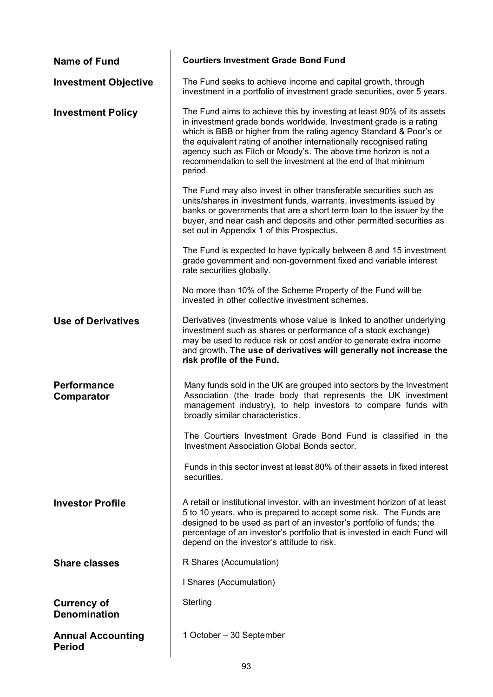| <b>Name of Fund</b>                       | <b>Courtiers Investment Grade Bond Fund</b>                                                                                                                                                                                                                                                                                                                                                                                               |
|-------------------------------------------|-------------------------------------------------------------------------------------------------------------------------------------------------------------------------------------------------------------------------------------------------------------------------------------------------------------------------------------------------------------------------------------------------------------------------------------------|
| <b>Investment Objective</b>               | The Fund seeks to achieve income and capital growth, through<br>investment in a portfolio of investment grade securities, over 5 years.                                                                                                                                                                                                                                                                                                   |
| <b>Investment Policy</b>                  | The Fund aims to achieve this by investing at least 90% of its assets<br>in investment grade bonds worldwide. Investment grade is a rating<br>which is BBB or higher from the rating agency Standard & Poor's or<br>the equivalent rating of another internationally recognised rating<br>agency such as Fitch or Moody's. The above time horizon is not a<br>recommendation to sell the investment at the end of that minimum<br>period. |
|                                           | The Fund may also invest in other transferable securities such as<br>units/shares in investment funds, warrants, investments issued by<br>banks or governments that are a short term loan to the issuer by the<br>buyer, and near cash and deposits and other permitted securities as<br>set out in Appendix 1 of this Prospectus.                                                                                                        |
|                                           | The Fund is expected to have typically between 8 and 15 investment<br>grade government and non-government fixed and variable interest<br>rate securities globally.                                                                                                                                                                                                                                                                        |
|                                           | No more than 10% of the Scheme Property of the Fund will be<br>invested in other collective investment schemes.                                                                                                                                                                                                                                                                                                                           |
| <b>Use of Derivatives</b>                 | Derivatives (investments whose value is linked to another underlying<br>investment such as shares or performance of a stock exchange)<br>may be used to reduce risk or cost and/or to generate extra income<br>and growth. The use of derivatives will generally not increase the<br>risk profile of the Fund.                                                                                                                            |
| <b>Performance</b><br>Comparator          | Many funds sold in the UK are grouped into sectors by the Investment<br>Association (the trade body that represents the UK investment<br>management industry), to help investors to compare funds with<br>broadly similar characteristics                                                                                                                                                                                                 |
|                                           | The Courtiers Investment Grade Bond Fund is classified in the<br><b>Investment Association Global Bonds sector.</b>                                                                                                                                                                                                                                                                                                                       |
|                                           | Funds in this sector invest at least 80% of their assets in fixed interest<br>securities.                                                                                                                                                                                                                                                                                                                                                 |
| <b>Investor Profile</b>                   | A retail or institutional investor, with an investment horizon of at least<br>5 to 10 years, who is prepared to accept some risk. The Funds are<br>designed to be used as part of an investor's portfolio of funds; the<br>percentage of an investor's portfolio that is invested in each Fund will<br>depend on the investor's attitude to risk.                                                                                         |
| <b>Share classes</b>                      | R Shares (Accumulation)                                                                                                                                                                                                                                                                                                                                                                                                                   |
|                                           | I Shares (Accumulation)                                                                                                                                                                                                                                                                                                                                                                                                                   |
| <b>Currency of</b><br><b>Denomination</b> | Sterling                                                                                                                                                                                                                                                                                                                                                                                                                                  |
| <b>Annual Accounting</b><br><b>Period</b> | 1 October – 30 September                                                                                                                                                                                                                                                                                                                                                                                                                  |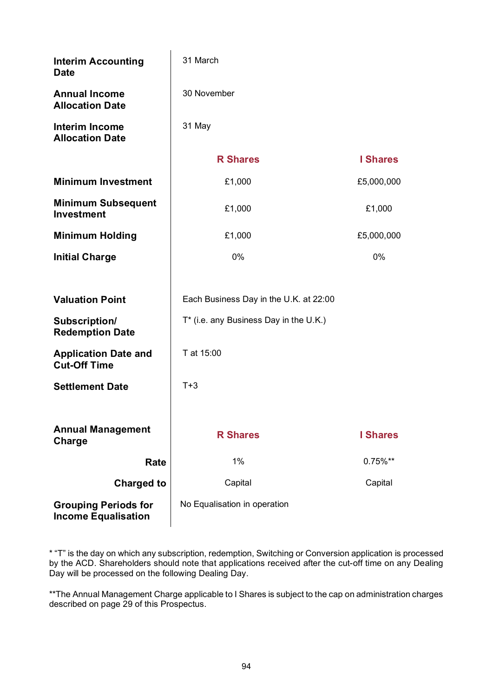| <b>Interim Accounting</b><br><b>Date</b>                  | 31 March                               |                 |  |
|-----------------------------------------------------------|----------------------------------------|-----------------|--|
| <b>Annual Income</b><br><b>Allocation Date</b>            | 30 November                            |                 |  |
| <b>Interim Income</b><br><b>Allocation Date</b>           | 31 May                                 |                 |  |
|                                                           | <b>R</b> Shares                        | <b>I</b> Shares |  |
| <b>Minimum Investment</b>                                 | £1,000                                 | £5,000,000      |  |
| <b>Minimum Subsequent</b><br><b>Investment</b>            | £1,000                                 | £1,000          |  |
| <b>Minimum Holding</b>                                    | £1,000                                 | £5,000,000      |  |
| <b>Initial Charge</b>                                     | 0%<br>0%                               |                 |  |
|                                                           |                                        |                 |  |
| <b>Valuation Point</b>                                    | Each Business Day in the U.K. at 22:00 |                 |  |
| Subscription/<br><b>Redemption Date</b>                   | T* (i.e. any Business Day in the U.K.) |                 |  |
| <b>Application Date and</b><br><b>Cut-Off Time</b>        | T at 15:00                             |                 |  |
| <b>Settlement Date</b>                                    | $T+3$                                  |                 |  |
|                                                           |                                        |                 |  |
| <b>Annual Management</b><br>Charge                        | <b>R Shares</b>                        | <b>I</b> Shares |  |
| Rate                                                      | 1%                                     | $0.75\%**$      |  |
| <b>Charged to</b>                                         | Capital                                | Capital         |  |
| <b>Grouping Periods for</b><br><b>Income Equalisation</b> | No Equalisation in operation           |                 |  |

\* "T" is the day on which any subscription, redemption, Switching or Conversion application is processed by the ACD. Shareholders should note that applications received after the cut-off time on any Dealing Day will be processed on the following Dealing Day.

\*\*The Annual Management Charge applicable to I Shares is subject to the cap on administration charges described on page 29 of this Prospectus.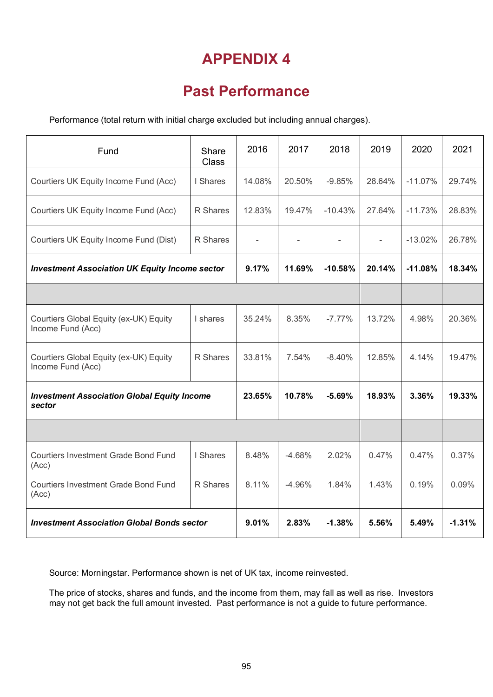### **Past Performance**

Performance (total return with initial charge excluded but including annual charges).

| Fund                                                         | Share<br><b>Class</b> | 2016   | 2017     | 2018      | 2019   | 2020      | 2021     |
|--------------------------------------------------------------|-----------------------|--------|----------|-----------|--------|-----------|----------|
| Courtiers UK Equity Income Fund (Acc)                        | I Shares              | 14.08% | 20.50%   | $-9.85%$  | 28.64% | $-11.07%$ | 29.74%   |
| Courtiers UK Equity Income Fund (Acc)                        | R Shares              | 12.83% | 19.47%   | $-10.43%$ | 27.64% | $-11.73%$ | 28.83%   |
| Courtiers UK Equity Income Fund (Dist)                       | R Shares              |        |          |           |        | $-13.02%$ | 26.78%   |
| <b>Investment Association UK Equity Income sector</b>        |                       |        | 11.69%   | $-10.58%$ | 20.14% | $-11.08%$ | 18.34%   |
|                                                              |                       |        |          |           |        |           |          |
| Courtiers Global Equity (ex-UK) Equity<br>Income Fund (Acc)  | I shares              | 35.24% | 8.35%    | $-7.77%$  | 13.72% | 4.98%     | 20.36%   |
| Courtiers Global Equity (ex-UK) Equity<br>Income Fund (Acc)  | R Shares              | 33.81% | 7.54%    | $-8.40%$  | 12.85% | 4.14%     | 19.47%   |
| <b>Investment Association Global Equity Income</b><br>sector |                       | 23.65% | 10.78%   | $-5.69%$  | 18.93% | 3.36%     | 19.33%   |
|                                                              |                       |        |          |           |        |           |          |
| <b>Courtiers Investment Grade Bond Fund</b><br>(Acc)         | I Shares              | 8.48%  | $-4.68%$ | 2.02%     | 0.47%  | 0.47%     | 0.37%    |
| <b>Courtiers Investment Grade Bond Fund</b><br>(Acc)         | R Shares              | 8.11%  | $-4.96%$ | 1.84%     | 1.43%  | 0.19%     | 0.09%    |
| <b>Investment Association Global Bonds sector</b>            |                       | 9.01%  | 2.83%    | $-1.38%$  | 5.56%  | 5.49%     | $-1.31%$ |

Source: Morningstar. Performance shown is net of UK tax, income reinvested.

The price of stocks, shares and funds, and the income from them, may fall as well as rise. Investors may not get back the full amount invested. Past performance is not a guide to future performance.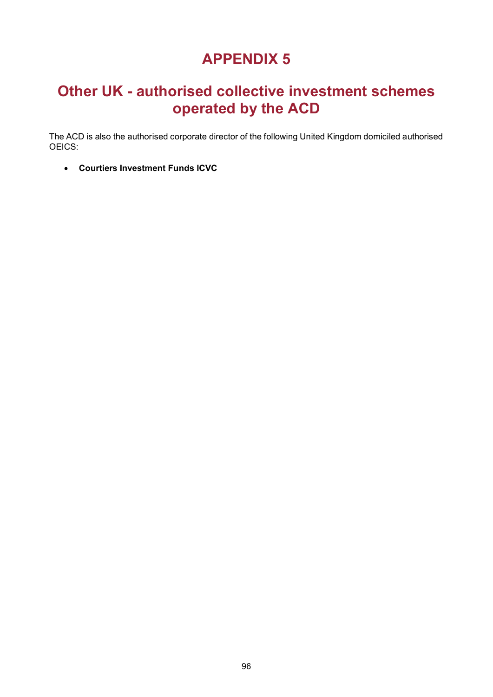### **Other UK - authorised collective investment schemes operated by the ACD**

The ACD is also the authorised corporate director of the following United Kingdom domiciled authorised OEICS:

• **Courtiers Investment Funds ICVC**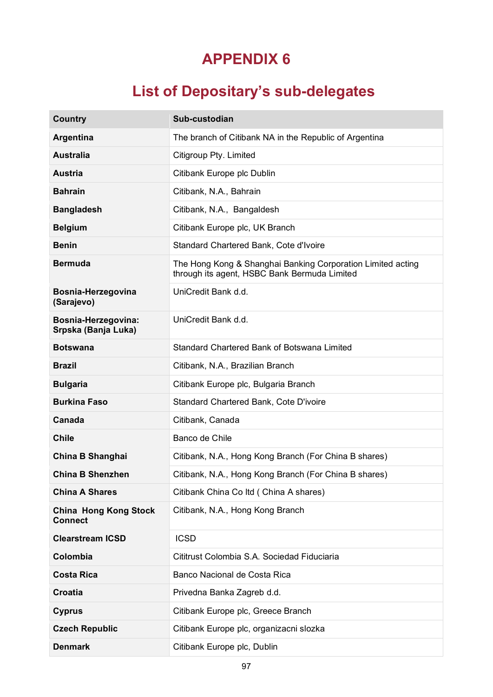# **List of Depositary's sub-delegates**

| <b>Country</b>                                 | Sub-custodian                                                                                               |
|------------------------------------------------|-------------------------------------------------------------------------------------------------------------|
| <b>Argentina</b>                               | The branch of Citibank NA in the Republic of Argentina                                                      |
| <b>Australia</b>                               | Citigroup Pty. Limited                                                                                      |
| <b>Austria</b>                                 | Citibank Europe plc Dublin                                                                                  |
| <b>Bahrain</b>                                 | Citibank, N.A., Bahrain                                                                                     |
| <b>Bangladesh</b>                              | Citibank, N.A., Bangaldesh                                                                                  |
| <b>Belgium</b>                                 | Citibank Europe plc, UK Branch                                                                              |
| <b>Benin</b>                                   | Standard Chartered Bank, Cote d'Ivoire                                                                      |
| <b>Bermuda</b>                                 | The Hong Kong & Shanghai Banking Corporation Limited acting<br>through its agent, HSBC Bank Bermuda Limited |
| Bosnia-Herzegovina<br>(Sarajevo)               | UniCredit Bank d.d.                                                                                         |
| Bosnia-Herzegovina:<br>Srpska (Banja Luka)     | UniCredit Bank d.d.                                                                                         |
| <b>Botswana</b>                                | Standard Chartered Bank of Botswana Limited                                                                 |
| <b>Brazil</b>                                  | Citibank, N.A., Brazilian Branch                                                                            |
| <b>Bulgaria</b>                                | Citibank Europe plc, Bulgaria Branch                                                                        |
| <b>Burkina Faso</b>                            | Standard Chartered Bank, Cote D'ivoire                                                                      |
| Canada                                         | Citibank, Canada                                                                                            |
| <b>Chile</b>                                   | Banco de Chile                                                                                              |
| China B Shanghai                               | Citibank, N.A., Hong Kong Branch (For China B shares)                                                       |
| <b>China B Shenzhen</b>                        | Citibank, N.A., Hong Kong Branch (For China B shares)                                                       |
| <b>China A Shares</b>                          | Citibank China Co Itd ( China A shares)                                                                     |
| <b>China Hong Kong Stock</b><br><b>Connect</b> | Citibank, N.A., Hong Kong Branch                                                                            |
| <b>Clearstream ICSD</b>                        | <b>ICSD</b>                                                                                                 |
| Colombia                                       | Cititrust Colombia S.A. Sociedad Fiduciaria                                                                 |
| <b>Costa Rica</b>                              | Banco Nacional de Costa Rica                                                                                |
| <b>Croatia</b>                                 | Privedna Banka Zagreb d.d.                                                                                  |
| <b>Cyprus</b>                                  | Citibank Europe plc, Greece Branch                                                                          |
| <b>Czech Republic</b>                          | Citibank Europe plc, organizacni slozka                                                                     |
| <b>Denmark</b>                                 | Citibank Europe plc, Dublin                                                                                 |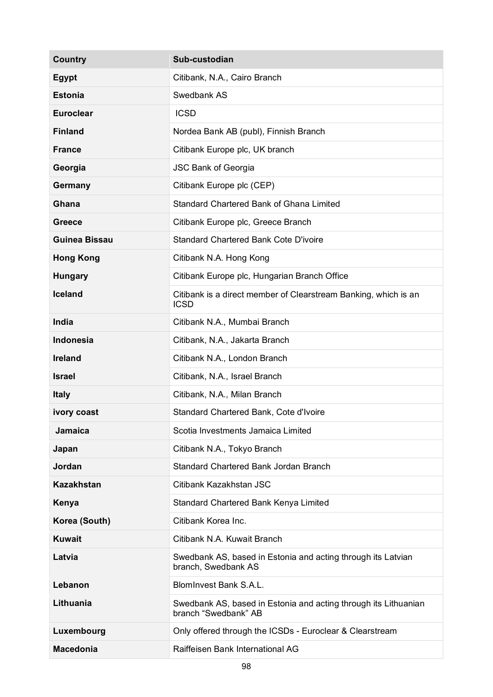| <b>Country</b>       | Sub-custodian                                                                           |
|----------------------|-----------------------------------------------------------------------------------------|
| <b>Egypt</b>         | Citibank, N.A., Cairo Branch                                                            |
| <b>Estonia</b>       | Swedbank AS                                                                             |
| <b>Euroclear</b>     | <b>ICSD</b>                                                                             |
| <b>Finland</b>       | Nordea Bank AB (publ), Finnish Branch                                                   |
| <b>France</b>        | Citibank Europe plc, UK branch                                                          |
| Georgia              | <b>JSC Bank of Georgia</b>                                                              |
| Germany              | Citibank Europe plc (CEP)                                                               |
| Ghana                | Standard Chartered Bank of Ghana Limited                                                |
| <b>Greece</b>        | Citibank Europe plc, Greece Branch                                                      |
| <b>Guinea Bissau</b> | Standard Chartered Bank Cote D'ivoire                                                   |
| <b>Hong Kong</b>     | Citibank N.A. Hong Kong                                                                 |
| <b>Hungary</b>       | Citibank Europe plc, Hungarian Branch Office                                            |
| <b>Iceland</b>       | Citibank is a direct member of Clearstream Banking, which is an<br><b>ICSD</b>          |
| <b>India</b>         | Citibank N.A., Mumbai Branch                                                            |
| <b>Indonesia</b>     | Citibank, N.A., Jakarta Branch                                                          |
| <b>Ireland</b>       | Citibank N.A., London Branch                                                            |
| <b>Israel</b>        | Citibank, N.A., Israel Branch                                                           |
| <b>Italy</b>         | Citibank, N.A., Milan Branch                                                            |
| ivory coast          | Standard Chartered Bank, Cote d'Ivoire                                                  |
| <b>Jamaica</b>       | Scotia Investments Jamaica Limited                                                      |
| Japan                | Citibank N.A., Tokyo Branch                                                             |
| Jordan               | Standard Chartered Bank Jordan Branch                                                   |
| <b>Kazakhstan</b>    | Citibank Kazakhstan JSC                                                                 |
| Kenya                | Standard Chartered Bank Kenya Limited                                                   |
| Korea (South)        | Citibank Korea Inc.                                                                     |
| <b>Kuwait</b>        | Citibank N.A. Kuwait Branch                                                             |
| Latvia               | Swedbank AS, based in Estonia and acting through its Latvian<br>branch, Swedbank AS     |
| Lebanon              | BlomInvest Bank S.A.L.                                                                  |
| Lithuania            | Swedbank AS, based in Estonia and acting through its Lithuanian<br>branch "Swedbank" AB |
| Luxembourg           | Only offered through the ICSDs - Euroclear & Clearstream                                |
| <b>Macedonia</b>     | Raiffeisen Bank International AG                                                        |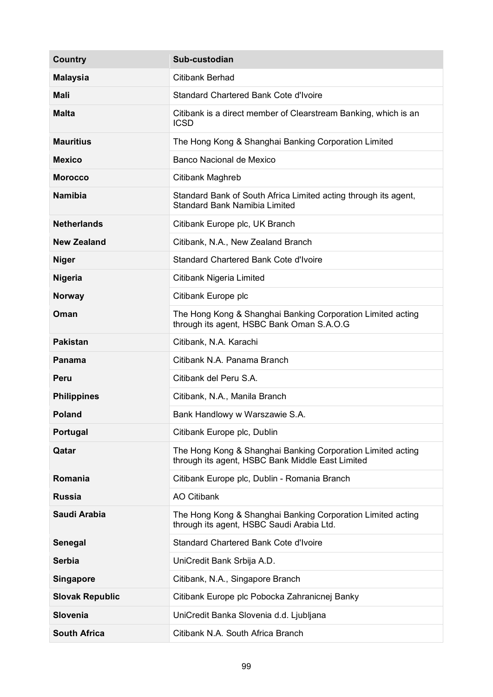| <b>Country</b>         | Sub-custodian                                                                                                   |
|------------------------|-----------------------------------------------------------------------------------------------------------------|
| <b>Malaysia</b>        | Citibank Berhad                                                                                                 |
| <b>Mali</b>            | Standard Chartered Bank Cote d'Ivoire                                                                           |
| <b>Malta</b>           | Citibank is a direct member of Clearstream Banking, which is an<br><b>ICSD</b>                                  |
| <b>Mauritius</b>       | The Hong Kong & Shanghai Banking Corporation Limited                                                            |
| <b>Mexico</b>          | Banco Nacional de Mexico                                                                                        |
| <b>Morocco</b>         | Citibank Maghreb                                                                                                |
| <b>Namibia</b>         | Standard Bank of South Africa Limited acting through its agent,<br><b>Standard Bank Namibia Limited</b>         |
| <b>Netherlands</b>     | Citibank Europe plc, UK Branch                                                                                  |
| <b>New Zealand</b>     | Citibank, N.A., New Zealand Branch                                                                              |
| <b>Niger</b>           | Standard Chartered Bank Cote d'Ivoire                                                                           |
| <b>Nigeria</b>         | Citibank Nigeria Limited                                                                                        |
| <b>Norway</b>          | Citibank Europe plc                                                                                             |
| Oman                   | The Hong Kong & Shanghai Banking Corporation Limited acting<br>through its agent, HSBC Bank Oman S.A.O.G        |
| <b>Pakistan</b>        | Citibank, N.A. Karachi                                                                                          |
| Panama                 | Citibank N.A. Panama Branch                                                                                     |
| Peru                   | Citibank del Peru S.A.                                                                                          |
| <b>Philippines</b>     | Citibank, N.A., Manila Branch                                                                                   |
| <b>Poland</b>          | Bank Handlowy w Warszawie S.A.                                                                                  |
| Portugal               | Citibank Europe plc, Dublin                                                                                     |
| Qatar                  | The Hong Kong & Shanghai Banking Corporation Limited acting<br>through its agent, HSBC Bank Middle East Limited |
| Romania                | Citibank Europe plc, Dublin - Romania Branch                                                                    |
| <b>Russia</b>          | <b>AO Citibank</b>                                                                                              |
| Saudi Arabia           | The Hong Kong & Shanghai Banking Corporation Limited acting<br>through its agent, HSBC Saudi Arabia Ltd.        |
| Senegal                | Standard Chartered Bank Cote d'Ivoire                                                                           |
| <b>Serbia</b>          | UniCredit Bank Srbija A.D.                                                                                      |
| <b>Singapore</b>       | Citibank, N.A., Singapore Branch                                                                                |
| <b>Slovak Republic</b> | Citibank Europe plc Pobocka Zahranicnej Banky                                                                   |
| <b>Slovenia</b>        | UniCredit Banka Slovenia d.d. Ljubljana                                                                         |
| <b>South Africa</b>    | Citibank N.A. South Africa Branch                                                                               |